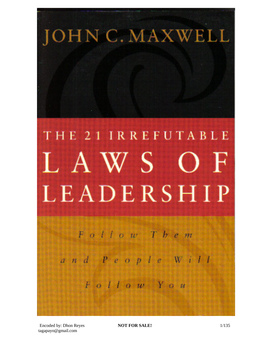

Encoded by: Dhon Reyes **NOT FOR SALE!** 1/135 tagapayo@gmail.com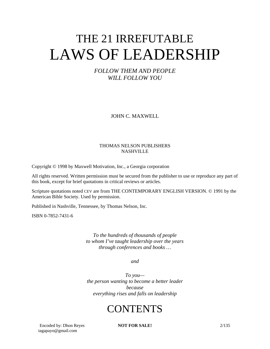# THE 21 IRREFUTABLE LAWS OF LEADERSHIP

#### *FOLLOW THEM AND PEOPLE WILL FOLLOW YOU*

#### JOHN C. MAXWELL

#### THOMAS NELSON PUBLISHERS **NASHVILLE**

Copyright © 1998 by Maxwell Motivation, Inc., a Georgia corporation

All rights reserved. Written permission must be secured from the publisher to use or reproduce any part of this book, except for brief quotations in critical reviews or articles.

Scripture quotations noted CEV are from THE CONTEMPORARY ENGLISH VERSION. © 1991 by the American Bible Society. Used by permission.

Published in Nashville, Tennessee, by Thomas Nelson, Inc.

ISBN 0-7852-7431-6

*To the hundreds of thousands of people to whom I've taught leadership over the years through conferences and books …*

*and* 

*To you the person wanting to become a better leader because everything rises and falls on leadership* 

## **CONTENTS**

Encoded by: Dhon Reyes **NOT FOR SALE!** 2/135 tagapayo@gmail.com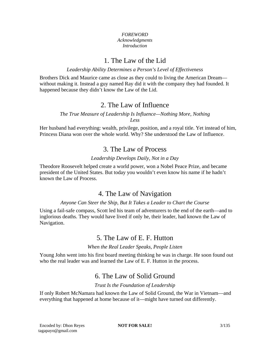#### *FOREWORD Acknowledgments Introduction*

## 1. The Law of the Lid

#### *Leadership Ability Determines a Person's Level of Effectiveness*

Brothers Dick and Maurice came as close as they could to living the American Dream without making it. Instead a guy named Ray did it with the company they had founded. It happened because they didn't know the Law of the Lid.

## 2. The Law of Influence

#### *The True Measure of Leadership Is Influence—Nothing More, Nothing Less*

Her husband had everything: wealth, privilege, position, and a royal title. Yet instead of him, Princess Diana won over the whole world. Why? She understood the Law of Influence.

## 3. The Law of Process

#### *Leadership Develops Daily, Not in a Day*

Theodore Roosevelt helped create a world power, won a Nobel Peace Prize, and became president of the United States. But today you wouldn't even know his name if he hadn't known the Law of Process.

### 4. The Law of Navigation

#### *Anyone Can Steer the Ship, But It Takes a Leader to Chart the Course*

Using a fail-safe compass, Scott led his team of adventurers to the end of the earth—and to inglorious deaths. They would have lived if only he, their leader, had known the Law of Navigation.

## 5. The Law of E. F. Hutton

#### *When the Real Leader Speaks, People Listen*

Young John went into his first board meeting thinking he was in charge. He soon found out who the real leader was and learned the Law of E. F. Hutton in the process.

## 6. The Law of Solid Ground

#### *Trust Is the Foundation of Leadership*

If only Robert McNamara had known the Law of Solid Ground, the War in Vietnam—and everything that happened at home because of it—might have turned out differently.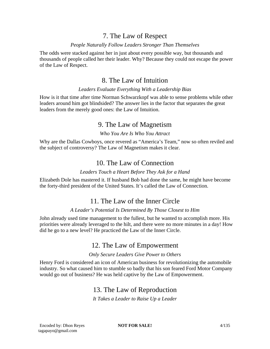## 7. The Law of Respect

#### *People Naturally Follow Leaders Stronger Than Themselves*

The odds were stacked against her in just about every possible way, but thousands and thousands of people called her their leader. Why? Because they could not escape the power of the Law of Respect.

### 8. The Law of Intuition

#### *Leaders Evaluate Everything With a Leadership Bias*

How is it that time after time Norman Schwarzkopf was able to sense problems while other leaders around him got blindsided? The answer lies in the factor that separates the great leaders from the merely good ones: the Law of Intuition.

### 9. The Law of Magnetism

#### *Who You Are Is Who You Attract*

Why are the Dallas Cowboys, once revered as "America's Team," now so often reviled and the subject of controversy? The Law of Magnetism makes it clear.

## 10. The Law of Connection

#### *Leaders Touch a Heart Before They Ask for a Hand*

Elizabeth Dole has mastered it. If husband Bob had done the same, he might have become the forty-third president of the United States. It's called the Law of Connection.

## 11. The Law of the Inner Circle

#### *A Leader's Potential Is Determined By Those Closest to Him*

John already used time management to the fullest, but he wanted to accomplish more. His priorities were already leveraged to the hilt, and there were no more minutes in a day! How did he go to a new level? He practiced the Law of the Inner Circle.

## 12. The Law of Empowerment

#### *Only Secure Leaders Give Power to Others*

Henry Ford is considered an icon of American business for revolutionizing the automobile industry. So what caused him to stumble so badly that his son feared Ford Motor Company would go out of business? He was held captive by the Law of Empowerment.

### 13. The Law of Reproduction

*It Takes a Leader to Raise Up a Leader*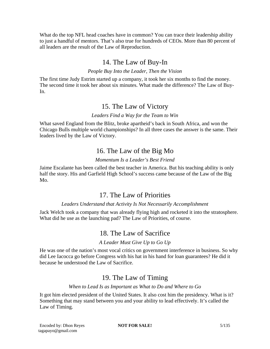What do the top NFL head coaches have in common? You can trace their leadership ability to just a handful of mentors. That's also true for hundreds of CEOs. More than 80 percent of all leaders are the result of the Law of Reproduction.

## 14. The Law of Buy-In

#### *People Buy Into the Leader, Then the Vision*

The first time Judy Estrim started up a company, it took her six months to find the money. The second time it took her about six minutes. What made the difference? The Law of Buy-In.

### 15. The Law of Victory

#### *Leaders Find a Way for the Team to Win*

What saved England from the Blitz, broke apartheid's back in South Africa, and won the Chicago Bulls multiple world championships? In all three cases the answer is the same. Their leaders lived by the Law of Victory.

## 16. The Law of the Big Mo

#### *Momentum Is a Leader's Best Friend*

Jaime Escalante has been called the best teacher in America. But his teaching ability is only half the story. His and Garfield High School's success came because of the Law of the Big Mo.

## 17. The Law of Priorities

#### *Leaders Understand that Activity Is Not Necessarily Accomplishment*

Jack Welch took a company that was already flying high and rocketed it into the stratosphere. What did he use as the launching pad? The Law of Priorities, of course.

### 18. The Law of Sacrifice

#### *A Leader Must Give Up to Go Up*

He was one of the nation's most vocal critics on government interference in business. So why did Lee Iacocca go before Congress with his hat in his hand for loan guarantees? He did it because he understood the Law of Sacrifice.

## 19. The Law of Timing

#### *When to Lead Is as Important as What to Do and Where to Go*

It got him elected president of the United States. It also cost him the presidency. What is it? Something that may stand between you and your ability to lead effectively. It's called the Law of Timing.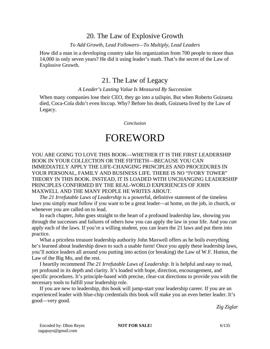## 20. The Law of Explosive Growth

#### *To Add Growth, Lead Followers—To Multiply, Lead Leaders*

How did a man in a developing country take his organization from 700 people to more than 14,000 in only seven years? He did it using leader's math. That's the secret of the Law of Explosive Growth.

### 21. The Law of Legacy

#### *A Leader's Lasting Value Is Measured By Succession*

When many companies lose their CEO, they go into a tailspin. But when Roberto Goizueta died, Coca-Cola didn't even hiccup. Why? Before his death, Goizueta lived by the Law of Legacy.

*Conclusion*

## FOREWORD

YOU ARE GOING TO LOVE THIS BOOK—WHETHER IT IS THE FIRST LEADERSHIP BOOK IN YOUR COLLECTION OR THE FIFTIETH—BECAUSE YOU CAN IMMEDIATELY APPLY THE LIFE-CHANGING PRINCIPLES AND PROCEDURES IN YOUR PERSONAL, FAMILY AND BUSINESS LIFE. THERE IS NO "IVORY TOWER" THEORY IN THIS BOOK. INSTEAD, IT IS LOADED WITH UNCHANGING LEADERSHIP PRINCIPLES CONFIRMED BY THE REAL-WORLD EXPERIENCES OF JOHN MAXWELL AND THE MANY PEOPLE HE WRITES ABOUT.

*The 21 Irrefutable Laws of Leadership* is a powerful, definitive statement of the timeless laws you simply *must* follow if you want to be a great leader—at home, on the job, in church, or whenever you are called on to lead.

In each chapter, John goes straight to the heart of a profound leadership law, showing you through the successes and failures of others how you can apply the law in your life. And you *can* apply each of the laws. If you're a willing student, you can learn the 21 laws and put them into practice.

What a priceless treasure leadership authority John Maxwell offers as he boils everything he's learned about leadership down to such a usable form! Once you apply these leadership laws, you'll notice leaders all around you putting into action (or breaking) the Law of W.F. Hutton, the Law of the Big Mo, and the rest.

I heartily recommend *The 21 Irrefutable Laws of Leadership*. It is helpful and easy to read, yet profound in its depth and clarity. It's loaded with hope, direction, encouragement, and specific procedures. It's principle-based with precise, clear-cut directions to provide you with the necessary tools to fulfill your leadership role.

If you are new to leadership, this book will jump-start your leadership career. If you are an experienced leader with blue-chip credentials this book will make you an even better leader. It's good—very good.

*Zig Ziglar*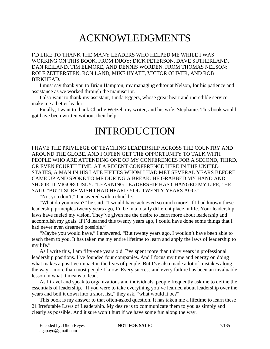## ACKNOWLEDGMENTS

I'D LIKE TO THANK THE MANY LEADERS WHO HELPED ME WHILE I WAS WORKING ON THIS BOOK. FROM INJOY: DICK PETERSON, DAVE SUTHERLAND, DAN REILAND, TIM ELMORE, AND DENNIS WORDEN. FROM THOMAS NELSON: ROLF ZETTERSTEN, RON LAND, MIKE HYATT, VICTOR OLIVER, AND ROB BIRKHEAD.

I must say thank you to Brian Hampton, my managing editor at Nelson, for his patience and assistance as we worked through the manuscript.

I also want to thank my assistant, Linda Eggers, whose great heart and incredible service make me a better leader.

Finally, I want to thank Charlie Wetzel, my writer, and his wife, Stephanie. This book would not have been written without their help.

## INTRODUCTION

I HAVE THE PRIVILEGE OF TEACHING LEADERSHIP ACROSS THE COUNTRY AND AROUND THE GLOBE, AND I OFTEN GET THE OPPORTUNITY TO TALK WITH PEOPLE WHO ARE ATTENDING ONE OF MY CONFERENCES FOR A SECOND, THIRD, OR EVEN FOURTH TIME. AT A RECENT CONFERENCE HERE IN THE UNITED STATES, A MAN IN HIS LATE FIFTIES WHOM I HAD MET SEVERAL YEARS BEFORE CAME UP AND SPOKE TO ME DURING A BREAK. HE GRABBED MY HAND AND SHOOK IT VIGOROUSLY. "LEARNING LEADERSHIP HAS CHANGED MY LIFE," HE SAID. "BUT I SURE WISH I HAD HEARD YOU TWENTY YEARS AGO."

"No, you don't," I answered with a chuckle.

"What do you mean?" he said. "I would have achieved so much more! If I had known these leadership principles twenty years ago, I'd be in a totally different place in life. Your leadership laws have fueled my vision. They've given me the desire to learn more about leadership and accomplish my goals. If I'd learned this twenty years ago, I could have done some things that I had never even dreamed possible."

"Maybe you would have," I answered. "But twenty years ago, I wouldn't have been able to teach them to you. It has taken me my entire lifetime to learn and apply the laws of leadership to my life."

As I write this, I am fifty-one years old. I've spent more than thirty years in professional leadership positions. I've founded four companies. And I focus my time and energy on doing what makes a positive impact in the lives of people. But I've also made a lot of mistakes along the way—more than most people I know. Every success and every failure has been an invaluable lesson in what it means to lead.

As I travel and speak to organizations and individuals, people frequently ask me to define the essentials of leadership. "If you were to take everything you've learned about leadership over the years and boil it down into a short list," they ask, "what would it be?"

This book is my answer to that often-asked question. It has taken me a lifetime to learn these 21 Irrefutable Laws of Leadership. My desire is to communicate them to you as simply and clearly as possible. And it sure won't hurt if we have some fun along the way.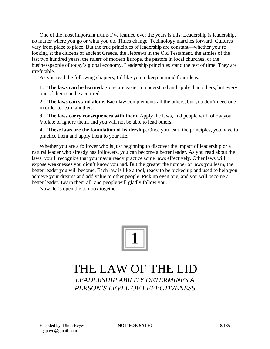One of the most important truths I've learned over the years is this: Leadership is leadership, no matter where you go or what you do. Times change. Technology marches forward. Cultures vary from place to place. But the true principles of leadership are constant—whether you're looking at the citizens of ancient Greece, the Hebrews in the Old Testament, the armies of the last two hundred years, the rulers of modern Europe, the pastors in local churches, or the businesspeople of today's global economy. Leadership principles stand the test of time. They are irrefutable.

As you read the following chapters, I'd like you to keep in mind four ideas:

**1. The laws can be learned.** Some are easier to understand and apply than others, but every one of them can be acquired.

**2. The laws can stand alone.** Each law complements all the others, but you don't need one in order to learn another.

**3. The laws carry consequences with them.** Apply the laws, and people will follow you. Violate or ignore them, and you will not be able to lead others.

**4. These laws are the foundation of leadership.** Once you learn the principles, you have to practice them and apply them to your life.

Whether you are a follower who is just beginning to discover the impact of leadership or a natural leader who already has followers, you can become a better leader. As you read about the laws, you'll recognize that you may already practice some laws effectively. Other laws will expose weaknesses you didn't know you had. But the greater the number of laws you learn, the better leader you will become. Each law is like a tool, ready to be picked up and used to help you achieve your dreams and add value to other people. Pick up even one, and you will become a better leader. Learn them all, and people will gladly follow you.

Now, let's open the toolbox together.



# THE LAW OF THE LID

*LEADERSHIP ABILITY DETERMINES A PERSON'S LEVEL OF EFFECTIVENESS*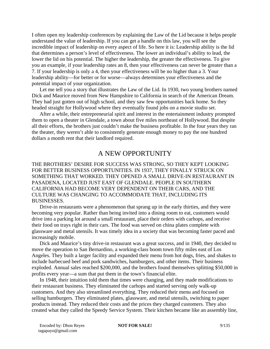I often open my leadership conferences by explaining the Law of the Lid because it helps people understand the value of leadership. If you can get a handle on this law, you will see the incredible impact of leadership on every aspect of life. So here it is: Leadership ability is the lid that determines a person's level of effectiveness. The lower an individual's ability to lead, the lower the lid on his potential. The higher the leadership, the greater the effectiveness. To give you an example, if your leadership rates an 8, then your effectiveness can never be greater than a 7. If your leadership is only a 4, then your effectiveness will be no higher than a 3. Your leadership ability—for better or for worse—always determines your effectiveness and the potential impact of your organization.

Let me tell you a story that illustrates the Law of the Lid. In 1930, two young brothers named Dick and Maurice moved from New Hampshire to California in search of the American Dream. They had just gotten out of high school, and they saw few opportunities back home. So they headed straight for Hollywood where they eventually found jobs on a movie studio set.

After a while, their entrepreneurial spirit and interest in the entertainment industry prompted them to open a theater in Glendale, a town about five miles northeast of Hollywood. But despite all their efforts, the brothers just couldn't make the business profitable. In the four years they ran the theater, they weren't able to consistently generate enough money to pay the one hundred dollars a month rent that their landlord required.

#### A NEW OPPORTUNITY

THE BROTHERS' DESIRE FOR SUCCESS WAS STRONG, SO THEY KEPT LOOKING FOR BETTER BUSINESS OPPORTUNITIES. IN 1937, THEY FINALLY STRUCK ON SOMETHING THAT WORKED. THEY OPENED A SMALL DRIVE-IN RESTAURANT IN PASADENA, LOCATED JUST EAST OF GLENDALE. PEOPLE IN SOUTHERN CALIFORNIA HAD BECOME VERY DEPENDENT ON THEIR CARS, AND THE CULTURE WAS CHANGING TO ACCOMMODATE THAT, INCLUDING ITS BUSINESSES.

Drive-in restaurants were a phenomenon that sprang up in the early thirties, and they were becoming very popular. Rather than being invited into a dining room to eat, customers would drive into a parking lot around a small restaurant, place their orders with carhops, and receive their food on trays right in their cars. The food was served on china plates complete with glassware and metal utensils. It was timely idea in a society that was becoming faster paced and increasingly mobile.

Dick and Maurice's tiny drive-in restaurant was a great success, and in 1940, they decided to move the operation to San Bernardino, a working-class boom town fifty miles east of Los Angeles. They built a larger facility and expanded their menu from hot dogs, fries, and shakes to include barbecued beef and pork sandwiches, hamburgers, and other items. Their business exploded. Annual sales reached \$200,000, and the brothers found themselves splitting \$50,000 in profits every year—a sum that put them in the town's financial elite.

In 1948, their intuition told them that times were changing, and they made modifications to their restaurant business. They eliminated the carhops and started serving only walk-up customers. And they also streamlined everything. They reduced their menu and focused on selling hamburgers. They eliminated plates, glassware, and metal utensils, switching to paper products instead. They reduced their costs and the prices they charged customers. They also created what they called the Speedy Service System. Their kitchen became like an assembly line,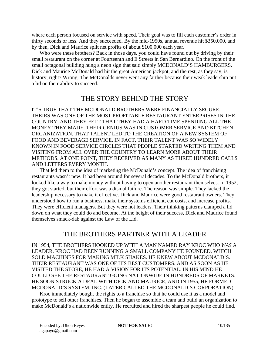where each person focused on service with speed. Their goal was to fill each customer's order in thirty seconds or less. And they succeeded. By the mid-1950s, annual revenue hit \$350,000, and by then, Dick and Maurice split net profits of about \$100,000 each year.

Who were these brothers? Back in those days, you could have found out by driving by their small restaurant on the corner at Fourteenth and E Streets in San Bernardino. On the front of the small octagonal building hung a neon sign that said simply MCDONALD'S HAMBURGERS. Dick and Maurice McDonald had hit the great American jackpot, and the rest, as they say, is history, right? Wrong. The McDonalds never went any farther because their weak leadership put a lid on their ability to succeed.

#### THE STORY BEHIND THE STORY

IT'S TRUE THAT THE MCDONALD BROTHERS WERE FINANCIALLY SECURE. THEIRS WAS ONE OF THE MOST PROFITABLE RESTAURANT ENTERPRISES IN THE COUNTRY, AND THEY FELT THAT THEY HAD A HARD TIME SPENDING ALL THE MONEY THEY MADE. THEIR GENIUS WAS IN CUSTOMER SERVICE AND KITCHEN ORGANIZATION. THAT TALENT LED TO THE CREATION OF A NEW SYSTEM OF FOOD AND BEVERAGE SERVICE. IN FACT, THEIR TALENT WAS SO WIDELY KNOWN IN FOOD SERVICE CIRCLES THAT PEOPLE STARTED WRITING THEM AND VISITING FROM ALL OVER THE COUNTRY TO LEARN MORE ABOUT THEIR METHODS. AT ONE POINT, THEY RECEIVED AS MANY AS THREE HUNDRED CALLS AND LETTERS EVERY MONTH.

That led them to the idea of marketing the McDonald's concept. The idea of franchising restaurants wasn't new. It had been around for several decades. To the McDonald brothers, it looked like a way to make money without having to open another restaurant themselves. In 1952, they got started, but their effort was a dismal failure. The reason was simple. They lacked the leadership necessary to make it effective. Dick and Maurice were good restaurant owners. They understood how to run a business, make their systems efficient, cut costs, and increase profits. They were efficient managers. But they were not leaders. Their thinking patterns clamped a lid down on what they could do and become. At the height of their success, Dick and Maurice found themselves smack-dab against the Law of the Lid.

#### THE BROTHERS PARTNER WITH A LEADER

IN 1954, THE BROTHERS HOOKED UP WITH A MAN NAMED RAY KROC WHO *WAS* A LEADER. KROC HAD BEEN RUNNING A SMALL COMPANY HE FOUNDED, WHICH SOLD MACHINES FOR MAKING MILK SHAKES. HE KNEW ABOUT MCDONALD'S. THEIR RESTAURANT WAS ONE OF HIS BEST CUSTOMERS. AND AS SOON AS HE VISITED THE STORE, HE HAD A VISION FOR ITS POTENTIAL. IN HIS MIND HE COULD SEE THE RESTAURANT GOING NATIONWIDE IN HUNDREDS OF MARKETS. HE SOON STRUCK A DEAL WITH DICK AND MAURICE, AND IN 1955, HE FORMED MCDONALD'S SYSTEM, INC. (LATER CALLED THE MCDONALD'S CORPORATION).

Kroc immediately bought the rights to a franchise so that he could use it as a model and prototype to sell other franchises. Then he began to assemble a team and build an organization to make McDonald's a nationwide entity. He recruited and hired the sharpest people he could find,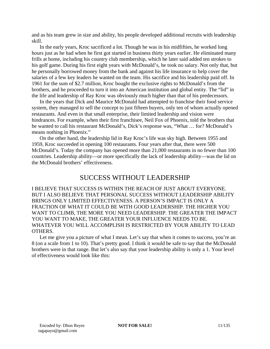and as his team grew in size and ability, his people developed additional recruits with leadership skill.

In the early years, Kroc sacrificed a lot. Though he was in his midfifties, he worked long hours just as he had when he first got started in business thirty years earlier. He eliminated many frills at home, including his country club membership, which he later said added ten strokes to his golf game. During his first eight years with McDonald's, he took no salary. Not only that, but he personally borrowed money from the bank and against his life insurance to help cover the salaries of a few key leaders he wanted on the team. His sacrifice and his leadership paid off. In 1961 for the sum of \$2.7 million, Kroc bought the exclusive rights to McDonald's from the brothers, and he proceeded to turn it into an American institution and global entity. The "lid" in the life and leadership of Ray Kroc was obviously much higher than that of his predecessors.

In the years that Dick and Maurice McDonald had attempted to franchise their food service system, they managed to sell the concept to just fifteen buyers, only ten of whom actually opened restaurants. And even in that small enterprise, their limited leadership and vision were hindrances. For example, when their first franchisee, Neil Fox of Phoenix, told the brothers that he wanted to call his restaurant McDonald's, Dick's response was, "What … for? McDonald's means nothing in Phoenix."

On the other hand, the leadership lid in Ray Kroc's life was sky high. Between 1955 and 1959, Kroc succeeded in opening 100 restaurants. Four years after that, there were 500 McDonald's. Today the company has opened more than 21,000 restaurants in no fewer than 100 countries. Leadership ability—or more specifically the lack of leadership ability—was the lid on the McDonald brothers' effectiveness.

#### SUCCESS WITHOUT LEADERSHIP

I BELIEVE THAT SUCCESS IS WITHIN THE REACH OF JUST ABOUT EVERYONE. BUT I ALSO BELIEVE THAT PERSONAL SUCCESS WITHOUT LEADERSHIP ABILITY BRINGS ONLY LIMITED EFFECTIVENESS. A PERSON'S IMPACT IS ONLY A FRACTION OF WHAT IT COULD BE WITH GOOD LEADERSHIP. THE HIGHER YOU WANT TO CLIMB, THE MORE YOU NEED LEADERSHIP. THE GREATER THE IMPACT YOU WANT TO MAKE, THE GREATER YOUR INFLUENCE NEEDS TO BE. WHATEVER YOU WILL ACCOMPLISH IS RESTRICTED BY YOUR ABILITY TO LEAD OTHERS.

Let me give you a picture of what I mean. Let's say that when it comes to success, you're an 8 (on a scale from 1 to 10). That's pretty good. I think it would be safe to say that the McDonald brothers were in that range. But let's also say that your leadership ability is only a 1. Your level of effectiveness would look like this: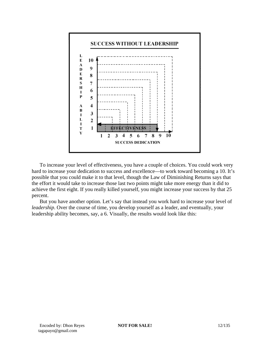

To increase your level of effectiveness, you have a couple of choices. You could work very hard to increase your dedication to success and excellence—to work toward becoming a 10. It's possible that you could make it to that level, though the Law of Diminishing Returns says that the effort it would take to increase those last two points might take more energy than it did to achieve the first eight. If you really killed yourself, you might increase your success by that 25 percent.

But you have another option. Let's say that instead you work hard to increase your level of *leadership*. Over the course of time, you develop yourself as a leader, and eventually, your leadership ability becomes, say, a 6. Visually, the results would look like this: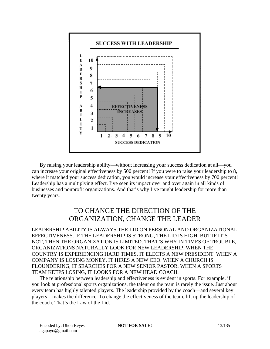

By raising your leadership ability—without increasing your success dedication at all—you can increase your original effectiveness by 500 percent! If you were to raise your leadership to 8, where it matched your success dedication, you would increase your effectiveness by 700 percent! Leadership has a multiplying effect. I've seen its impact over and over again in all kinds of businesses and nonprofit organizations. And that's why I've taught leadership for more than twenty years.

## TO CHANGE THE DIRECTION OF THE ORGANIZATION, CHANGE THE LEADER

LEADERSHIP ABILITY IS ALWAYS THE LID ON PERSONAL AND ORGANIZATIONAL EFFECTIVENESS. IF THE LEADERSHIP IS STRONG, THE LID IS HIGH. BUT IF IT'S NOT, THEN THE ORGANIZATION IS LIMITED. THAT'S WHY IN TIMES OF TROUBLE, ORGANIZATIONS NATURALLY LOOK FOR NEW LEADERSHIP. WHEN THE COUNTRY IS EXPERIENCING HARD TIMES, IT ELECTS A NEW PRESIDENT. WHEN A COMPANY IS LOSING MONEY, IT HIRES A NEW CEO. WHEN A CHURCH IS FLOUNDERING, IT SEARCHES FOR A NEW SENIOR PASTOR. WHEN A SPORTS TEAM KEEPS LOSING, IT LOOKS FOR A NEW HEAD COACH.

The relationship between leadership and effectiveness is evident in sports. For example, if you look at professional sports organizations, the talent on the team is rarely the issue. Just about every team has highly talented players. The leadership provided by the coach—and several key players—makes the difference. To change the effectiveness of the team, lift up the leadership of the coach. That's the Law of the Lid.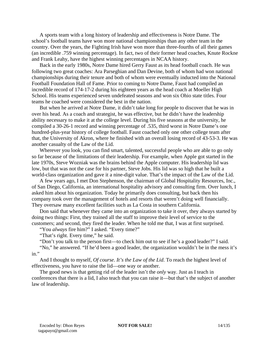A sports team with a long history of leadership and effectiveness is Notre Dame. The school's football teams have won more national championships than any other team in the country. Over the years, the Fighting Irish have won more than three-fourths of all their games (an incredible .759 winning percentage). In fact, two of their former head coaches, Knute Rockne and Frank Leahy, have the highest winning percentages in NCAA history.

Back in the early 1980s, Notre Dame hired Gerry Faust as its head football coach. He was following two great coaches: Ara Parseghian and Dan Devine, both of whom had won national championships during their tenure and both of whom were eventually inducted into the National Football Foundation Hall of Fame. Prior to coming to Notre Dame, Faust had compiled an incredible record of 174-17-2 during his eighteen years as the head coach at Moeller High School. His teams experienced seven undefeated seasons and won six Ohio state titles. Four teams he coached were considered the best in the nation.

But when he arrived at Notre Dame, it didn't take long for people to discover that he was in over his head. As a coach and strategist, he was effective, but he didn't have the leadership ability necessary to make it at the college level. During his five seasons at the university, he compiled a 30-26-1 record and winning percentage of .535, third worst in Notre Dame's one hundred-plus-year history of college football. Faust coached only one other college team after that, the University of Akron, where he finished with an overall losing record of 43-53-3. He was another casualty of the Law of the Lid.

Wherever you look, you can find smart, talented, successful people who are able to go only so far because of the limitations of their leadership. For example, when Apple got started in the late 1970s, Steve Wozniak was the brains behind the Apple computer. His leadership lid was low, but that was not the case for his partner, Steve Jobs. His lid was so high that he built a world-class organization and gave it a nine-digit value. That's the impact of the Law of the Lid.

A few years ago, I met Don Stephenson, the chairman of Global Hospitality Resources, Inc., of San Diego, California, an international hospitality advisory and consulting firm. Over lunch, I asked him about his organization. Today he primarily does consulting, but back then his company took over the management of hotels and resorts that weren't doing well financially. They oversaw many excellent facilities such as La Costa in southern California.

Don said that whenever they came into an organization to take it over, they always started by doing two things: First, they trained all the staff to improve their level of service to the customers; and second, they fired the leader. When he told me that, I was at first surprised.

"You *always* fire him?" I asked. "Every time?"

"That's right. Every time," he said.

"Don't you talk to the person first—to check him out to see if he's a good leader?" I said.

"No," he answered. "If he'd been a good leader, the organization wouldn't be in the mess it's in."

And I thought to myself, *Of course. It's the Law of the Lid*. To reach the highest level of effectiveness, you have to raise the lid—one way or another.

The good news is that getting rid of the leader isn't the *only* way. Just as I teach in conferences that there is a lid, I also teach that you can raise it—but that's the subject of another law of leadership.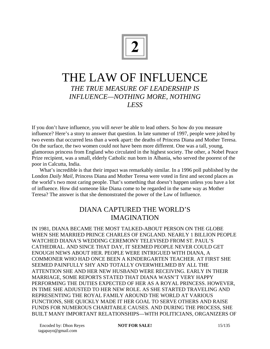## THE LAW OF INFLUENCE *THE TRUE MEASURE OF LEADERSHIP IS INFLUENCE—NOTHING MORE, NOTHING LESS*

If you don't have influence, you will *never* be able to lead others. So how do you measure influence? Here's a story to answer that question. In late summer of 1997, people were jolted by two events that occurred less than a week apart: the deaths of Princess Diana and Mother Teresa. On the surface, the two women could not have been more different. One was a tall, young, glamorous princess from England who circulated in the highest society. The other, a Nobel Peace Prize recipient, was a small, elderly Catholic nun born in Albania, who served the poorest of the poor in Calcutta, India.

What's incredible is that their impact was remarkably similar. In a 1996 poll published by the London *Daily Mail,* Princess Diana and Mother Teresa were voted in first and second places as the world's two most caring people. That's something that doesn't happen unless you have a lot of influence. How did someone like Diana come to be regarded in the same way as Mother Teresa? The answer is that she demonstrated the power of the Law of Influence.

## DIANA CAPTURED THE WORLD'S IMAGINATION

IN 1981, DIANA BECAME THE MOST TALKED-ABOUT PERSON ON THE GLOBE WHEN SHE MARRIED PRINCE CHARLES OF ENGLAND. NEARLY 1 BILLION PEOPLE WATCHED DIANA'S WEDDING CEREMONY TELEVISED FROM ST. PAUL'S CATHEDRAL. AND SINCE THAT DAY, IT SEEMED PEOPLE NEVER COULD GET ENOUGH NEWS ABOUT HER. PEOPLE WERE INTRIGUED WITH DIANA, A COMMONER WHO HAD ONCE BEEN A KINDERGARTEN TEACHER. AT FIRST SHE SEEMED PAINFULLY SHY AND TOTALLY OVERWHELMED BY ALL THE ATTENTION SHE AND HER NEW HUSBAND WERE RECEIVING. EARLY IN THEIR MARRIAGE, SOME REPORTS STATED THAT DIANA WASN'T VERY HAPPY PERFORMING THE DUTIES EXPECTED OF HER AS A ROYAL PRINCESS. HOWEVER, IN TIME SHE ADJUSTED TO HER NEW ROLE. AS SHE STARTED TRAVELING AND REPRESENTING THE ROYAL FAMILY AROUND THE WORLD AT VARIOUS FUNCTIONS, SHE QUICKLY MADE IT HER GOAL TO SERVE OTHERS AND RAISE FUNDS FOR NUMEROUS CHARITABLE CAUSES. AND DURING THE PROCESS, SHE BUILT MANY IMPORTANT RELATIONSHIPS—WITH POLITICIANS, ORGANIZERS OF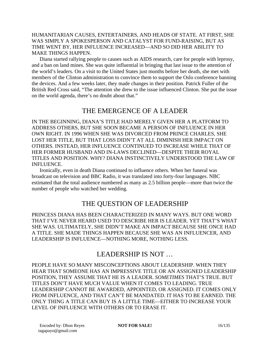#### HUMANITARIAN CAUSES, ENTERTAINERS, AND HEADS OF STATE. AT FIRST, SHE WAS SIMPLY A SPOKESPERSON AND CATALYST FOR FUND-RAISING, BUT AS TIME WENT BY, HER INFLUENCE INCREASED—AND SO DID HER ABILITY TO MAKE THINGS HAPPEN.

Diana started rallying people to causes such as AIDS research, care for people with leprosy, and a ban on land mines. She was quite influential in bringing that last issue to the attention of the world's leaders. On a visit to the United States just months before her death, she met with members of the Clinton administration to convince them to support the Oslo conference banning the devices. And a few weeks later, they made changes in their position. Patrick Fuller of the British Red Cross said, "The attention she drew to the issue influenced Clinton. She put the issue on the world agenda, there's no doubt about that."

## THE EMERGENCE OF A LEADER

IN THE BEGINNING, DIANA'S TITLE HAD MERELY GIVEN HER A PLATFORM TO ADDRESS OTHERS, BUT SHE SOON BECAME A PERSON OF INFLUENCE IN HER OWN RIGHT. IN 1996 WHEN SHE WAS DIVORCED FROM PRINCE CHARLES, SHE LOST HER TITLE, BUT THAT LOSS DIDN'T AT ALL DIMINISH HER IMPACT ON OTHERS. INSTEAD, HER INFLUENCE CONTINUED TO INCREASE WHILE THAT OF HER FORMER HUSBAND AND IN-LAWS DECLINED—DESPITE THEIR ROYAL TITLES AND POSITION. WHY? DIANA INSTINCTIVELY UNDERSTOOD THE LAW OF INFLUENCE.

Ironically, even in death Diana continued to influence others. When her funeral was broadcast on television and BBC Radio, it was translated into forty-four languages. NBC estimated that the total audience numbered as many as 2.5 billion people—more than twice the number of people who watched her wedding.

## THE QUESTION OF LEADERSHIP

PRINCESS DIANA HAS BEEN CHARACTERIZED IN MANY WAYS. BUT ONE WORD THAT I'VE NEVER HEARD USED TO DESCRIBE HER IS LEADER. YET THAT'S WHAT SHE WAS. ULTIMATELY, SHE DIDN'T MAKE AN IMPACT BECAUSE SHE ONCE HAD A TITLE. SHE MADE THINGS HAPPEN BECAUSE SHE WAS AN INFLUENCER, AND LEADERSHIP IS INFLUENCE—NOTHING MORE, NOTHING LESS.

## LEADERSHIP IS NOT …

PEOPLE HAVE SO MANY MISCONCEPTIONS ABOUT LEADERSHIP. WHEN THEY HEAR THAT SOMEONE HAS AN IMPRESSIVE TITLE OR AN ASSIGNED LEADERSHIP POSITION, THEY ASSUME THAT HE IS A LEADER. *SOMETIMES* THAT'S TRUE. BUT TITLES DON'T HAVE MUCH VALUE WHEN IT COMES TO LEADING. TRUE LEADERSHIP CANNOT BE AWARDED, APPOINTED, OR ASSIGNED. IT COMES ONLY FROM INFLUENCE, AND THAT CAN'T BE MANDATED. IT HAS TO BE EARNED. THE ONLY THING A TITLE CAN BUY IS A LITTLE TIME—EITHER TO INCREASE YOUR LEVEL OF INFLUENCE WITH OTHERS OR TO ERASE IT.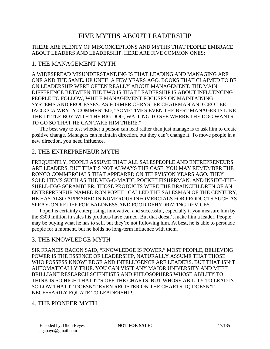## FIVE MYTHS ABOUT LEADERSHIP

#### THERE ARE PLENTY OF MISCONCEPTIONS AND MYTHS THAT PEOPLE EMBRACE ABOUT LEADERS AND LEADERSHIP. HERE ARE FIVE COMMON ONES:

#### 1. THE MANAGEMENT MYTH

A WIDESPREAD MISUNDERSTANDING IS THAT LEADING AND MANAGING ARE ONE AND THE SAME. UP UNTIL A FEW YEARS AGO, BOOKS THAT CLAIMED TO BE ON LEADERSHIP WERE OFTEN REALLY ABOUT MANAGEMENT. THE MAIN DIFFERENCE BETWEEN THE TWO IS THAT LEADERSHIP IS ABOUT INFLUENCING PEOPLE TO FOLLOW, WHILE MANAGEMENT FOCUSES ON MAINTAINING SYSTEMS AND PROCESSES. AS FORMER CHRYSLER CHAIRMAN AND CEO LEE IACOCCA WRYLY COMMENTED, "SOMETIMES EVEN THE BEST MANAGER IS LIKE THE LITTLE BOY WITH THE BIG DOG, WAITING TO SEE WHERE THE DOG WANTS TO GO SO THAT HE CAN TAKE HIM THERE."

The best way to test whether a person can lead rather than just manage is to ask him to create positive change. Managers can maintain direction, but they can't change it. To move people in a new direction, you need influence.

#### 2. THE ENTREPRENEUR MYTH

FREQUENTLY, PEOPLE ASSUME THAT ALL SALESPEOPLE AND ENTREPRENEURS ARE LEADERS. BUT THAT'S NOT ALWAYS THE CASE. YOU MAY REMEMBER THE RONCO COMMERCIALS THAT APPEARED ON TELEVISION YEARS AGO. THEY SOLD ITEMS SUCH AS THE VEG-O-MATIC, POCKET FISHERMAN, AND INSIDE-THE-SHELL-EGG SCRAMBLER. THOSE PRODUCTS WERE THE BRAINCHILDREN OF AN ENTREPRENEUR NAMED RON POPEIL. CALLED THE SALESMAN OF THE CENTURY, HE HAS ALSO APPEARED IN NUMEROUS INFOMERCIALS FOR PRODUCTS SUCH AS SPRAY-ON RELIEF FOR BALDNESS AND FOOD DEHYDRATING DEVICES.

Popeil is certainly enterprising, innovative, and successful, especially if you measure him by the \$300 million in sales his products have earned. But that doesn't make him a leader. People may be buying what he has to sell, but they're not following him. At best, he is able to persuade people for a moment, but he holds no long-term influence with them.

### 3. THE KNOWLEDGE MYTH

SIR FRANCIS BACON SAID, "KNOWLEDGE IS POWER." MOST PEOPLE, BELIEVING POWER IS THE ESSENCE OF LEADERSHIP, NATURALLY ASSUME THAT THOSE WHO POSSESS KNOWLEDGE AND INTELLIGENCE ARE LEADERS. BUT THAT ISN'T AUTOMATICALLY TRUE. YOU CAN VISIT ANY MAJOR UNIVERSITY AND MEET BRILLIANT RESEARCH SCIENTISTS AND PHILOSOPHERS WHOSE ABILITY TO THINK IS SO HIGH THAT IT'S OFF THE CHARTS, BUT WHOSE ABILITY TO LEAD IS SO LOW THAT IT DOESN'T EVEN REGISTER ON THE CHARTS. IQ DOESN'T NECESSARILY EQUATE TO LEADERSHIP.

### 4. THE PIONEER MYTH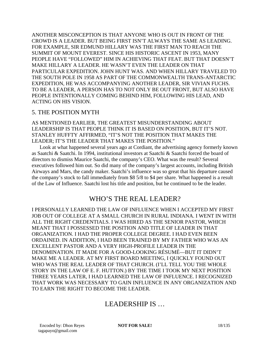ANOTHER MISCONCEPTION IS THAT ANYONE WHO IS OUT IN FRONT OF THE CROWD IS A LEADER. BUT BEING FIRST ISN'T ALWAYS THE SAME AS LEADING. FOR EXAMPLE, SIR EDMUND HILLARY WAS THE FIRST MAN TO REACH THE SUMMIT OF MOUNT EVEREST. SINCE HIS HISTORIC ASCENT IN 1953, MANY PEOPLE HAVE "FOLLOWED" HIM IN ACHIEVING THAT FEAT. BUT THAT DOESN'T MAKE HILLARY A LEADER. HE WASN'T EVEN THE LEADER ON THAT PARTICULAR EXPEDITION. JOHN HUNT WAS. AND WHEN HILLARY TRAVELED TO THE SOUTH POLE IN 1958 AS PART OF THE COMMONWEALTH TRANS-ANTARCTIC EXPEDITION, HE WAS ACCOMPANYING ANOTHER LEADER, SIR VIVIAN FUCHS. TO BE A LEADER, A PERSON HAS TO NOT ONLY BE OUT FRONT, BUT ALSO HAVE PEOPLE INTENTIONALLY COMING BEHIND HIM, FOLLOWING HIS LEAD, AND ACTING ON HIS VISION.

#### 5. THE POSITION MYTH

AS MENTIONED EARLIER, THE GREATEST MISUNDERSTANDING ABOUT LEADERSHIP IS THAT PEOPLE THINK IT IS BASED ON POSITION, BUT IT'S NOT. STANLEY HUFFTY AFFIRMED, "IT'S NOT THE POSITION THAT MAKES THE LEADER; IT'S THE LEADER THAT MAKES THE POSITION."

Look at what happened several years ago at Cordiant, the advertising agency formerly known as Saatchi & Saatchi. In 1994, institutional investors at Saatchi & Saatchi forced the board of directors to dismiss Maurice Saatchi, the company's CEO. What was the result? Several executives followed him out. So did many of the company's largest accounts, including British Airways and Mars, the candy maker. Saatchi's influence was so great that his departure caused the company's stock to fall immediately from \$8 5/8 to \$4 per share. What happened is a result of the Law of Influence. Saatchi lost his title and position, but he continued to be the leader.

## WHO'S THE REAL LEADER?

I PERSONALLY LEARNED THE LAW OF INFLUENCE WHEN I ACCEPTED MY FIRST JOB OUT OF COLLEGE AT A SMALL CHURCH IN RURAL INDIANA. I WENT IN WITH ALL THE RIGHT CREDENTIALS. I WAS HIRED AS THE SENIOR PASTOR, WHICH MEANT THAT I POSSESSED THE POSITION AND TITLE OF LEADER IN THAT ORGANIZATION. I HAD THE PROPER COLLEGE DEGREE. I HAD EVEN BEEN ORDAINED. IN ADDITION, I HAD BEEN TRAINED BY MY FATHER WHO WAS AN EXCELLENT PASTOR AND A VERY HIGH-PROFILE LEADER IN THE DENOMINATION. IT MADE FOR A GOOD-LOOKING RÉSUMÉ—BUT IT DIDN'T MAKE ME A LEADER. AT MY FIRST BOARD MEETING, I QUICKLY FOUND OUT WHO WAS THE REAL LEADER OF THAT CHURCH. (I'LL TELL YOU THE WHOLE STORY IN THE LAW OF E. F. HUTTON.) BY THE TIME I TOOK MY NEXT POSITION THREE YEARS LATER, I HAD LEARNED THE LAW OF INFLUENCE. I RECOGNIZED THAT WORK WAS NECESSARY TO GAIN INFLUENCE IN ANY ORGANIZATION AND TO EARN THE RIGHT TO BECOME THE LEADER.

## LEADERSHIP IS …

Encoded by: Dhon Reyes **NOT FOR SALE!** 18/135 tagapayo@gmail.com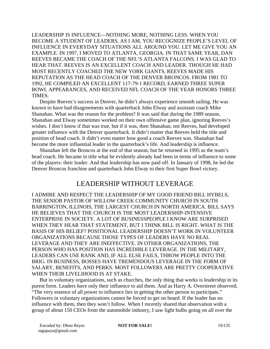LEADERSHIP IS INFLUENCE—NOTHING MORE, NOTHING LESS. WHEN YOU BECOME A STUDENT OF LEADERS, AS I AM, YOU RECOGNIZE PEOPLE'S LEVEL OF INFLUENCE IN EVERYDAY SITUATIONS ALL AROUND YOU. LET ME GIVE YOU AN EXAMPLE. IN 1997, I MOVED TO ATLANTA, GEORGIA. IN THAT SAME YEAR, DAN REEVES BECAME THE COACH OF THE NFL'S ATLANTA FALCONS. I WAS GLAD TO HEAR THAT. REEVES IS AN EXCELLENT COACH AND LEADER. THOUGH HE HAD MOST RECENTLY COACHED THE NEW YORK GIANTS, REEVES MADE HIS REPUTATION AS THE HEAD COACH OF THE DENVER BRONCOS. FROM 1981 TO 1992, HE COMPILED AN EXCELLENT 117-79-1 RECORD, EARNED THREE SUPER BOWL APPEARANCES, AND RECEIVED NFL COACH OF THE YEAR HONORS THREE TIMES.

Despite Reeves's success in Denver, he didn't always experience smooth sailing. He was known to have had disagreements with quarterback John Elway and assistant coach Mike Shanahan. What was the reason for the problem? It was said that during the 1989 season, Shanahan and Elway sometimes worked on their own offensive game plan, ignoring Reeves's wishes. I don't know if that was true, but if it was, then Shanahan, not Reeves, had developed greater influence with the Denver quarterback. It didn't matter that Reeves held the title and position of head coach. It didn't even matter how good a coach Reeves was. Shanahan had become the more influential leader in the quarterback's life. And leadership is influence.

Shanahan left the Broncos at the end of that season, but he returned in 1995 as the team's head coach. He became in title what he evidently already had been in terms of influence to some of the players: their leader. And that leadership has now paid off. In January of 1998, he led the Denver Broncos franchise and quarterback John Elway to their first Super Bowl victory.

#### LEADERSHIP WITHOUT LEVERAGE

I ADMIRE AND RESPECT THE LEADERSHIP OF MY GOOD FRIEND BILL HYBELS, THE SENIOR PASTOR OF WILLOW CREEK COMMUNITY CHURCH IN SOUTH BARRINGTON, ILLINOIS, THE LARGEST CHURCH IN NORTH AMERICA. BILL SAYS HE BELIEVES THAT THE CHURCH IS THE MOST LEADERSHIP-INTENSIVE ENTERPRISE IN SOCIETY. A LOT OF BUSINESSPEOPLE I KNOW ARE SURPRISED WHEN THEY HEAR THAT STATEMENT, BUT I THINK BILL IS RIGHT. WHAT IS THE BASIS OF HIS BELIEF? POSITIONAL LEADERSHIP DOESN'T WORK IN VOLUNTEER ORGANIZATIONS BECAUSE THOSE TYPES OF LEADERS HAVE NO REAL LEVERAGE AND THEY ARE INEFFECTIVE. IN OTHER ORGANIZATIONS, THE PERSON WHO HAS POSITION HAS INCREDIBLE LEVERAGE. IN THE MILITARY, LEADERS CAN USE RANK AND, IF ALL ELSE FAILS, THROW PEOPLE INTO THE BRIG. IN BUSINESS, BOSSES HAVE TREMENDOUS LEVERAGE IN THE FORM OF SALARY, BENEFITS, AND PERKS. MOST FOLLOWERS ARE PRETTY COOPERATIVE WHEN THEIR LIVELIHOOD IS AT STAKE.

But in voluntary organizations, such as churches, the only thing that works is leadership in its purest form. Leaders have only their influence to aid them. And as Harry A. Overstreet observed, "The very essence of all power to influence lies in getting the other person to participate." Followers in voluntary organizations cannot be forced to get on board. If the leader has no influence with them, then they won't follow. When I recently shared that observation with a group of about 150 CEOs from the automobile industry, I saw light bulbs going on all over the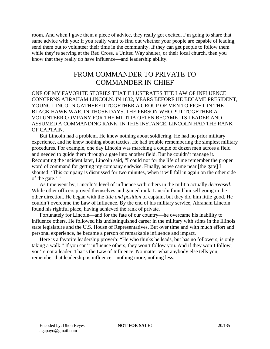room. And when I gave them a piece of advice, they really got excited. I'm going to share that same advice with you: If you really want to find out whether your people are capable of leading, send them out to volunteer their time in the community. If they can get people to follow them while they're serving at the Red Cross, a United Way shelter, or their local church, then you know that they really do have influence—and leadership ability.

### FROM COMMANDER TO PRIVATE TO COMMANDER IN CHIEF

ONE OF MY FAVORITE STORIES THAT ILLUSTRATES THE LAW OF INFLUENCE CONCERNS ABRAHAM LINCOLN. IN 1832, YEARS BEFORE HE BECAME PRESIDENT, YOUNG LINCOLN GATHERED TOGETHER A GROUP OF MEN TO FIGHT IN THE BLACK HAWK WAR. IN THOSE DAYS, THE PERSON WHO PUT TOGETHER A VOLUNTEER COMPANY FOR THE MILITIA OFTEN BECAME ITS LEADER AND ASSUMED A COMMANDING RANK. IN THIS INSTANCE, LINCOLN HAD THE RANK OF CAPTAIN.

But Lincoln had a problem. He knew nothing about soldiering. He had no prior military experience, and he knew nothing about tactics. He had trouble remembering the simplest military procedures. For example, one day Lincoln was marching a couple of dozen men across a field and needed to guide them through a gate into another field. But he couldn't manage it. Recounting the incident later, Lincoln said, "I could not for the life of me remember the proper word of command for getting my company endwise. Finally, as we came near [the gate] I shouted: 'This company is dismissed for two minutes, when it will fall in again on the other side of the gate.'"

As time went by, Lincoln's level of influence with others in the militia actually *decreased*. While other officers proved themselves and gained rank, Lincoln found himself going in the other direction. He began with the *title and position* of captain, but they did him little good. He couldn't overcome the Law of Influence. By the end of his military service, Abraham Lincoln found his rightful place, having achieved the rank of private.

Fortunately for Lincoln—and for the fate of our country—he overcame his inability to influence others. He followed his undistinguished career in the military with stints in the Illinois state legislature and the U.S. House of Representatives. But over time and with much effort and personal experience, he became a person of remarkable influence and impact.

Here is a favorite leadership proverb: "He who thinks he leads, but has no followers, is only taking a walk." If you can't influence others, they won't follow you. And if they won't follow, you're not a leader. That's the Law of Influence. No matter what anybody else tells you, remember that leadership is influence—nothing more, nothing less.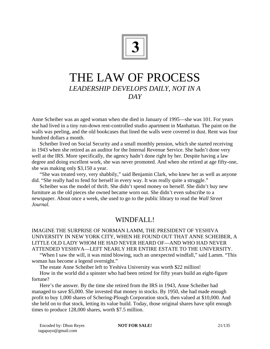## THE LAW OF PROCESS *LEADERSHIP DEVELOPS DAILY, NOT IN A DAY*

Anne Scheiber was an aged woman when she died in January of 1995—she was 101. For years she had lived in a tiny run-down rent-controlled studio apartment in Manhattan. The paint on the walls was peeling, and the old bookcases that lined the walls were covered in dust. Rent was four hundred dollars a month.

Scheiber lived on Social Security and a small monthly pension, which she started receiving in 1943 when she retired as an auditor for the Internal Revenue Service. She hadn't done very well at the IRS. More specifically, the agency hadn't done right by her. Despite having a law degree and doing excellent work, she was never promoted. And when she retired at age fifty-one, she was making only \$3,150 a year.

"She was treated very, very shabbily," said Benjamin Clark, who knew her as well as anyone did. "She really had to fend for herself in every way. It was really quite a struggle."

Scheiber was the model of thrift. She didn't spend money on herself. She didn't buy new furniture as the old pieces she owned became worn out. She didn't even subscribe to a newspaper. About once a week, she used to go to the public library to read the *Wall Street Journal*.

### WINDFALL!

#### IMAGINE THE SURPRISE OF NORMAN LAMM, THE PRESIDENT OF YESHIVA UNIVERSITY IN NEW YORK CITY, WHEN HE FOUND OUT THAT ANNE SCHEIBER, A LITTLE OLD LADY WHOM HE HAD NEVER HEARD OF—AND WHO HAD NEVER ATTENDED YESHIVA—LEFT NEARLY HER ENTIRE ESTATE TO THE UNIVERSITY.

"When I saw the will, it was mind blowing, such an unexpected windfall," said Lamm. "This woman has become a legend overnight."

The estate Anne Scheiber left to Yeshiva University was worth \$22 million!

How in the world did a spinster who had been retired for fifty years build an eight-figure fortune?

Here's the answer. By the time she retired from the IRS in 1943, Anne Scheiber had managed to save \$5,000. She invested that money in stocks. By 1950, she had made enough profit to buy 1,000 shares of Schering-Plough Corporation stock, then valued at \$10,000. And she held on to that stock, letting its value build. Today, those original shares have split enough times to produce 128,000 shares, worth \$7.5 million.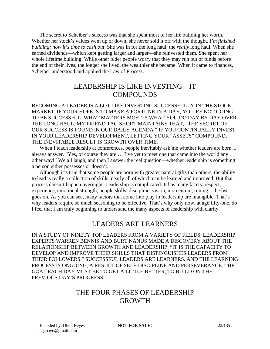The secret to Scheiber's success was that she spent most of her life building her worth. Whether her stock's values went up or down, she never sold it off with the thought, *I'm finished building; now it's time to cash out*. She was in for the long haul, the *really* long haul. When she earned dividends—which kept getting larger and larger—she reinvested them. She spent her whole lifetime building. While other older people worry that they may run out of funds before the end of their lives, the longer she lived, the wealthier she became. When it came to finances, Scheiber understood and applied the Law of Process.

### LEADERSHIP IS LIKE INVESTING—IT **COMPOUNDS**

BECOMING A LEADER IS A LOT LIKE INVESTING SUCCESSFULLY IN THE STOCK MARKET. IF YOUR HOPE IS TO MAKE A FORTUNE IN A DAY, YOU'RE NOT GOING TO BE SUCCESSFUL. WHAT MATTERS MOST IS WHAT YOU DO DAY BY DAY OVER THE LONG HAUL. MY FRIEND TAG SHORT MAINTAINS THAT, "THE SECRET OF OUR SUCCESS IS FOUND IN OUR DAILY AGENDA." IF YOU CONTINUALLY INVEST IN YOUR LEADERSHIP DEVELOPMENT, LETTING YOUR "ASSETS" COMPOUND, THE INEVITABLE RESULT IS GROWTH OVER TIME.

When I teach leadership at conferences, people inevitably ask me whether leaders are born. I always answer, "Yes, of course they are … I've yet to meet one that came into the world any other way!" We all laugh, and then I answer the real question—whether leadership is something a person either possesses or doesn't.

Although it's true that some people are born with greater natural gifts than others, the ability to lead is really a collection of skills, nearly all of which can be learned and improved. But that process doesn't happen overnight. Leadership is complicated. It has many facets: respect, experience, emotional strength, people skills, discipline, vision, momentum, timing—the list goes on. As you can see, many factors that come into play in leadership are intangible. That's why leaders require so much seasoning to be effective. That's why only now, at age fifty-one, do I feel that I am truly beginning to understand the many aspects of leadership with clarity.

#### LEADERS ARE LEARNERS

IN A STUDY OF NINETY TOP LEADERS FROM A VARIETY OF FIELDS, LEADERSHIP EXPERTS WARREN BENNIS AND BURT NANUS MADE A DISCOVERY ABOUT THE RELATIONSHIP BETWEEN GROWTH AND LEADERSHIP: "IT IS THE CAPACITY TO DEVELOP AND IMPROVE THEIR SKILLS THAT DISTINGUISHES LEADERS FROM THEIR FOLLOWERS." SUCCESSFUL LEADERS ARE LEARNERS. AND THE LEARNING PROCESS IS ONGOING, A RESULT OF SELF-DISCIPLINE AND PERSEVERANCE. THE GOAL EACH DAY MUST BE TO GET A LITTLE BETTER, TO BUILD ON THE PREVIOUS DAY'S PROGRESS.

## THE FOUR PHASES OF LEADERSHIP GROWTH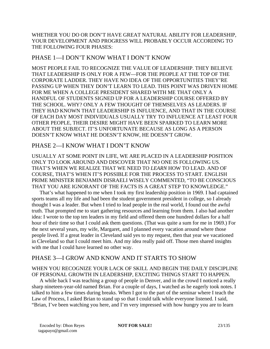WHETHER YOU DO OR DON'T HAVE GREAT NATURAL ABILITY FOR LEADERSHIP, YOUR DEVELOPMENT AND PROGRESS WILL PROBABLY OCCUR ACCORDING TO THE FOLLOWING FOUR PHASES:

#### PHASE 1—I DON'T KNOW WHAT I DON'T KNOW

MOST PEOPLE FAIL TO RECOGNIZE THE VALUE OF LEADERSHIP. THEY BELIEVE THAT LEADERSHIP IS ONLY FOR A FEW—FOR THE PEOPLE AT THE TOP OF THE CORPORATE LADDER. THEY HAVE NO IDEA OF THE OPPORTUNITIES THEY'RE PASSING UP WHEN THEY DON'T LEARN TO LEAD. THIS POINT WAS DRIVEN HOME FOR ME WHEN A COLLEGE PRESIDENT SHARED WITH ME THAT ONLY A HANDFUL OF STUDENTS SIGNED UP FOR A LEADERSHIP COURSE OFFERED BY THE SCHOOL. WHY? ONLY A FEW THOUGHT OF THEMSELVES AS LEADERS. IF THEY HAD KNOWN THAT LEADERSHIP IS INFLUENCE, AND THAT IN THE COURSE OF EACH DAY MOST INDIVIDUALS USUALLY TRY TO INFLUENCE AT LEAST FOUR OTHER PEOPLE, THEIR DESIRE MIGHT HAVE BEEN SPARKED TO LEARN MORE ABOUT THE SUBJECT. IT'S UNFORTUNATE BECAUSE AS LONG AS A PERSON DOESN'T KNOW WHAT HE DOESN'T KNOW, HE DOESN'T GROW.

#### PHASE 2—I KNOW WHAT I DON'T KNOW

USUALLY AT SOME POINT IN LIFE, WE ARE PLACED IN A LEADERSHIP POSITION ONLY TO LOOK AROUND AND DISCOVER THAT NO ONE IS FOLLOWING US. THAT'S WHEN WE REALIZE THAT WE NEED TO *LEARN* HOW TO LEAD. AND OF COURSE, THAT'S WHEN IT'S POSSIBLE FOR THE PROCESS TO START. ENGLISH PRIME MINISTER BENJAMIN DISRAELI WISELY COMMENTED, "TO BE CONSCIOUS THAT YOU ARE IGNORANT OF THE FACTS IS A GREAT STEP TO KNOWLEDGE."

That's what happened to me when I took my first leadership position in 1969. I had captained sports teams all my life and had been the student government president in college, so I already thought I was a leader. But when I tried to lead people in the real world, I found out the awful truth. That prompted me to start gathering resources and learning from them. I also had another idea: I wrote to the top ten leaders in my field and offered them one hundred dollars for a half hour of their time so that I could ask them questions. (That was quite a sum for me in 1969.) For the next several years, my wife, Margaret, and I planned every vacation around where those people lived. If a great leader in Cleveland said yes to my request, then that year we vacationed in Cleveland so that I could meet him. And my idea really paid off. Those men shared insights with me that I could have learned no other way.

### PHASE 3—I GROW AND KNOW AND IT STARTS TO SHOW

#### WHEN YOU RECOGNIZE YOUR LACK OF SKILL AND BEGIN THE DAILY DISCIPLINE OF PERSONAL GROWTH IN LEADERSHIP, EXCITING THINGS START TO HAPPEN.

A while back I was teaching a group of people in Denver, and in the crowd I noticed a really sharp nineteen-year-old named Brian. For a couple of days, I watched as he eagerly took notes. I talked to him a few times during breaks. When I got to the part of the seminar where I teach the Law of Process, I asked Brian to stand up so that I could talk while everyone listened. I said, "Brian, I've been watching you here, and I'm very impressed with how hungry you are to learn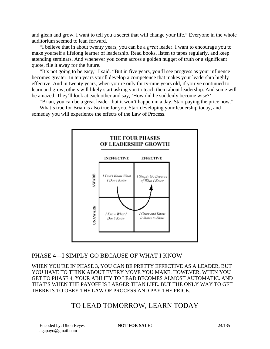and glean and grow. I want to tell you a secret that will change your life." Everyone in the whole auditorium seemed to lean forward.

"I believe that in about twenty years, you can be a *great* leader. I want to encourage you to make yourself a lifelong learner of leadership. Read books, listen to tapes regularly, and keep attending seminars. And whenever you come across a golden nugget of truth or a significant quote, file it away for the future.

"It's not going to be easy," I said. "But in five years, you'll see progress as your influence becomes greater. In ten years you'll develop a competence that makes your leadership highly effective. And in twenty years, when you're only thirty-nine years old, if you've continued to learn and grow, others will likely start asking you to teach them about leadership. And some will be amazed. They'll look at each other and say, 'How did he suddenly become wise?'

"Brian, you can be a great leader, but it won't happen in a day. Start paying the price now." What's true for Brian is also true for you. Start developing your leadership today, and someday you will experience the effects of the Law of Process.



#### PHASE 4—I SIMPLY GO BECAUSE OF WHAT I KNOW

WHEN YOU'RE IN PHASE 3, YOU CAN BE PRETTY EFFECTIVE AS A LEADER, BUT YOU HAVE TO THINK ABOUT EVERY MOVE YOU MAKE. HOWEVER, WHEN YOU GET TO PHASE 4, YOUR ABILITY TO LEAD BECOMES ALMOST AUTOMATIC. AND THAT'S WHEN THE PAYOFF IS LARGER THAN LIFE. BUT THE ONLY WAY TO GET THERE IS TO OBEY THE LAW OF PROCESS AND PAY THE PRICE.

## TO LEAD TOMORROW, LEARN TODAY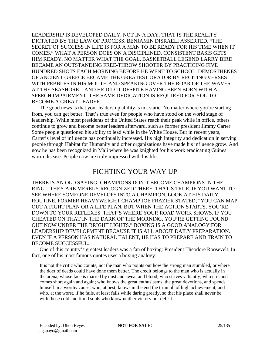LEADERSHIP IS DEVELOPED DAILY, NOT IN A DAY. THAT IS THE REALITY DICTATED BY THE LAW OF PROCESS. BENJAMIN DISRAELI ASSERTED, "THE SECRET OF SUCCESS IN LIFE IS FOR A MAN TO BE READY FOR HIS TIME WHEN IT COMES." WHAT A PERSON DOES ON A DISCIPLINED, CONSISTENT BASIS GETS HIM READY, NO MATTER WHAT THE GOAL. BASKETBALL LEGEND LARRY BIRD BECAME AN OUTSTANDING FREE-THROW SHOOTER BY PRACTICING FIVE HUNDRED SHOTS EACH MORNING BEFORE HE WENT TO SCHOOL. DEMOSTHENES OF ANCIENT GREECE BECAME THE GREATEST ORATOR BY RECITING VERSES WITH PEBBLES IN HIS MOUTH AND SPEAKING OVER THE ROAR OF THE WAVES AT THE SEASHORE—AND HE DID IT DESPITE HAVING BEEN BORN WITH A SPEECH IMPAIRMENT. THE SAME DEDICATION IS REQUIRED FOR YOU TO BECOME A GREAT LEADER.

The good news is that your leadership ability is not static. No matter where you're starting from, you can get better. That's true even for people who have stood on the world stage of leadership. While most presidents of the United States reach their peak while in office, others continue to grow and become better leaders afterward, such as former president Jimmy Carter. Some people questioned his ability to lead while in the White House. But in recent years, Carter's level of influence has continually increased. His high integrity and dedication in serving people through Habitat for Humanity and other organizations have made his influence grow. And now he has been recognized in Mali where he was knighted for his work eradicating Guinea worm disease. People now are truly impressed with his life.

#### FIGHTING YOUR WAY UP

THERE IS AN OLD SAYING: CHAMPIONS DON'T BECOME CHAMPIONS IN THE RING—THEY ARE MERELY RECOGNIZED THERE. THAT'S TRUE. IF YOU WANT TO SEE WHERE SOMEONE DEVELOPS INTO A CHAMPION, LOOK AT HIS DAILY ROUTINE. FORMER HEAVYWEIGHT CHAMP JOE FRAZIER STATED, "YOU CAN MAP OUT A FIGHT PLAN OR A LIFE PLAN. BUT WHEN THE ACTION STARTS, YOU'RE DOWN TO YOUR REFLEXES. THAT'S WHERE YOUR ROAD WORK SHOWS. IF YOU CHEATED ON THAT IN THE DARK OF THE MORNING, YOU'RE GETTING FOUND OUT NOW UNDER THE BRIGHT LIGHTS." BOXING IS A GOOD ANALOGY FOR LEADERSHIP DEVELOPMENT BECAUSE IT IS ALL ABOUT DAILY PREPARATION. EVEN IF A PERSON HAS NATURAL TALENT, HE HAS TO PREPARE AND TRAIN TO BECOME SUCCESSFUL.

One of this country's greatest leaders was a fan of boxing: President Theodore Roosevelt. In fact, one of his most famous quotes uses a boxing analogy:

It is not the critic who counts, not the man who points out how the strong man stumbled, or where the doer of deeds could have done them better. The credit belongs to the man who is actually in the arena; whose face is marred by dust and sweat and blood; who strives valiantly; who errs and comes short again and again; who knows the great enthusiasms, the great devotions, and spends himself in a worthy cause; who, at best, knows in the end the triumph of high achievement; and who, at the worst, if he fails, at least fails while daring greatly, so that his place shall never be with those cold and timid souls who know neither victory nor defeat.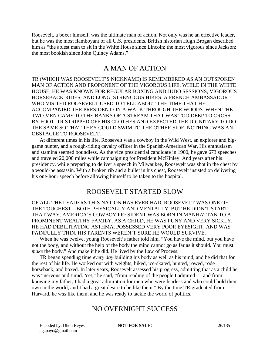Roosevelt, a boxer himself, was the ultimate man of action. Not only was he an effective leader, but he was the most flamboyant of all U.S. presidents. British historian Hugh Brogan described him as "the ablest man to sit in the White House since Lincoln; the most vigorous since Jackson; the most bookish since John Quincy Adams."

#### A MAN OF ACTION

TR (WHICH WAS ROOSEVELT'S NICKNAME) IS REMEMBERED AS AN OUTSPOKEN MAN OF ACTION AND PROPONENT OF THE VIGOROUS LIFE. WHILE IN THE WHITE HOUSE, HE WAS KNOWN FOR REGULAR BOXING AND JUDO SESSIONS, VIGOROUS HORSEBACK RIDES, AND LONG, STRENUOUS HIKES. A FRENCH AMBASSADOR WHO VISITED ROOSEVELT USED TO TELL ABOUT THE TIME THAT HE ACCOMPANIED THE PRESIDENT ON A WALK THROUGH THE WOODS. WHEN THE TWO MEN CAME TO THE BANKS OF A STREAM THAT WAS TOO DEEP TO CROSS BY FOOT, TR STRIPPED OFF HIS CLOTHES AND EXPECTED THE DIGNITARY TO DO THE SAME SO THAT THEY COULD SWIM TO THE OTHER SIDE. NOTHING WAS AN OBSTACLE TO ROOSEVELT.

At different times in his life, Roosevelt was a cowboy in the Wild West, an explorer and biggame hunter, and a rough-riding cavalry officer in the Spanish-American War. His enthusiasm and stamina seemed boundless. As the vice presidential candidate in 1900, he gave 673 speeches and traveled 20,000 miles while campaigning for President McKinley. And years after his presidency, while preparing to deliver a speech in Milwaukee, Roosevelt was shot in the chest by a would-be assassin. With a broken rib and a bullet in his chest, Roosevelt insisted on delivering his one-hour speech before allowing himself to be taken to the hospital.

#### ROOSEVELT STARTED SLOW

OF ALL THE LEADERS THIS NATION HAS EVER HAD, ROOSEVELT WAS ONE OF THE TOUGHEST—BOTH PHYSICALLY AND MENTALLY. BUT HE DIDN'T START THAT WAY. AMERICA'S COWBOY PRESIDENT WAS BORN IN MANHATTAN TO A PROMINENT WEALTHY FAMILY. AS A CHILD, HE WAS PUNY AND VERY SICKLY. HE HAD DEBILITATING ASTHMA, POSSESSED VERY POOR EYESIGHT, AND WAS PAINFULLY THIN. HIS PARENTS WEREN'T SURE HE WOULD SURVIVE.

When he was twelve, young Roosevelt's father told him, "You have the mind, but you have not the body, and without the help of the body the mind cannot go as far as it should. You must *make* the body." And make it he did. He lived by the Law of Process.

TR began spending time *every day* building his body as well as his mind, and he did that for the rest of his life. He worked out with weights, hiked, ice-skated, hunted, rowed, rode horseback, and boxed. In later years, Roosevelt assessed his progress, admitting that as a child he was "nervous and timid. Yet," he said, "from reading of the people I admired … and from knowing my father, I had a great admiration for men who were fearless and who could hold their own in the world, and I had a great desire to be like them." By the time TR graduated from Harvard, he *was* like them, and he was ready to tackle the world of politics.

### NO OVERNIGHT SUCCESS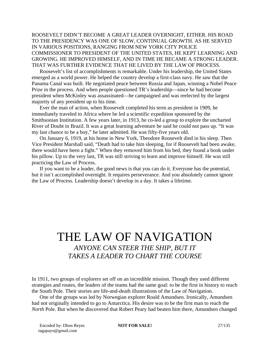ROOSEVELT DIDN'T BECOME A GREAT LEADER OVERNIGHT, EITHER. HIS ROAD TO THE PRESIDENCY WAS ONE OF SLOW, CONTINUAL GROWTH. AS HE SERVED IN VARIOUS POSITIONS, RANGING FROM NEW YORK CITY POLICE COMMISSIONER TO PRESIDENT OF THE UNITED STATES, HE KEPT LEARNING AND GROWING. HE IMPROVED HIMSELF, AND IN TIME HE BECAME A STRONG LEADER. THAT WAS FURTHER EVIDENCE THAT HE LIVED BY THE LAW OF PROCESS.

Roosevelt's list of accomplishments is remarkable. Under his leadership, the United States emerged as a world power. He helped the country develop a first-class navy. He saw that the Panama Canal was built. He negotiated peace between Russia and Japan, winning a Nobel Peace Prize in the process. And when people questioned TR's leadership—since he had become president when McKinley was assassinated—he campaigned and was reelected by the largest majority of any president up to his time.

Ever the man of action, when Roosevelt completed his term as president in 1909, he immediately traveled to Africa where he led a scientific expedition sponsored by the Smithsonian Institution. A few years later, in 1913, he co-led a group to explore the uncharted River of Doubt in Brazil. It was a great learning adventure he said he could not pass up. "It was my last chance to be a boy," he later admitted. He was fifty-five years old.

On January 6, 1919, at his home in New York, Theodore Roosevelt died in his sleep. Then Vice President Marshall said, "Death had to take him sleeping, for if Roosevelt had been awake, there would have been a fight." When they removed him from his bed, they found a book under his pillow. Up to the very last, TR was still striving to learn and improve himself. He was still practicing the Law of Process.

If you want to be a leader, the good news is that you can do it. Everyone has the potential, but it isn't accomplished overnight. It requires perseverance. And you absolutely cannot ignore the Law of Process. Leadership doesn't develop in a day. It takes a lifetime.

## THE LAW OF NAVIGATION *ANYONE CAN STEER THE SHIP, BUT IT TAKES A LEADER TO CHART THE COURSE*

In 1911, two groups of explorers set off on an incredible mission. Though they used different strategies and routes, the leaders of the teams had the same goal: to be the first in history to reach the South Pole. Their stories are life-and-death illustrations of the Law of Navigation.

One of the groups was led by Norwegian explorer Roald Amundsen. Ironically, Amundsen had not originally intended to go to Antarctica. His desire was to be the first man to reach the *North* Pole. But when he discovered that Robert Peary had beaten him there, Amundsen changed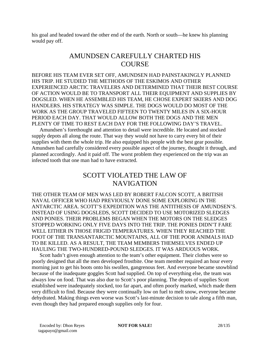his goal and headed toward the other end of the earth. North or south—he knew his planning would pay off.

## AMUNDSEN CAREFULLY CHARTED HIS **COURSE**

BEFORE HIS TEAM EVER SET OFF, AMUNDSEN HAD PAINSTAKINGLY PLANNED HIS TRIP. HE STUDIED THE METHODS OF THE ESKIMOS AND OTHER EXPERIENCED ARCTIC TRAVELERS AND DETERMINED THAT THEIR BEST COURSE OF ACTION WOULD BE TO TRANSPORT ALL THEIR EQUIPMENT AND SUPPLIES BY DOGSLED. WHEN HE ASSEMBLED HIS TEAM, HE CHOSE EXPERT SKIERS AND DOG HANDLERS. HIS STRATEGY WAS SIMPLE. THE DOGS WOULD DO MOST OF THE WORK AS THE GROUP TRAVELED FIFTEEN TO TWENTY MILES IN A SIX-HOUR PERIOD EACH DAY. THAT WOULD ALLOW BOTH THE DOGS AND THE MEN PLENTY OF TIME TO REST EACH DAY FOR THE FOLLOWING DAY'S TRAVEL.

Amundsen's forethought and attention to detail were incredible. He located and stocked supply depots all along the route. That way they would not have to carry every bit of their supplies with them the whole trip. He also equipped his people with the best gear possible. Amundsen had carefully considered every possible aspect of the journey, thought it through, and planned accordingly. And it paid off. The worst problem they experienced on the trip was an infected tooth that one man had to have extracted.

## SCOTT VIOLATED THE LAW OF NAVIGATION

THE OTHER TEAM OF MEN WAS LED BY ROBERT FALCON SCOTT, A BRITISH NAVAL OFFICER WHO HAD PREVIOUSLY DONE SOME EXPLORING IN THE ANTARCTIC AREA. SCOTT'S EXPEDITION WAS THE ANTITHESIS OF AMUNDSEN'S. INSTEAD OF USING DOGSLEDS, SCOTT DECIDED TO USE MOTORIZED SLEDGES AND PONIES. THEIR PROBLEMS BEGAN WHEN THE MOTORS ON THE SLEDGES STOPPED WORKING ONLY FIVE DAYS INTO THE TRIP. THE PONIES DIDN'T FARE WELL EITHER IN THOSE FRIGID TEMPERATURES. WHEN THEY REACHED THE FOOT OF THE TRANSANTARCTIC MOUNTAINS, ALL OF THE POOR ANIMALS HAD TO BE KILLED. AS A RESULT, THE TEAM MEMBERS THEMSELVES ENDED UP HAULING THE TWO-HUNDRED-POUND SLEDGES. IT WAS ARDUOUS WORK.

Scott hadn't given enough attention to the team's other equipment. Their clothes were so poorly designed that all the men developed frostbite. One team member required an hour every morning just to get his boots onto his swollen, gangrenous feet. And everyone became snowblind because of the inadequate goggles Scott had supplied. On top of everything else, the team was always low on food. That was also due to Scott's poor planning. The depots of supplies Scott established were inadequately stocked, too far apart, and often poorly marked, which made them very difficult to find. Because they were continually low on fuel to melt snow, everyone became dehydrated. Making things even worse was Scott's last-minute decision to tale along a fifth man, even though they had prepared enough supplies only for four.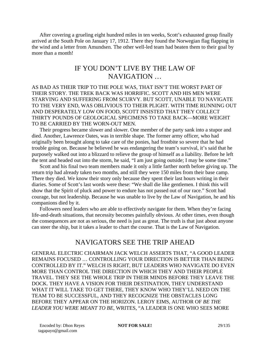After covering a grueling eight hundred miles in ten weeks, Scott's exhausted group finally arrived at the South Pole on January 17, 1912. There they found the Norwegian flag flapping in the wind and a letter from Amundsen. The other well-led team had beaten them to their goal by more than a month!

## IF YOU DON'T LIVE BY THE LAW OF NAVIGATION …

AS BAD AS THEIR TRIP TO THE POLE WAS, THAT ISN'T THE WORST PART OF THEIR STORY. THE TREK BACK WAS HORRIFIC. SCOTT AND HIS MEN WERE STARVING AND SUFFERING FROM SCURVY. BUT SCOTT, UNABLE TO NAVIGATE TO THE VERY END, WAS OBLIVIOUS TO THEIR PLIGHT. WITH TIME RUNNING OUT AND DESPERATELY LOW ON FOOD, SCOTT INSISTED THAT THEY COLLECT THIRTY POUNDS OF GEOLOGICAL SPECIMENS TO TAKE BACK—MORE WEIGHT TO BE CARRIED BY THE WORN-OUT MEN.

Their progress became slower and slower. One member of the party sank into a stupor and died. Another, Lawrence Oates, was in terrible shape. The former army officer, who had originally been brought along to take care of the ponies, had frostbite so severe that he had trouble going on. Because he believed he was endangering the team's survival, it's said that he purposely walked out into a blizzard to relieve the group of himself as a liability. Before he left the tent and headed out into the storm, he said, "I am just going outside; I may be some time."

Scott and his final two team members made it only a little farther north before giving up. The return trip had already taken two months, and still they were 150 miles from their base camp. There they died. We know their story only because they spent their last hours writing in their diaries. Some of Scott's last words were these: "We shall die like gentlemen. I think this will show that the Spirit of pluck and power to endure has not passed out of our race." Scott had courage, but not leadership. Because he was unable to live by the Law of Navigation, he and his companions died by it.

Followers need leaders who are able to effectively navigate for them. When they're facing life-and-death situations, that necessity becomes painfully obvious. At other times, even though the consequences are not as serious, the need is just as great. The truth is that just about anyone can steer the ship, but it takes a leader to chart the course. That is the Law of Navigation.

#### NAVIGATORS SEE THE TRIP AHEAD

GENERAL ELECTRIC CHAIRMAN JACK WELCH ASSERTS THAT, "A GOOD LEADER REMAINS FOCUSED … CONTROLLING YOUR DIRECTION IS BETTER THAN BEING CONTROLLED BY IT." WELCH IS RIGHT, BUT LEADERS WHO NAVIGATE DO EVEN MORE THAN CONTROL THE DIRECTION IN WHICH THEY AND THEIR PEOPLE TRAVEL. THEY SEE THE WHOLE TRIP IN THEIR MINDS BEFORE THEY LEAVE THE DOCK. THEY HAVE A VISION FOR THEIR DESTINATION, THEY UNDERSTAND WHAT IT WILL TAKE TO GET THERE, THEY KNOW WHO THEY'LL NEED ON THE TEAM TO BE SUCCESSFUL, AND THEY RECOGNIZE THE OBSTACLES LONG BEFORE THEY APPEAR ON THE HORIZON. LEROY EIMS, AUTHOR OF *BE THE LEADER YOU WERE MEANT TO BE,* WRITES, "A LEADER IS ONE WHO SEES MORE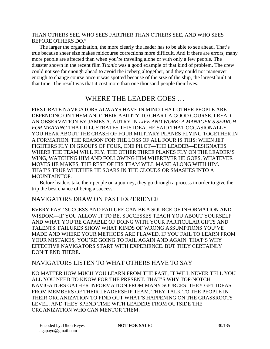#### THAN OTHERS SEE, WHO SEES FARTHER THAN OTHERS SEE, AND WHO SEES BEFORE OTHERS DO."

The larger the organization, the more clearly the leader has to be able to see ahead. That's true because sheer size makes midcourse corrections more difficult. And if there are errors, many more people are affected than when you're traveling alone or with only a few people. The disaster shown in the recent film *Titanic* was a good example of that kind of problem. The crew could not see far enough ahead to avoid the iceberg altogether, and they could not maneuver enough to change course once it was spotted because of the size of the ship, the largest built at that time. The result was that it cost more than one thousand people their lives.

## WHERE THE LEADER GOES …

FIRST-RATE NAVIGATORS ALWAYS HAVE IN MIND THAT OTHER PEOPLE ARE DEPENDING ON THEM AND THEIR ABILITY TO CHART A GOOD COURSE. I READ AN OBSERVATION BY JAMES A. AUTRY IN *LIFE AND WORK: A MANAGER'S SEARCH FOR MEANING* THAT ILLUSTRATES THIS IDEA. HE SAID THAT OCCASIONALLY YOU HEAR ABOUT THE CRASH OF FOUR MILITARY PLANES FLYING TOGETHER IN A FORMATION. THE REASON FOR THE LOSS OF ALL FOUR IS THIS: WHEN JET FIGHTERS FLY IN GROUPS OF FOUR, ONE PILOT—THE LEADER—DESIGNATES WHERE THE TEAM WILL FLY. THE OTHER THREE PLANES FLY ON THE LEADER'S WING, WATCHING HIM AND FOLLOWING HIM WHEREVER HE GOES. WHATEVER MOVES HE MAKES, THE REST OF HIS TEAM WILL MAKE ALONG WITH HIM. THAT'S TRUE WHETHER HE SOARS IN THE CLOUDS OR SMASHES INTO A MOUNTAINTOP.

Before leaders take their people on a journey, they go through a process in order to give the trip the best chance of being a success:

#### NAVIGATORS DRAW ON PAST EXPERIENCE

EVERY PAST SUCCESS AND FAILURE CAN BE A SOURCE OF INFORMATION AND WISDOM—IF YOU ALLOW IT TO BE. SUCCESSES TEACH YOU ABOUT YOURSELF AND WHAT YOU'RE CAPABLE OF DOING WITH YOUR PARTICULAR GIFTS AND TALENTS. FAILURES SHOW WHAT KINDS OF WRONG ASSUMPTIONS YOU'VE MADE AND WHERE YOUR METHODS ARE FLAWED. IF YOU FAIL TO LEARN FROM YOUR MISTAKES, YOU'RE GOING TO FAIL AGAIN AND AGAIN. THAT'S WHY EFFECTIVE NAVIGATORS START WITH EXPERIENCE. BUT THEY CERTAINLY DON'T END THERE.

#### NAVIGATORS LISTEN TO WHAT OTHERS HAVE TO SAY

NO MATTER HOW MUCH YOU LEARN FROM THE PAST, IT WILL NEVER TELL YOU ALL YOU NEED TO KNOW FOR THE PRESENT. THAT'S WHY TOP-NOTCH NAVIGATORS GATHER INFORMATION FROM MANY SOURCES. THEY GET IDEAS FROM MEMBERS OF THEIR LEADERSHIP TEAM. THEY TALK TO THE PEOPLE IN THEIR ORGANIZATION TO FIND OUT WHAT'S HAPPENING ON THE GRASSROOTS LEVEL. AND THEY SPEND TIME WITH LEADERS FROM OUTSIDE THE ORGANIZATION WHO CAN MENTOR THEM.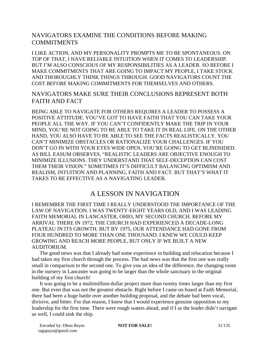#### NAVIGATORS EXAMINE THE CONDITIONS BEFORE MAKING **COMMITMENTS**

I LIKE ACTION, AND MY PERSONALITY PROMPTS ME TO BE SPONTANEOUS. ON TOP OF THAT, I HAVE RELIABLE INTUITION WHEN IT COMES TO LEADERSHIP. BUT I'M ALSO CONSCIOUS OF MY RESPONSIBILITIES AS A LEADER. SO BEFORE I MAKE COMMITMENTS THAT ARE GOING TO IMPACT MY PEOPLE, I TAKE STOCK AND THOROUGHLY THINK THINGS THROUGH. GOOD NAVIGATORS COUNT THE COST *BEFORE* MAKING COMMITMENTS FOR THEMSELVES AND OTHERS.

NAVIGATORS MAKE SURE THEIR CONCLUSIONS REPRESENT BOTH FAITH AND FACT

BEING ABLE TO NAVIGATE FOR OTHERS REQUIRES A LEADER TO POSSESS A POSITIVE ATTITUDE. YOU'VE GOT TO HAVE FAITH THAT YOU CAN TAKE YOUR PEOPLE ALL THE WAY. IF YOU CAN'T CONFIDENTLY MAKE THE TRIP IN YOUR MIND, YOU'RE NOT GOING TO BE ABLE TO TAKE IT IN REAL LIFE. ON THE OTHER HAND, YOU ALSO HAVE TO BE ABLE TO SEE THE FACTS REALISTICALLY. YOU CAN'T MINIMIZE OBSTACLES OR RATIONALIZE YOUR CHALLENGES. IF YOU DON'T GO IN WITH YOUR EYES WIDE OPEN, YOU'RE GOING TO GET BLINDSIDED. AS BILL EASUM OBSERVES, "REALISTIC LEADERS ARE OBJECTIVE ENOUGH TO MINIMIZE ILLUSIONS. THEY UNDERSTAND THAT SELF-DECEPTION CAN COST THEM THEIR VISION." SOMETIMES IT'S DIFFICULT BALANCING OPTIMISM AND REALISM, INTUITION AND PLANNING, FAITH AND FACT. BUT THAT'S WHAT IT TAKES TO BE EFFECTIVE AS A NAVIGATING LEADER.

### A LESSON IN NAVIGATION

I REMEMBER THE FIRST TIME I REALLY UNDERSTOOD THE IMPORTANCE OF THE LAW OF NAVIGATION. I WAS TWENTY-EIGHT YEARS OLD, AND I WAS LEADING FAITH MEMORIAL IN LANCASTER, OHIO, MY SECOND CHURCH. BEFORE MY ARRIVAL THERE IN 1972, THE CHURCH HAD EXPERIENCED A DECADE-LONG PLATEAU IN ITS GROWTH. BUT BY 1975, OUR ATTENDANCE HAD GONE FROM FOUR HUNDRED TO MORE THAN ONE THOUSAND. I KNEW WE COULD KEEP GROWING AND REACH MORE PEOPLE, BUT ONLY IF WE BUILT A NEW AUDITORIUM.

The good news was that I already had some experience in building and relocation because I had taken my first church through the process. The bad news was that the first one was really small in comparison to the second one. To give you an idea of the difference, the changing room in the nursery in Lancaster was going to be larger than the whole sanctuary in the original building of my first church!

It was going to be a multimillion-dollar project more than twenty times larger than my first one. But even that was not the greatest obstacle. Right before I came on board at Faith Memorial, there had been a huge battle over another building proposal, and the debate had been vocal, divisive, and bitter. For that reason, I knew that I would experience genuine opposition to my leadership for the first time. There were rough waters ahead, and if I as the leader didn't navigate us well, I could sink the ship.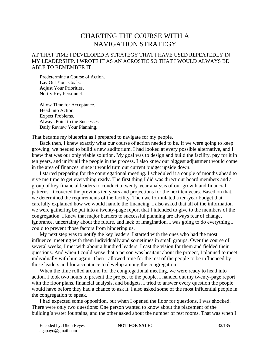## CHARTING THE COURSE WITH A NAVIGATION STRATEGY

#### AT THAT TIME I DEVELOPED A STRATEGY THAT I HAVE USED REPEATEDLY IN MY LEADERSHIP. I WROTE IT AS AN ACROSTIC SO THAT I WOULD ALWAYS BE ABLE TO REMEMBER IT:

**P**redetermine a Course of Action. **L**ay Out Your Goals. **A**djust Your Priorities. **N**otify Key Personnel.

**A**llow Time for Acceptance. **H**ead into Action. **E**xpect Problems. **A**lways Point to the Successes. **D**aily Review Your Planning.

That became my blueprint as I prepared to navigate for my people.

Back then, I knew exactly what our course of action needed to be. If we were going to keep growing, we needed to build a new auditorium. I had looked at every possible alternative, and I knew that was our only viable solution. My goal was to design and build the facility, pay for it in ten years, and unify all the people in the process. I also knew our biggest adjustment would come in the area of finances, since it would turn our current budget upside down.

I started preparing for the congregational meeting. I scheduled it a couple of months ahead to give me time to get everything ready. The first thing I did was direct our board members and a group of key financial leaders to conduct a twenty-year analysis of our growth and financial patterns. It covered the previous ten years and projections for the next ten years. Based on that, we determined the requirements of the facility. Then we formulated a ten-year budget that carefully explained how we would handle the financing. I also asked that all of the information we were gathering be put into a twenty-page report that I intended to give to the members of the congregation. I knew that major barriers to successful planning are always fear of change, ignorance, uncertainty about the future, and lack of imagination. I was going to do everything I could to prevent those factors from hindering us.

My next step was to notify the key leaders. I started with the ones who had the most influence, meeting with them individually and sometimes in small groups. Over the course of several weeks, I met with about a hundred leaders. I cast the vision for them and fielded their questions. And when I could sense that a person was hesitant about the project, I planned to meet individually with him again. Then I allowed time for the rest of the people to be influenced by those leaders and for acceptance to develop among the congregation.

When the time rolled around for the congregational meeting, we were ready to head into action. I took two hours to present the project to the people. I handed out my twenty-page report with the floor plans, financial analysis, and budgets. I tried to answer every question the people would have before they had a chance to ask it. I also asked some of the most influential people in the congregation to speak.

I had expected some opposition, but when I opened the floor for questions, I was shocked. There were only two questions: One person wanted to know about the placement of the building's water fountains, and the other asked about the number of rest rooms. That was when I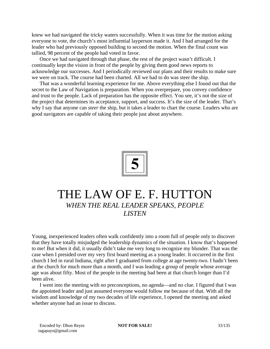knew we had navigated the tricky waters successfully. When it was time for the motion asking everyone to vote, the church's most influential layperson made it. And I had arranged for the leader who had previously opposed building to second the motion. When the final count was tallied, 98 percent of the people had voted in favor.

Once we had navigated through that phase, the rest of the project wasn't difficult. I continually kept the vision in front of the people by giving them good news reports to acknowledge our successes. And I periodically reviewed our plans and their results to make sure we were on track. The course had been charted. All we had to do was steer the ship.

That was a wonderful learning experience for me. Above everything else I found out that the secret to the Law of Navigation is preparation. When you overprepare, you convey confidence and trust to the people. Lack of preparation has the opposite effect. You see, it's not the size of the project that determines its acceptance, support, and success. It's the size of the leader. That's why I say that anyone can *steer* the ship, but it takes a leader to chart the course. Leaders who are good navigators are capable of taking their people just about anywhere.



## THE LAW OF E. F. HUTTON *WHEN THE REAL LEADER SPEAKS, PEOPLE LISTEN*

Young, inexperienced leaders often walk confidently into a room full of people only to discover that they have totally misjudged the leadership dynamics of the situation. I know that's happened to me! But when it did, it usually didn't take me very long to recognize my blunder. That was the case when I presided over my very first board meeting as a young leader. It occurred in the first church I led in rural Indiana, right after I graduated from college at age twenty-two. I hadn't been at the church for much more than a month, and I was leading a group of people whose average age was about fifty. Most of the people in the meeting had been at that church longer than I'd been alive.

I went into the meeting with no preconceptions, no agenda—and no clue. I figured that I was the appointed leader and just assumed everyone would follow me because of that. With all the wisdom and knowledge of my two decades of life experience, I opened the meeting and asked whether anyone had an issue to discuss.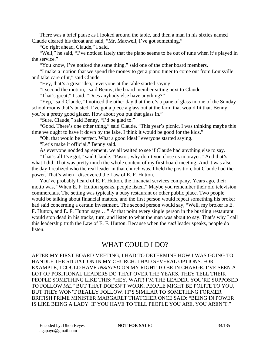There was a brief pause as I looked around the table, and then a man in his sixties named Claude cleared his throat and said, "Mr. Maxwell, I've got something."

"Go right ahead, Claude," I said.

"Well," he said, "I've noticed lately that the piano seems to be out of tune when it's played in the service."

"You know, I've noticed the same thing," said one of the other board members.

"I make a motion that we spend the money to get a piano tuner to come out from Louisville and take care of it," said Claude.

"Hey, that's a great idea," everyone at the table started saying.

"I second the motion," said Benny, the board member sitting next to Claude.

"That's great," I said. "Does anybody else have anything?"

"Yep," said Claude, "I noticed the other day that there's a pane of glass in one of the Sunday school rooms that's busted. I've got a piece a glass out at the farm that would fit that. Benny, you're a pretty good glazer. How about you put that glass in."

"Sure, Claude," said Benny, "I'd be glad to."

"Good. There's one other thing," said Claude. "This year's picnic. I was thinking maybe this time we ought to have it down by the lake. I think it would be good for the kids."

"Oh, that would be perfect. What a good idea!" everyone started saying.

"Let's make it official," Benny said.

As everyone nodded agreement, we all waited to see if Claude had anything else to say.

"That's all I've got," said Claude. "Pastor, why don't you close us in prayer." And that's what I did. That was pretty much the whole content of my first board meeting. And it was also the day I realized who the real leader in that church was. I held the position, but Claude had the power. That's when I discovered the Law of E. F. Hutton.

You've probably heard of E. F. Hutton, the financial services company. Years ago, their motto was, "When E. F. Hutton speaks, people listen." Maybe you remember their old television commercials. The setting was typically a busy restaurant or other public place. Two people would be talking about financial matters, and the first person would repeat something his broker had said concerning a certain investment. The second person would say, "Well, my broker is E. F. Hutton, and E. F. Hutton says …" At that point every single person in the bustling restaurant would stop dead in his tracks, turn, and listen to what the man was about to say. That's why I call this leadership truth the Law of E. F. Hutton. Because when the *real* leader speaks, people do listen.

## WHAT COULD I DO?

AFTER MY FIRST BOARD MEETING, I HAD TO DETERMINE HOW I WAS GOING TO HANDLE THE SITUATION IN MY CHURCH. I HAD SEVERAL OPTIONS. FOR EXAMPLE, I COULD HAVE *INSISTED* ON MY RIGHT TO BE IN CHARGE. I'VE SEEN A LOT OF POSITIONAL LEADERS DO THAT OVER THE YEARS. THEY TELL THEIR PEOPLE SOMETHING LIKE THIS: "HEY, WAIT! I'M THE LEADER. YOU'RE SUPPOSED TO FOLLOW *ME*." BUT THAT DOESN'T WORK. PEOPLE MIGHT BE POLITE TO YOU, BUT THEY WON'T REALLY FOLLOW. IT'S SIMILAR TO SOMETHING FORMER BRITISH PRIME MINISTER MARGARET THATCHER ONCE SAID: "BEING IN POWER IS LIKE BEING A LADY. IF YOU HAVE TO TELL PEOPLE YOU ARE, YOU AREN'T."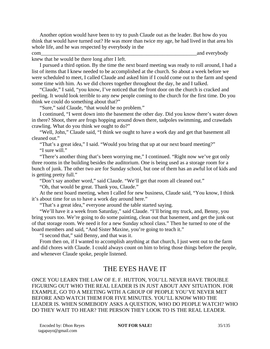Another option would have been to try to push Claude out as the leader. But how do you think that would have turned out? He was more than twice my age, he had lived in that area his whole life, and he was respected by everybody in the com and everybody and everybody and everybody and everybody

knew that he would be there long after I left.

I pursued a third option. By the time the next board meeting was ready to roll around, I had a list of items that I knew needed to be accomplished at the church. So about a week before we were scheduled to meet, I called Claude and asked him if I could come out to the farm and spend some time with him. As we did chores together throughout the day, he and I talked.

"Claude," I said, "you know, I've noticed that the front door on the church is cracked and peeling. It would look terrible to any new people coming to the church for the first time. Do you think we could do something about that?"

"Sure," said Claude, "that would be no problem."

I continued, "I went down into the basement the other day. Did you know there's water down in there? Shoot, there are frogs hopping around down there, tadpoles swimming, and crawdads crawling. What do you think we ought to do?"

"Well, John," Claude said, "I think we ought to have a work day and get that basement all cleaned out."

"That's a great idea," I said. "Would you bring that up at our next board meeting?" "I sure will."

"There's another thing that's been worrying me," I continued. "Right now we've got only three rooms in the building besides the auditorium. One is being used as a storage room for a bunch of junk. The other two are for Sunday school, but one of them has an awful lot of kids and is getting pretty full."

"Don't say another word," said Claude. "We'll get that room all cleaned out."

"Oh, that would be great. Thank you, Claude."

At the next board meeting, when I called for new business, Claude said, "You know, I think it's about time for us to have a work day around here."

"That's a great idea," everyone around the table started saying.

"We'll have it a week from Saturday," said Claude. "I'll bring my truck, and, Benny, you bring yours too. We're going to do some painting, clean out that basement, and get the junk out of that storage room. We need it for a new Sunday school class." Then he turned to one of the board members and said, "And Sister Maxine, you're going to teach it."

"I second that," said Benny, and that was it.

From then on, if I wanted to accomplish anything at that church, I just went out to the farm and did chores with Claude. I could always count on him to bring those things before the people, and whenever Claude spoke, people listened.

### THE EYES HAVE IT

ONCE YOU LEARN THE LAW OF E. F. HUTTON, YOU'LL NEVER HAVE TROUBLE FIGURING OUT WHO THE REAL LEADER IS IN JUST ABOUT ANY SITUATION. FOR EXAMPLE, GO TO A MEETING WITH A GROUP OF PEOPLE YOU'VE NEVER MET BEFORE AND WATCH THEM FOR FIVE MINUTES. YOU'LL KNOW WHO THE LEADER IS. WHEN SOMEBODY ASKS A QUESTION, WHO DO PEOPLE WATCH? WHO DO THEY WAIT TO HEAR? THE PERSON THEY LOOK TO IS THE REAL LEADER.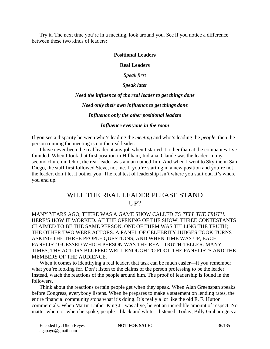Try it. The next time you're in a meeting, look around you. See if you notice a difference between these two kinds of leaders:

#### **Positional Leaders**

#### **Real Leaders**

*Speak first*

*Speak later* 

## *Need the influence of the real leader to get things done Need only their own influence to get things done Influence only the other positional leaders Influence everyone in the room*

If you see a disparity between who's leading the *meeting* and who's leading the *people,* then the person running the meeting is not the real leader.

I have never been the real leader at any job when I started it, other than at the companies I've founded. When I took that first position in Hillham, Indiana, Claude was the leader. In my second church in Ohio, the real leader was a man named Jim. And when I went to Skyline in San Diego, the staff first followed Steve, not me. If you're starting in a new position and you're not the leader, don't let it bother you. The real test of leadership isn't where you start out. It's where you end up.

## WILL THE REAL LEADER PLEASE STAND UP?

MANY YEARS AGO, THERE WAS A GAME SHOW CALLED *TO TELL THE TRUTH*. HERE'S HOW IT WORKED. AT THE OPENING OF THE SHOW, THREE CONTESTANTS CLAIMED TO BE THE SAME PERSON. ONE OF THEM WAS TELLING THE TRUTH; THE OTHER TWO WERE ACTORS. A PANEL OF CELEBRITY JUDGES TOOK TURNS ASKING THE THREE PEOPLE QUESTIONS, AND WHEN TIME WAS UP, EACH PANELIST GUESSED WHICH PERSON WAS THE REAL TRUTH-TELLER. MANY TIMES, THE ACTORS BLUFFED WELL ENOUGH TO FOOL THE PANELISTS AND THE MEMBERS OF THE AUDIENCE.

When it comes to identifying a real leader, that task can be much easier—if you remember what you're looking for. Don't listen to the claims of the person professing to be the leader. Instead, watch the reactions of the people around him. The proof of leadership is found in the followers.

Think about the reactions certain people get when they speak. When Alan Greenspan speaks before Congress, everybody listens. When he prepares to make a statement on lending rates, the entire financial community stops what it's doing. It's really a lot like the old E. F. Hutton commercials. When Martin Luther King Jr. was alive, he got an incredible amount of respect. No matter where or when he spoke, people—black and white—listened. Today, Billy Graham gets a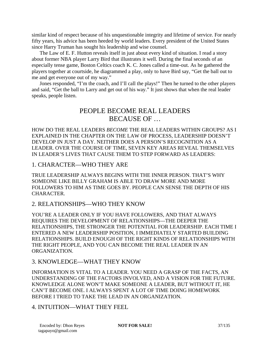similar kind of respect because of his unquestionable integrity and lifetime of service. For nearly fifty years, his advice has been heeded by world leaders. Every president of the United States since Harry Truman has sought his leadership and wise counsel.

The Law of E. F. Hutton reveals itself in just about every kind of situation. I read a story about former NBA player Larry Bird that illustrates it well. During the final seconds of an especially tense game, Boston Celtics coach K. C. Jones called a time-out. As he gathered the players together at courtside, he diagrammed a play, only to have Bird say, "Get the ball out to me and get everyone out of my way."

Jones responded, "I'm the coach, and I'll call the plays!" Then he turned to the other players and said, "Get the ball to Larry and get out of his way." It just shows that when the real leader speaks, people listen.

## PEOPLE BECOME REAL LEADERS BECAUSE OF …

HOW DO THE REAL LEADERS *BECOME* THE REAL LEADERS WITHIN GROUPS? AS I EXPLAINED IN THE CHAPTER ON THE LAW OF PROCESS, LEADERSHIP DOESN'T DEVELOP IN JUST A DAY. NEITHER DOES A PERSON'S RECOGNITION AS A LEADER. OVER THE COURSE OF TIME, SEVEN KEY AREAS REVEAL THEMSELVES IN LEADER'S LIVES THAT CAUSE THEM TO STEP FORWARD AS LEADERS:

1. CHARACTER—WHO THEY ARE

TRUE LEADERSHIP ALWAYS BEGINS WITH THE INNER PERSON. THAT'S WHY SOMEONE LIKE BILLY GRAHAM IS ABLE TO DRAW MORE AND MORE FOLLOWERS TO HIM AS TIME GOES BY. PEOPLE CAN SENSE THE DEPTH OF HIS CHARACTER.

#### 2. RELATIONSHIPS—WHO THEY KNOW

YOU'RE A LEADER ONLY IF YOU HAVE FOLLOWERS, AND THAT ALWAYS REQUIRES THE DEVELOPMENT OF RELATIONSHIPS—THE DEEPER THE RELATIONSHIPS, THE STRONGER THE POTENTIAL FOR LEADERSHIP. EACH TIME I ENTERED A NEW LEADERSHIP POSITION, I IMMEDIATELY STARTED BUILDING RELATIONSHIPS. BUILD ENOUGH OF THE RIGHT KINDS OF RELATIONSHIPS WITH THE RIGHT PEOPLE, AND YOU CAN BECOME THE REAL LEADER IN AN ORGANIZATION.

#### 3. KNOWLEDGE—WHAT THEY KNOW

INFORMATION IS VITAL TO A LEADER. YOU NEED A GRASP OF THE FACTS, AN UNDERSTANDING OF THE FACTORS INVOLVED, AND A VISION FOR THE FUTURE. KNOWLEDGE ALONE WON'T MAKE SOMEONE A LEADER, BUT WITHOUT IT, HE CAN'T BECOME ONE. I ALWAYS SPENT A LOT OF TIME DOING HOMEWORK BEFORE I TRIED TO TAKE THE LEAD IN AN ORGANIZATION.

## 4. INTUITION—WHAT THEY FEEL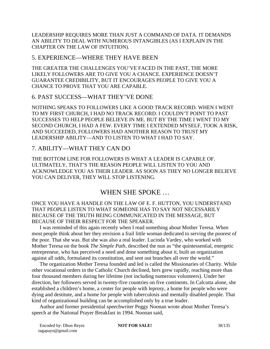LEADERSHIP REQUIRES MORE THAN JUST A COMMAND OF DATA. IT DEMANDS AN ABILITY TO DEAL WITH NUMEROUS INTANGIBLES (AS I EXPLAIN IN THE CHAPTER ON THE LAW OF INTUITION).

#### 5. EXPERIENCE—WHERE THEY HAVE BEEN

THE GREATER THE CHALLENGES YOU'VE FACED IN THE PAST, THE MORE LIKELY FOLLOWERS ARE TO GIVE YOU A CHANCE. EXPERIENCE DOESN'T GUARANTEE CREDIBILITY, BUT IT ENCOURAGES PEOPLE TO GIVE YOU A CHANCE TO PROVE THAT YOU ARE CAPABLE.

#### 6. PAST SUCCESS—WHAT THEY'VE DONE

NOTHING SPEAKS TO FOLLOWERS LIKE A GOOD TRACK RECORD. WHEN I WENT TO MY FIRST CHURCH, I HAD NO TRACK RECORD. I COULDN'T POINT TO PAST SUCCESSES TO HELP PEOPLE BELIEVE IN ME. BUT BY THE TIME I WENT TO MY SECOND CHURCH, I HAD A FEW. EVERY TIME I EXTENDED MYSELF, TOOK A RISK, AND SUCCEEDED, FOLLOWERS HAD ANOTHER REASON TO TRUST MY LEADERSHIP ABILITY—AND TO LISTEN TO WHAT I HAD TO SAY.

#### 7. ABILITY—WHAT THEY CAN DO

THE BOTTOM LINE FOR FOLLOWERS IS WHAT A LEADER IS CAPABLE OF. ULTIMATELY, THAT'S THE REASON PEOPLE WILL LISTEN TO YOU AND ACKNOWLEDGE YOU AS THEIR LEADER. AS SOON AS THEY NO LONGER BELIEVE YOU CAN DELIVER, THEY WILL STOP LISTENING.

## WHEN SHE SPOKE …

#### ONCE YOU HAVE A HANDLE ON THE LAW OF E. F. HUTTON, YOU UNDERSTAND THAT PEOPLE LISTEN TO WHAT SOMEONE HAS TO SAY NOT NECESSARILY BECAUSE OF THE TRUTH BEING COMMUNICATED IN THE MESSAGE, BUT BECAUSE OF THEIR RESPECT FOR THE SPEAKER.

I was reminded of this again recently when I read something about Mother Teresa. When most people think about her they envision a frail little woman dedicated to serving the poorest of the poor. That she was. But she was also a real leader. Lucinda Vardey, who worked with Mother Teresa on the book *The Simple Path,* described the nun as "the quintessential, energetic entrepreneur, who has perceived a need and done something about it, built an organization against all odds, formulated its constitution, and sent out branches all over the world."

The organization Mother Teresa founded and led is called the Missionaries of Charity. While other vocational orders in the Catholic Church declined, hers grew rapidly, reaching more than four thousand members during her lifetime (not including numerous volunteers). Under her direction, her followers served in twenty-five countries on five continents. In Calcutta alone, she established a children's home, a center for people with leprosy, a home for people who were dying and destitute, and a home for people with tuberculosis and mentally disabled people. That kind of organizational building can be accomplished only by a true leader.

Author and former presidential speechwriter Peggy Noonan wrote about Mother Teresa's speech at the National Prayer Breakfast in 1994. Noonan said,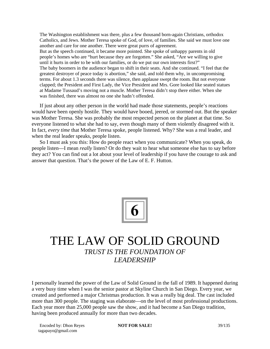The Washington establishment was there, plus a few thousand born-again Christians, orthodox Catholics, and Jews. Mother Teresa spoke of God, of love, of families. She said we must love one another and care for one another. There were great purrs of agreement. But as the speech continued, it became more pointed. She spoke of unhappy parents in old people's homes who are "hurt because they are forgotten." She asked, "Are we willing to give until it hurts in order to be with our families, or do we put our own interests first?" The baby boomers in the audience began to shift in their seats. And she continued. "I feel that the greatest destroyer of peace today is abortion," she said, and told them why, in uncompromising terms. For about 1.3 seconds there was silence, then applause swept the room. But not everyone clapped; the President and First Lady, the Vice President and Mrs. Gore looked like seated statues at Madame Tussaud's moving not a muscle. Mother Teresa didn't stop there either. When she was finished, there was almost no one she hadn't offended.

If just about any other person in the world had made those statements, people's reactions would have been openly hostile. They would have booed, jeered, or stormed out. But the speaker was Mother Teresa. She was probably the most respected person on the planet at that time. So everyone listened to what she had to say, even though many of them violently disagreed with it. In fact, *every time* that Mother Teresa spoke, people listened. Why? She was a real leader, and when the real leader speaks, people listen.

So I must ask you this: How do people react when you communicate? When you speak, do people listen—I mean *really* listen? Or do they wait to hear what someone else has to say before they act? You can find out a lot about your level of leadership if you have the courage to ask and answer that question. That's the power of the Law of E. F. Hutton.



# THE LAW OF SOLID GROUND *TRUST IS THE FOUNDATION OF LEADERSHIP*

I personally learned the power of the Law of Solid Ground in the fall of 1989. It happened during a very busy time when I was the senior pastor at Skyline Church in San Diego. Every year, we created and performed a major Christmas production. It was a really big deal. The cast included more than 300 people. The staging was elaborate—on the level of most professional productions. Each year more than 25,000 people saw the show, and it had become a San Diego tradition, having been produced annually for more than two decades.

Encoded by: Dhon Reyes **NOT FOR SALE!** 39/135 tagapayo@gmail.com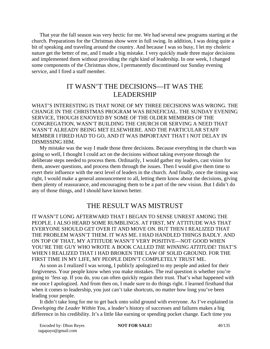That year the fall season was very hectic for me. We had several new programs starting at the church. Preparations for the Christmas show were in full swing. In addition, I was doing quite a bit of speaking and traveling around the country. And because I was so busy, I let my choleric nature get the better of me, and I made a big mistake. I very quickly made three major decisions and implemented them without providing the right kind of leadership. In one week, I changed some components of the Christmas show, I permanently discontinued our Sunday evening service, and I fired a staff member.

## IT WASN'T THE DECISIONS—IT WAS THE LEADERSHIP

WHAT'S INTERESTING IS THAT NONE OF MY THREE DECISIONS WAS WRONG. THE CHANGE IN THE CHRISTMAS PROGRAM WAS BENEFICIAL. THE SUNDAY EVENING SERVICE, THOUGH ENJOYED BY SOME OF THE OLDER MEMBERS OF THE CONGREGATION, WASN'T BUILDING THE CHURCH OR SERVING A NEED THAT WASN'T ALREADY BEING MET ELSEWHERE. AND THE PARTICULAR STAFF MEMBER I FIRED HAD TO GO, AND IT WAS IMPORTANT THAT I NOT DELAY IN DISMISSING HIM.

My mistake was the way I made those three decisions. Because everything in the church was going so well, I thought I could act on the decisions without taking everyone through the deliberate steps needed to process them. Ordinarily, I would gather my leaders, cast vision for them, answer questions, and process them through the issues. Then I would give them time to exert their influence with the next level of leaders in the church. And finally, once the timing was right, I would make a general announcement to all, letting them know about the decisions, giving them plenty of reassurance, and encouraging them to be a part of the new vision. But I didn't do any of those things, and I should have known better.

## THE RESULT WAS MISTRUST

IT WASN'T LONG AFTERWARD THAT I BEGAN TO SENSE UNREST AMONG THE PEOPLE. I ALSO HEARD SOME RUMBLINGS. AT FIRST, MY ATTITUDE WAS THAT EVERYONE SHOULD GET OVER IT AND MOVE ON. BUT THEN I REALIZED THAT THE PROBLEM WASN'T THEM. IT WAS ME. I HAD HANDLED THINGS BADLY. AND ON TOP OF THAT, MY ATTITUDE WASN'T VERY POSITIVE—NOT GOOD WHEN YOU'RE THE GUY WHO WROTE A BOOK CALLED *THE WINNING ATTITUDE*! THAT'S WHEN I REALIZED THAT I HAD BROKEN THE LAW OF SOLID GROUND. FOR THE FIRST TIME IN MY LIFE, MY PEOPLE DIDN'T COMPLETELY TRUST ME.

As soon as I realized I was wrong, I publicly apologized to my people and asked for their forgiveness. Your people know when you make mistakes. The real question is whether you're going to 'fess up. If you do, you can often quickly regain their trust. That's what happened with me once I apologized. And from then on, I made sure to do things right. I learned firsthand that when it comes to leadership, you just can't take shortcuts, no matter how long you've been leading your people.

It didn't take long for me to get back onto solid ground with everyone. As I've explained in *Developing the Leader Within You,* a leader's history of successes and failures makes a big difference in his credibility. It's a little like earning or spending pocket change. Each time you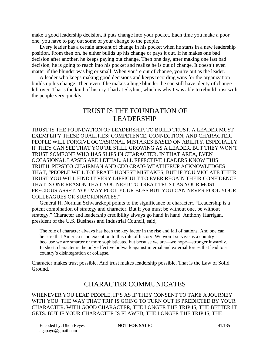make a good leadership decision, it puts change into your pocket. Each time you make a poor one, you have to pay out some of your change to the people.

Every leader has a certain amount of change in his pocket when he starts in a new leadership position. From then on, he either builds up his change or pays it out. If he makes one bad decision after another, he keeps paying out change. Then one day, after making one last bad decision, he is going to reach into his pocket and realize he is out of change. It doesn't even matter if the blunder was big or small. When you're out of change, you're out as the leader.

A leader who keeps making good decisions and keeps recording wins for the organization builds up his change. Then even if he makes a huge blunder, he can still have plenty of change left over. That's the kind of history I had at Skyline, which is why I was able to rebuild trust with the people very quickly.

## TRUST IS THE FOUNDATION OF LEADERSHIP

TRUST IS THE FOUNDATION OF LEADERSHIP. TO BUILD TRUST, A LEADER MUST EXEMPLIFY THESE QUALITIES: COMPETENCE, CONNECTION, AND CHARACTER. PEOPLE WILL FORGIVE OCCASIONAL MISTAKES BASED ON ABILITY, ESPECIALLY IF THEY CAN SEE THAT YOU'RE STILL GROWING AS A LEADER. BUT THEY WON'T TRUST SOMEONE WHO HAS SLIPS IN CHARACTER. IN THAT AREA, EVEN OCCASIONAL LAPSES ARE LETHAL. ALL EFFECTIVE LEADERS KNOW THIS TRUTH. PEPSICO CHAIRMAN AND CEO CRAIG WEATHERUP ACKNOWLEDGES THAT, "PEOPLE WILL TOLERATE HONEST MISTAKES, BUT IF YOU VIOLATE THEIR TRUST YOU WILL FIND IT VERY DIFFICULT TO EVER REGAIN THEIR CONFIDENCE. THAT IS ONE REASON THAT YOU NEED TO TREAT TRUST AS YOUR MOST PRECIOUS ASSET. YOU MAY FOOL YOUR BOSS BUT YOU CAN NEVER FOOL YOUR COLLEAGUES OR SUBORDINATES."

General H. Norman Schwarzkopf points to the significance of character:, "Leadership is a potent combination of strategy and character. But if you must be without one, be without strategy." Character and leadership credibility always go hand in hand. Anthony Harrigan, president of the U.S. Business and Industrial Council, said,

The role of character always has been the key factor in the rise and fall of nations. And one can be sure that America is no exception to this rule of history. We won't survive as a country because we are smarter or more sophisticated but because we are—we hope—stronger inwardly. In short, character is the only effective bulwark against internal and external forces that lead to a country's disintegration or collapse.

Character makes trust possible. And trust makes leadership possible. That is the Law of Solid Ground.

## CHARACTER COMMUNICATES

WHENEVER YOU LEAD PEOPLE, IT'S AS IF THEY CONSENT TO TAKE A JOURNEY WITH YOU. THE WAY THAT TRIP IS GOING TO TURN OUT IS PREDICTED BY YOUR CHARACTER. WITH GOOD CHARACTER, THE LONGER THE TRIP IS, THE BETTER IT GETS. BUT IF YOUR CHARACTER IS FLAWED, THE LONGER THE TRIP IS, THE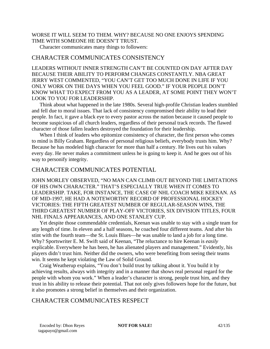WORSE IT WILL SEEM TO THEM. WHY? BECAUSE NO ONE ENJOYS SPENDING TIME WITH SOMEONE HE DOESN'T TRUST.

Character communicates many things to followers:

#### CHARACTER COMMUNICATES CONSISTENCY

LEADERS WITHOUT INNER STRENGTH CAN'T BE COUNTED ON DAY AFTER DAY BECAUSE THEIR ABILITY TO PERFORM CHANGES CONSTANTLY. NBA GREAT JERRY WEST COMMENTED, "YOU CAN'T GET TOO MUCH DONE IN LIFE IF YOU ONLY WORK ON THE DAYS WHEN YOU FEEL GOOD." IF YOUR PEOPLE DON'T KNOW WHAT TO EXPECT FROM YOU AS A LEADER, AT SOME POINT THEY WON'T LOOK TO YOU FOR LEADERSHIP.

Think about what happened in the late 1980s. Several high-profile Christian leaders stumbled and fell due to moral issues. That lack of consistency compromised their ability to lead their people. In fact, it gave a black eye to every pastor across the nation because it caused people to become suspicious of all church leaders, regardless of their personal track records. The flawed character of those fallen leaders destroyed the foundation for their leadership.

When I think of leaders who epitomize consistency of character, the first person who comes to mind is Billy Graham. Regardless of personal religious beliefs, everybody trusts him. Why? Because he has modeled high character for more than half a century. He lives out his values every day. He never makes a commitment unless he is going to keep it. And he goes out of his way to personify integrity.

#### CHARACTER COMMUNICATES POTENTIAL

JOHN MORLEY OBSERVED, "NO MAN CAN CLIMB OUT BEYOND THE LIMITATIONS OF HIS OWN CHARACTER." THAT'S ESPECIALLY TRUE WHEN IT COMES TO LEADERSHIP. TAKE, FOR INSTANCE, THE CASE OF NHL COACH MIKE KEENAN. AS OF MID-1997, HE HAD A NOTEWORTHY RECORD OF PROFESSIONAL HOCKEY VICTORIES: THE FIFTH GREATEST NUMBER OF REGULAR-SEASON WINS, THE THIRD GREATEST NUMBER OF PLAY-OFF VICTORIES, SIX DIVISION TITLES, FOUR NHL FINALS APPEARANCES, AND ONE STANLEY CUP.

Yet despite those commendable credentials, Keenan was unable to stay with a single team for any length of time. In eleven and a half seasons, he coached four different teams. And after his stint with the fourth team—the St. Louis Blues—he was unable to land a job for a long time. Why? Sportswriter E. M. Swift said of Keenan, "The reluctance to hire Keenan is *easily* explicable. Everywhere he has been, he has alienated players and management." Evidently, his players didn't trust him. Neither did the owners, who were benefiting from seeing their teams win. It seems he kept violating the Law of Solid Ground.

Craig Weatherup explains, "You don't build trust by talking about it. You build it by achieving results, always with integrity and in a manner that shows real personal regard for the people with whom you work." When a leader's character is strong, people trust him, and they trust in his ability to release their potential. That not only gives followers hope for the future, but it also promotes a strong belief in themselves and their organization.

#### CHARACTER COMMUNICATES RESPECT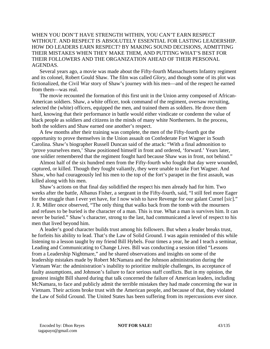#### WHEN YOU DON'T HAVE STRENGTH WITHIN, YOU CAN'T EARN RESPECT WITHOUT. AND RESPECT IS ABSOLUTELY ESSENTIAL FOR LASTING LEADERSHIP. HOW DO LEADERS EARN RESPECT? BY MAKING SOUND DECISIONS, ADMITTING THEIR MISTAKES WHEN THEY MAKE THEM, AND PUTTING WHAT'S BEST FOR THEIR FOLLOWERS AND THE ORGANIZATION AHEAD OF THEIR PERSONAL AGENDAS.

Several years ago, a movie was made about the Fifty-fourth Massachusetts Infantry regiment and its colonel, Robert Gould Shaw. The film was called *Glory,* and though some of its plot was fictionalized, the Civil War story of Shaw's journey with his men—and of the respect he earned from them—was real.

The movie recounted the formation of this first unit in the Union army composed of African-American soldiers. Shaw, a white officer, took command of the regiment, oversaw recruiting, selected the (white) officers, equipped the men, and trained them as soldiers. He drove them hard, knowing that their performance in battle would either vindicate or condemn the value of black people as soldiers and citizens in the minds of many white Northerners. In the process, both the soldiers and Shaw earned one another's respect.

A few months after their training was complete, the men of the Fifty-fourth got the opportunity to prove themselves in the Union assault on Confederate Fort Wagner in South Carolina. Shaw's biographer Russell Duncan said of the attack: "With a final admonition to 'prove yourselves men,' Shaw positioned himself in front and ordered, 'forward.' Years later, one soldier remembered that the regiment fought hard because Shaw was in front, not behind."

Almost half of the six hundred men from the Fifty-fourth who fought that day were wounded, captured, or killed. Though they fought valiantly, they were unable to take Fort Wagner. And Shaw, who had courageously led his men to the top of the fort's parapet in the first assault, was killed along with his men.

Shaw's actions on that final day solidified the respect his men already had for him. Two weeks after the battle, Albanus Fisher, a sergeant in the Fifty-fourth, said, "I still feel more Eager for the struggle than I ever yet have, for I now wish to have Revenge for our galant Curnel [*sic*]." J. R. Miller once observed, "The only thing that walks back from the tomb with the mourners and refuses to be buried is the character of a man. This is true. What a man is survives him. It can never be buried." Shaw's character, strong to the last, had communicated a level of respect to his men that lived beyond him.

A leader's good character builds trust among his followers. But when a leader breaks trust, he forfeits his ability to lead. That's the Law of Solid Ground. I was again reminded of this while listening to a lesson taught by my friend Bill Hybels. Four times a year, he and I teach a seminar, Leading and Communicating to Change Lives. Bill was conducting a session titled "Lessons from a Leadership Nightmare," and he shared observations and insights on some of the leadership mistakes made by Robert McNamara and the Johnson administration during the Vietnam War: the administration's inability to prioritize multiple challenges, its acceptance of faulty assumptions, and Johnson's failure to face serious staff conflicts. But in my opinion, the greatest insight Bill shared during that talk concerned the failure of American leaders, including McNamara, to face and publicly admit the terrible mistakes they had made concerning the war in Vietnam. Their actions broke trust with the American people, and because of that, they violated the Law of Solid Ground. The United States has been suffering from its repercussions ever since.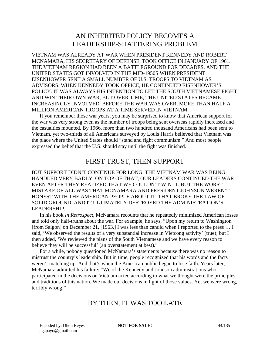## AN INHERITED POLICY BECOMES A LEADERSHIP-SHATTERING PROBLEM

VIETNAM WAS ALREADY AT WAR WHEN PRESIDENT KENNEDY AND ROBERT MCNAMARA, HIS SECRETARY OF DEFENSE, TOOK OFFICE IN JANUARY OF 1961. THE VIETNAM REGION HAD BEEN A BATTLEGROUND FOR DECADES, AND THE UNITED STATES GOT INVOLVED IN THE MID-1950S WHEN PRESIDENT EISENHOWER SENT A SMALL NUMBER OF U.S. TROOPS TO VIETNAM AS ADVISORS. WHEN KENNEDY TOOK OFFICE, HE CONTINUED EISENHOWER'S POLICY. IT WAS ALWAYS HIS INTENTION TO LET THE SOUTH VIETNAMESE FIGHT AND WIN THEIR OWN WAR, BUT OVER TIME, THE UNITED STATES BECAME INCREASINGLY INVOLVED. BEFORE THE WAR WAS OVER, MORE THAN HALF A MILLION AMERICAN TROOPS AT A TIME SERVED IN VIETNAM.

If you remember those war years, you may be surprised to know that American support for the war was very strong even as the number of troops being sent overseas rapidly increased and the casualties mounted. By 1966, more than two hundred thousand Americans had been sent to Vietnam, yet two-thirds of all Americans surveyed by Louis Harris believed that Vietnam was the place where the United States should "stand and fight communism." And most people expressed the belief that the U.S. should stay until the fight was finished.

## FIRST TRUST, THEN SUPPORT

BUT SUPPORT DIDN'T CONTINUE FOR LONG. THE VIETNAM WAR WAS BEING HANDLED VERY BADLY. ON TOP OF THAT, OUR LEADERS CONTINUED THE WAR EVEN AFTER THEY REALIZED THAT WE COULDN'T WIN IT. BUT THE WORST MISTAKE OF ALL WAS THAT MCNAMARA AND PRESIDENT JOHNSON WEREN'T HONEST WITH THE AMERICAN PEOPLE ABOUT IT. THAT BROKE THE LAW OF SOLID GROUND, AND IT ULTIMATELY DESTROYED THE ADMINISTRATION'S LEADERSHIP.

In his book *In Retrospect,* McNamara recounts that he repeatedly minimized American losses and told only half-truths about the war. For example, he says, "Upon my return to Washington [from Saigon] on December 21, [1963,] I was less than candid when I reported to the press … I said, 'We observed the results of a very substantial increase in Vietcong activity' (true); but I then added, 'We reviewed the plans of the South Vietnamese and we have every reason to believe they will be successful' (an overstatement at best)."

For a while, nobody questioned McNamara's statements because there was no reason to mistrust the country's leadership. But in time, people recognized that his words and the facts weren't matching up. And that's when the American public began to lose faith. Years later, McNamara admitted his failure: "We of the Kennedy and Johnson administrations who participated in the decisions on Vietnam acted according to what we thought were the principles and traditions of this nation. We made our decisions in light of those values. Yet we were wrong, terribly wrong."

## BY THEN, IT WAS TOO LATE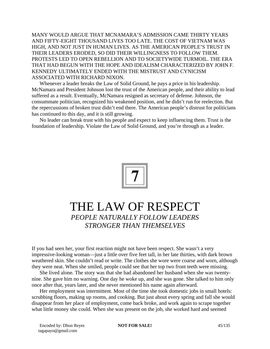MANY WOULD ARGUE THAT MCNAMARA'S ADMISSION CAME THIRTY YEARS AND FIFTY-EIGHT THOUSAND LIVES TOO LATE. THE COST OF VIETNAM WAS HIGH, AND NOT JUST IN HUMAN LIVES. AS THE AMERICAN PEOPLE'S TRUST IN THEIR LEADERS ERODED, SO DID THEIR WILLINGNESS TO FOLLOW THEM. PROTESTS LED TO OPEN REBELLION AND TO SOCIETYWIDE TURMOIL. THE ERA THAT HAD BEGUN WITH THE HOPE AND IDEALISM CHARACTERIZED BY JOHN F. KENNEDY ULTIMATELY ENDED WITH THE MISTRUST AND CYNICISM ASSOCIATED WITH RICHARD NIXON.

Whenever a leader breaks the Law of Solid Ground, he pays a price in his leadership. McNamara and President Johnson lost the trust of the American people, and their ability to lead suffered as a result. Eventually, McNamara resigned as secretary of defense. Johnson, the consummate politician, recognized his weakened position, and he didn't run for reelection. But the repercussions of broken trust didn't end there. The American people's distrust for politicians has continued to this day, and it is still growing.

No leader can break trust with his people and expect to keep influencing them. Trust is the foundation of leadership. Violate the Law of Solid Ground, and you're through as a leader.



# THE LAW OF RESPECT *PEOPLE NATURALLY FOLLOW LEADERS STRONGER THAN THEMSELVES*

If you had seen her, your first reaction might not have been respect. She wasn't a very impressive-looking woman—just a little over five feet tall, in her late thirties, with dark brown weathered skin. She couldn't read or write. The clothes she wore were coarse and worn, although they were neat. When she smiled, people could see that her top two front teeth were missing.

She lived alone. The story was that she had abandoned her husband when she was twentynine. She gave him no warning. One day he woke up, and she was gone. She talked to him only once after that, years later, and she never mentioned his name again afterward.

Her employment was intermittent. Most of the time she took domestic jobs in small hotels: scrubbing floors, making up rooms, and cooking. But just about every spring and fall she would disappear from her place of employment, come back broke, and work again to scrape together what little money she could. When she was present on the job, she worked hard and seemed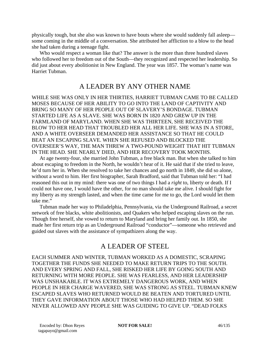physically tough, but she also was known to have bouts where she would suddenly fall asleep some coming in the middle of a conversation. She attributed her affliction to a blow to the head she had taken during a teenage fight.

Who would respect a woman like that? The answer is the more than three hundred slaves who followed her to freedom out of the South—they recognized and respected her leadership. So did just about every abolitionist in New England. The year was 1857. The woman's name was Harriet Tubman.

## A LEADER BY ANY OTHER NAME

WHILE SHE WAS ONLY IN HER THIRTIES, HARRIET TUBMAN CAME TO BE CALLED MOSES BECAUSE OF HER ABILITY TO GO INTO THE LAND OF CAPTIVITY AND BRING SO MANY OF HER PEOPLE OUT OF SLAVERY'S BONDAGE. TUBMAN STARTED LIFE AS A SLAVE. SHE WAS BORN IN 1820 AND GREW UP IN THE FARMLAND OF MARYLAND. WHEN SHE WAS THIRTEEN, SHE RECEIVED THE BLOW TO HER HEAD THAT TROUBLED HER ALL HER LIFE. SHE WAS IN A STORE, AND A WHITE OVERSEER DEMANDED HER ASSISTANCE SO THAT HE COULD BEAT AN ESCAPING SLAVE. WHEN SHE REFUSED AND BLOCKED THE OVERSEER'S WAY, THE MAN THREW A TWO-POUND WEIGHT THAT HIT TUBMAN IN THE HEAD. SHE NEARLY DIED, AND HER RECOVERY TOOK MONTHS.

At age twenty-four, she married John Tubman, a free black man. But when she talked to him about escaping to freedom in the North, he wouldn't hear of it. He said that if she tried to leave, he'd turn her in. When she resolved to take her chances and go north in 1849, she did so alone, without a word to him. Her first biographer, Sarah Bradford, said that Tubman told her: "I had reasoned this out in my mind: there was one of two things I had a *right* to, liberty or death. If I could not have one, I would have the other, for no man should take me alive. I should fight for my liberty as my strength lasted, and when the time came for me to go, the Lord would let them take me."

Tubman made her way to Philadelphia, Pennsylvania, via the Underground Railroad, a secret network of free blacks, white abolitionists, and Quakers who helped escaping slaves on the run. Though free herself, she vowed to return to Maryland and bring her family out. In 1850, she made her first return trip as an Underground Railroad "conductor"—someone who retrieved and guided out slaves with the assistance of sympathizers along the way.

## A LEADER OF STEEL

EACH SUMMER AND WINTER, TUBMAN WORKED AS A DOMESTIC, SCRAPING TOGETHER THE FUNDS SHE NEEDED TO MAKE RETURN TRIPS TO THE SOUTH. AND EVERY SPRING AND FALL, SHE RISKED HER LIFE BY GOING SOUTH AND RETURNING WITH MORE PEOPLE. SHE WAS FEARLESS, AND HER LEADERSHIP WAS UNSHAKABLE. IT WAS EXTREMELY DANGEROUS WORK, AND WHEN PEOPLE IN HER CHARGE WAVERED, SHE WAS STRONG AS STEEL. TUBMAN KNEW ESCAPED SLAVES WHO RETURNED WOULD BE BEATEN AND TORTURED UNTIL THEY GAVE INFORMATION ABOUT THOSE WHO HAD HELPED THEM. SO SHE NEVER ALLOWED ANY PEOPLE SHE WAS GUIDING TO GIVE UP. "DEAD FOLKS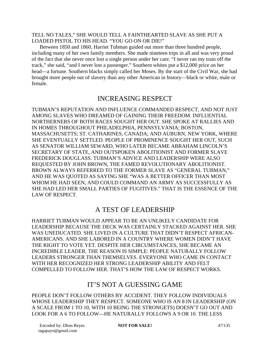TELL NO TALES," SHE WOULD TELL A FAINTHEARTED SLAVE AS SHE PUT A LOADED PISTOL TO HIS HEAD. "YOU GO ON OR DIE!"

Between 1850 and 1860, Harriet Tubman guided out more than three hundred people, including many of her own family members. She made nineteen trips in all and was very proud of the fact that she never once lost a single person under her care. "I never ran my train off the track," she said, "and I never lost a passenger." Southern whites put a \$12,000 price on her head—a fortune. Southern blacks simply called her Moses. By the start of the Civil War, she had brought more people out of slavery than any other American in history—black or white, male or female.

## INCREASING RESPECT

TUBMAN'S REPUTATION AND INFLUENCE COMMANDED RESPECT, AND NOT JUST AMONG SLAVES WHO DREAMED OF GAINING THEIR FREEDOM. INFLUENTIAL NORTHERNERS OF BOTH RACES SOUGHT HER OUT. SHE SPOKE AT RALLIES AND IN HOMES THROUGHOUT PHILADELPHIA, PENNSYLVANIA; BOSTON, MASSACHUSETTS; ST. CATHARINES, CANADA; AND AUBURN, NEW YORK, WHERE SHE EVENTUALLY SETTLED. PEOPLE OF PROMINENCE SOUGHT HER OUT, SUCH AS SENATOR WILLIAM SEWARD, WHO LATER BECAME ABRAHAM LINCOLN'S SECRETARY OF STATE, AND OUTSPOKEN ABOLITIONIST AND FORMER SLAVE FREDERICK DOUGLASS. TUBMAN'S ADVICE AND LEADERSHIP WERE ALSO REQUESTED BY JOHN BROWN, THE FAMED REVOLUTIONARY ABOLITIONIST. BROWN ALWAYS REFERRED TO THE FORMER SLAVE AS "GENERAL TUBMAN," AND HE WAS QUOTED AS SAYING SHE "WAS A BETTER OFFICER THAN MOST WHOM HE HAD SEEN, AND COULD COMMAND AN ARMY AS SUCCESSFULLY AS SHE HAD LED HER SMALL PARTIES OF FUGITIVES." THAT IS THE ESSENCE OF THE LAW OF RESPECT.

## A TEST OF LEADERSHIP

HARRIET TUBMAN WOULD APPEAR TO BE AN UNLIKELY CANDIDATE FOR LEADERSHIP BECAUSE THE DECK WAS CERTAINLY STACKED AGAINST HER. SHE WAS UNEDUCATED. SHE LIVED IN A CULTURE THAT DIDN'T RESPECT AFRICAN-AMERICANS. AND SHE LABORED IN A COUNTRY WHERE WOMEN DIDN'T HAVE THE RIGHT TO VOTE YET. DESPITE HER CIRCUMSTANCES, SHE BECAME AN INCREDIBLE LEADER. THE REASON IS SIMPLE: PEOPLE NATURALLY FOLLOW LEADERS STRONGER THAN THEMSELVES. EVERYONE WHO CAME IN CONTACT WITH HER RECOGNIZED HER STRONG LEADERSHIP ABILITY AND FELT COMPELLED TO FOLLOW HER. THAT'S HOW THE LAW OF RESPECT WORKS.

#### IT'S NOT A GUESSING GAME

PEOPLE DON'T FOLLOW OTHERS BY ACCIDENT. THEY FOLLOW INDIVIDUALS WHOSE LEADERSHIP THEY RESPECT. SOMEONE WHO IS AN 8 IN LEADERSHIP (ON A SCALE FROM 1 TO 10, WITH 10 BEING THE STRONGETS) DOESN'T GO OUT AND LOOK FOR A 6 TO FOLLOW—HE NATURALLY FOLLOWS A 9 OR 10. THE LESS

Encoded by: Dhon Reyes **NOT FOR SALE!** 47/135 tagapayo@gmail.com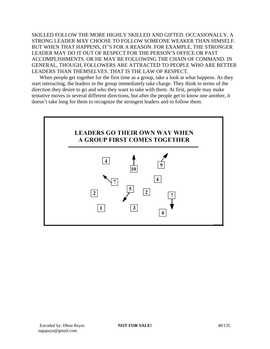SKILLED FOLLOW THE MORE HIGHLY SKILLED AND GIFTED. OCCASIONALLY, A STRONG LEADER MAY CHOOSE TO FOLLOW SOMEONE WEAKER THAN HIMSELF. BUT WHEN THAT HAPPENS, IT'S FOR A REASON. FOR EXAMPLE, THE STRONGER LEADER MAY DO IT OUT OF RESPECT FOR THE PERSON'S OFFICE OR PAST ACCOMPLISHMENTS. OR HE MAY BE FOLLOWING THE CHAIN OF COMMAND. IN GENERAL, THOUGH, FOLLOWERS ARE ATTRACTED TO PEOPLE WHO ARE BETTER LEADERS THAN THEMSELVES. THAT IS THE LAW OF RESPECT.

When people get together for the first time as a group, take a look at what happens. As they start interacting, the leaders in the group immediately take charge. They think in terms of the direction they desire to go and who they want to take with them. At first, people may make tentative moves in several different directions, but after the people get to know one another, it doesn't take long for them to recognize the strongest leaders and to follow them.

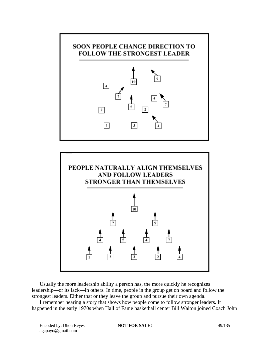



Usually the more leadership ability a person has, the more quickly he recognizes leadership—or its lack—in others. In time, people in the group get on board and follow the strongest leaders. Either that or they leave the group and pursue their own agenda.

I remember hearing a story that shows how people come to follow stronger leaders. It happened in the early 1970s when Hall of Fame basketball center Bill Walton joined Coach John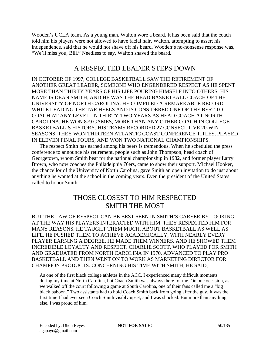Wooden's UCLA team. As a young man, Walton wore a beard. It has been said that the coach told him his players were not allowed to have facial hair. Walton, attempting to assert his independence, said that he would not shave off his beard. Wooden's no-nonsense response was, "We'll miss you, Bill." Needless to say, Walton shaved the beard.

## A RESPECTED LEADER STEPS DOWN

IN OCTOBER OF 1997, COLLEGE BASKETBALL SAW THE RETIREMENT OF ANOTHER GREAT LEADER, SOMEONE WHO ENGENDERED RESPECT AS HE SPENT MORE THAN THIRTY YEARS OF HIS LIFE POURING HIMSELF INTO OTHERS. HIS NAME IS DEAN SMITH, AND HE WAS THE HEAD BASKETBALL COACH OF THE UNIVERSITY OF NORTH CAROLINA. HE COMPILED A REMARKABLE RECORD WHILE LEADING THE TAR HEELS AND IS CONSIDERED ONE OF THE BEST TO COACH AT ANY LEVEL. IN THIRTY-TWO YEARS AS HEAD COACH AT NORTH CAROLINA, HE WON 879 GAMES, MORE THAN ANY OTHER COACH IN COLLEGE BASKETBALL'S HISTORY. HIS TEAMS RECORDED 27 CONSECUTIVE 20-WIN SEASONS. THEY WON THIRTEEN ATLANTIC COAST CONFERENCE TITLES, PLAYED IN ELEVEN FINAL FOURS, AND WON TWO NATIONAL CHAMPIONSHIPS.

The respect Smith has earned among his peers is tremendous. When he scheduled the press conference to announce his retirement, people such as John Thompson, head coach of Georgetown, whom Smith beat for the national championship in 1982, and former player Larry Brown, who now coaches the Philadelphia 76ers, came to show their support. Michael Hooker, the chancellor of the University of North Carolina, gave Smith an open invitation to do just about anything he wanted at the school in the coming years. Even the president of the United States called to honor Smith.

## THOSE CLOSEST TO HIM RESPECTED SMITH THE MOST

BUT THE LAW OF RESPECT CAN BE BEST SEEN IN SMITH'S CAREER BY LOOKING AT THE WAY HIS PLAYERS INTERACTED WITH HIM. THEY RESPECTED HIM FOR MANY REASONS. HE TAUGHT THEM MUCH, ABOUT BASKETBALL AS WELL AS LIFE. HE PUSHED THEM TO ACHIEVE ACADEMICALLY, WITH NEARLY EVERY PLAYER EARNING A DEGREE. HE MADE THEM WINNERS. AND HE SHOWED THEM INCREDIBLE LOYALTY AND RESPECT. CHARLIE SCOTT, WHO PLAYED FOR SMITH AND GRADUATED FROM NORTH CAROLINA IN 1970, ADVANCED TO PLAY PRO BASKETBALL AND THEN WENT ON TO WORK AS MARKETING DIRECTOR FOR CHAMPION PRODUCTS. CONCERNING HIS TIME WITH SMITH, HE SAID,

As one of the first black college athletes in the ACC, I experienced many difficult moments during my time at North Carolina, but Coach Smith was always there for me. On one occasion, as we walked off the court following a game at South Carolina, one of their fans called me a "big black baboon." Two assistants had to hold Coach Smith back from going after the guy. It was the first time I had ever seen Coach Smith visibly upset, and I was shocked. But more than anything else, I was proud of him.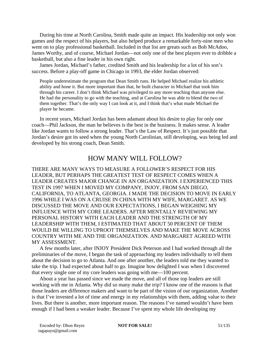During his time at North Carolina, Smith made quite an impact. His leadership not only won games and the respect of his players, but also helped produce a remarkable forty-nine men who went on to play professional basketball. Included in that list are greats such as Bob McAdoo, James Worthy, and of course, Michael Jordan—not only one of the best players ever to dribble a basketball, but also a fine leader in his own right.

James Jordan, Michael's father, credited Smith and his leadership for a lot of his son's success. Before a play-off game in Chicago in 1993, the elder Jordan observed:

People underestimate the program that Dean Smith runs. He helped Michael realize his athletic ability and hone it. But more important than that, he built character in Michael that took him through his career. I don't think Michael was privileged to any more teaching than anyone else. He had the personality to go with the teaching, and at Carolina he was able to blend the two of them together. That's the only way I can look at it, and I think that's what made Michael the player he became.

In recent years, Michael Jordan has been adamant about his desire to play for only one coach—Phil Jackson, the man he believes is the best in the business. It makes sense. A leader like Jordan wants to follow a strong leader. That's the Law of Respect. It's just possible that Jordan's desire got its seed when the young North Carolinian, still developing, was being led and developed by his strong coach, Dean Smith.

## HOW MANY WILL FOLLOW?

THERE ARE MANY WAYS TO MEASURE A FOLLOWER'S RESPECT FOR HIS LEADER, BUT PERHAPS THE GREATEST TEST OF RESPECT COMES WHEN A LEADER CREATES MAJOR CHANGE IN AN ORGANIZATION. I EXPERIENCED THIS TEST IN 1997 WHEN I MOVED MY COMPANY, INJOY, FROM SAN DIEGO, CALIFORNIA, TO ATLANTA, GEORGIA. I MADE THE DECISION TO MOVE IN EARLY 1996 WHILE I WAS ON A CRUISE IN CHINA WITH MY WIFE, MARGARET. AS WE DISCUSSED THE MOVE AND OUR EXPECTATIONS, I BEGAN WEIGHING MY INFLUENCE WITH MY CORE LEADERS. AFTER MENTALLY REVIEWING MY PERSONAL HISTORY WITH EACH LEADER AND THE STRENGTH OF MY LEADERSHIP WITH THEM, I ESTIMATED THAT ABOUT 50 PERCENT OF THEM WOULD BE WILLING TO UPROOT THEMSELVES AND MAKE THE MOVE ACROSS COUNTRY WITH ME AND THE ORGANIZATION. AND MARGARET AGREED WITH MY ASSESSMENT.

A few months later, after INJOY President Dick Peterson and I had worked through all the preliminaries of the move, I began the task of approaching my leaders individually to tell them about the decision to go to Atlanta. And one after another, the leaders told me they wanted to take the trip. I had expected about half to go. Imagine how delighted I was when I discovered that every single one of my core leaders was going with me—100 percent.

About a year has passed since we made the move, and all of those top leaders are still working with me in Atlanta. Why did so many make the trip? I know one of the reasons is that those leaders are difference makers and want to be part of the vision of our organization. Another is that I've invested a lot of time and energy in my relationships with them, adding value to their lives. But there is another, more important reason. The reasons I've named wouldn't have been enough if I had been a weaker leader. Because I've spent my whole life developing my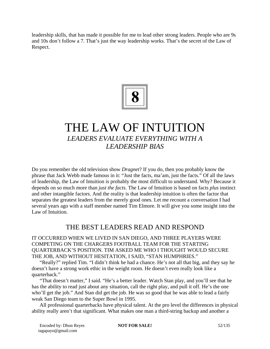leadership skills, that has made it possible for me to lead other strong leaders. People who are 9s and 10s don't follow a 7. That's just the way leadership works. That's the secret of the Law of Respect.



# THE LAW OF INTUITION *LEADERS EVALUATE EVERYTHING WITH A LEADERSHIP BIAS*

Do you remember the old television show *Dragnet*? If you do, then you probably know the phrase that Jack Webb made famous in it: "Just the facts, ma'am, just the facts." Of all the laws of leadership, the Law of Intuition is probably the most difficult to understand. Why? Because it depends on so much more than *just the facts*. The Law of Intuition is based on facts *plus* instinct and other intangible factors. And the reality is that leadership intuition is often the factor that separates the greatest leaders from the merely good ones. Let me recount a conversation I had several years ago with a staff member named Tim Elmore. It will give you some insight into the Law of Intuition.

## THE BEST LEADERS READ AND RESPOND

IT OCCURRED WHEN WE LIVED IN SAN DIEGO, AND THREE PLAYERS WERE COMPETING ON THE CHARGERS FOOTBALL TEAM FOR THE STARTING QUARTERBACK'S POSITION. TIM ASKED ME WHO I THOUGHT WOULD SECURE THE JOB, AND WITHOUT HESITATION, I SAID, "STAN HUMPHRIES."

"Really?" replied Tim. "I didn't think he had a chance. He's not all that big, and they say he doesn't have a strong work ethic in the weight room. He doesn't even really look like a quarterback."

"That doesn't matter," I said. "He's a better leader. Watch Stan play, and you'll see that he has the ability to read just about any situation, call the right play, and pull it off. He's the one who'll get the job." And Stan did get the job. He was so good that he was able to lead a fairly weak San Diego team to the Super Bowl in 1995.

All professional quarterbacks have physical talent. At the pro level the differences in physical ability really aren't that significant. What makes one man a third-string backup and another a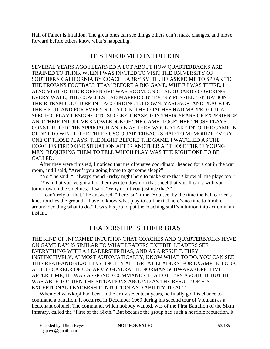Hall of Famer is intuition. The great ones can see things others can't, make changes, and move forward before others know what's happening.

## IT'S INFORMED INTUITION

SEVERAL YEARS AGO I LEARNED A LOT ABOUT HOW QUARTERBACKS ARE TRAINED TO THINK WHEN I WAS INVITED TO VISIT THE UNIVERSITY OF SOUTHERN CALIFORNIA BY COACH LARRY SMITH. HE ASKED ME TO SPEAK TO THE TROJANS FOOTBALL TEAM BEFORE A BIG GAME. WHILE I WAS THERE, I ALSO VISITED THEIR OFFENSIVE WAR ROOM. ON CHALKBOARDS COVERING EVERY WALL, THE COACHES HAD MAPPED OUT EVERY POSSIBLE SITUATION THEIR TEAM COULD BE IN—ACCORDING TO DOWN, YARDAGE, AND PLACE ON THE FIELD. AND FOR EVERY SITUATION, THE COACHES HAD MAPPED OUT A SPECIFIC PLAY DESIGNED TO SUCCEED, BASED ON THEIR YEARS OF EXPERIENCE AND THEIR INTUITIVE KNOWLEDGE OF THE GAME. TOGETHER THOSE PLAYS CONSTITUTED THE APPROACH AND BIAS THEY WOULD TAKE INTO THE GAME IN ORDER TO WIN IT. THE THREE USC QUARTERBACKS HAD TO MEMORIZE EVERY ONE OF THOSE PLAYS. THE NIGHT BEFORE THE GAME, I WATCHED AS THE COACHES FIRED ONE SITUATION AFTER ANOTHER AT THOSE THREE YOUNG MEN, REQUIRING THEM TO TELL WHICH PLAY WAS THE RIGHT ONE TO BE CALLED.

After they were finished, I noticed that the offensive coordinator headed for a cot in the war room, and I said, "Aren't you going home to get some sleep?"

"No," he said. "I always spend Friday night here to make sure that *I* know all the plays too."

"Yeah, but you've got all of them written down on that sheet that you'll carry with you tomorrow on the sidelines," I said. "Why don't you just use that?"

"I can't rely on that," he answered, "there isn't time. You see, by the time the ball carrier's knee touches the ground, I have to know what play to call next. There's no time to fumble around deciding what to do." It was his job to put the coaching staff's intuition into action in an instant.

## LEADERSHIP IS THEIR BIAS

THE KIND OF INFORMED INTUITION THAT COACHES AND QUARTERBACKS HAVE ON GAME DAY IS SIMILAR TO WHAT LEADERS EXHIBIT. LEADERS SEE EVERYTHING WITH A LEADERSHIP BIAS, AND AS A RESULT, THEY INSTINCTIVELY, ALMOST AUTOMATICALLY, KNOW WHAT TO DO. YOU CAN SEE THIS READ-AND-REACT INSTINCT IN ALL GREAT LEADERS. FOR EXAMPLE, LOOK AT THE CAREER OF U.S. ARMY GENERAL H. NORMAN SCHWARZKOPF. TIME AFTER TIME, HE WAS ASSIGNED COMMANDS THAT OTHERS AVOIDED, BUT HE WAS ABLE TO TURN THE SITUATIONS AROUND AS THE RESULT OF HIS EXCEPTIONAL LEADERSHIP INTUITION AND ABILITY TO ACT.

When Schwarzkopf had been in the army seventeen years, he finally got his chance to command a battalion. It occurred in December 1969 during his second tour of Vietnam as a lieutenant colonel. The command, which nobody wanted, was of the First Battalion of the Sixth Infantry, called the "First of the Sixth." But because the group had such a horrible reputation, it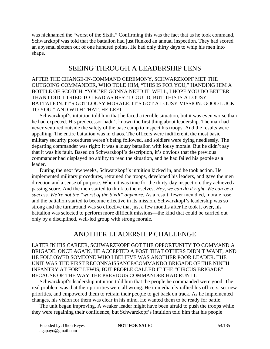was nicknamed the "worst of the Sixth." Confirming this was the fact that as he took command, Schwarzkopf was told that the battalion had just flunked an annual inspection. They had scored an abysmal sixteen out of one hundred points. He had only thirty days to whip his men into shape.

## SEEING THROUGH A LEADERSHIP LENS

#### AFTER THE CHANGE-IN-COMMAND CEREMONY, SCHWARZKOPF MET THE OUTGOING COMMANDER, WHO TOLD HIM, "THIS IS FOR YOU," HANDING HIM A BOTTLE OF SCOTCH. "YOU'RE GONNA NEED IT. WELL, I HOPE YOU DO BETTER THAN I DID. I TRIED TO LEAD AS BEST I COULD, BUT THIS IS A LOUSY BATTALION. IT'S GOT LOUSY MORALE. IT'S GOT A LOUSY MISSION. GOOD LUCK TO YOU." AND WITH THAT, HE LEFT.

Schwarzkopf's intuition told him that he faced a terrible situation, but it was even worse than he had expected. His predecessor hadn't known the first thing about leadership. The man had never ventured outside the safety of the base camp to inspect his troops. And the results were appalling. The entire battalion was in chaos. The officers were indifferent, the most basic military security procedures weren't being followed, and soldiers were dying needlessly. The departing commander was right: It was a lousy battalion with lousy morale. But he didn't say that it was his fault. Based on Schwarzkopf's description, it's obvious that the previous commander had displayed no ability to read the situation, and he had failed his people as a leader.

During the next few weeks, Schwarzkopf's intuition kicked in, and he took action. He implemented military procedures, retrained the troops, developed his leaders, and gave the men direction and a sense of purpose. When it was time for the thirty-day inspection, they achieved a passing score. And the men started to think to themselves, *Hey, we can do it right. We can be a success. We're not the "worst of the Sixth" anymore.* As a result, fewer men died, morale rose, and the battalion started to become effective in its mission. Schwarzkopf's leadership was so strong and the turnaround was so effective that just a few months after he took it over, his battalion was selected to perform more difficult missions—the kind that could be carried out only by a disciplined, well-led group with strong morale.

## ANOTHER LEADERSHIP CHALLENGE

LATER IN HIS CAREER, SCHWARZKOPF GOT THE OPPORTUNITY TO COMMAND A BRIGADE. ONCE AGAIN, HE ACCEPTED A POST THAT OTHERS DIDN'T WANT, AND HE FOLLOWED SOMEONE WHO I BELIEVE WAS ANOTHER POOR LEADER. THE UNIT WAS THE FIRST RECONNAISSANCE/COMMANDO BRIGADE OF THE NINTH INFANTRY AT FORT LEWIS, BUT PEOPLE CALLED IT THE "CIRCUS BRIGADE" BECAUSE OF THE WAY THE PREVIOUS COMMANDER HAD RUN IT.

Schwarzkopf's leadership intuition told him that the people he commanded were good. The real problem was that their priorities were all wrong. He immediately rallied his officers, set new priorities, and empowered them to retrain their people to get back on track. As he implemented changes, his vision for them was clear in his mind. He wanted them to be ready for battle.

The unit began improving. A weaker leader might have been afraid to push the troops while they were regaining their confidence, but Schwarzkopf's intuition told him that his people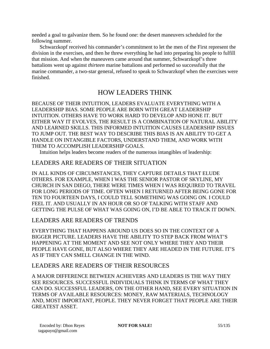needed a goal to galvanize them. So he found one: the desert maneuvers scheduled for the following summer.

Schwarzkopf received his commander's commitment to let the men of the First represent the division in the exercises, and then he threw everything he had into preparing his people to fulfill that mission. And when the maneuvers came around that summer, Schwarzkopf's three battalions went up against *thirteen* marine battalions and performed so successfully that the marine commander, a two-star general, refused to speak to Schwarzkopf when the exercises were finished.

## HOW LEADERS THINK

BECAUSE OF THEIR INTUITION, LEADERS EVALUATE EVERYTHING WITH A LEADERSHIP BIAS. SOME PEOPLE ARE BORN WITH GREAT LEADERSHIP INTUITION. OTHERS HAVE TO WORK HARD TO DEVELOP AND HONE IT. BUT EITHER WAY IT EVOLVES, THE RESULT IS A COMBINATION OF NATURAL ABILITY AND LEARNED SKILLS. THIS INFORMED INTUITION CAUSES LEADERSHIP ISSUES TO JUMP OUT. THE BEST WAY TO DESCRIBE THIS BIAS IS AN ABILITY TO GET A HANDLE ON INTANGIBLE FACTORS, UNDERSTAND THEM, AND WORK WITH THEM TO ACCOMPLISH LEADERSHIP GOALS.

Intuition helps leaders become readers of the numerous intangibles of leadership:

## LEADERS ARE READERS OF THEIR SITUATION

IN ALL KINDS OF CIRCUMSTANCES, THEY CAPTURE DETAILS THAT ELUDE OTHERS. FOR EXAMPLE, WHEN I WAS THE SENIOR PASTOR OF SKYLINE, MY CHURCH IN SAN DIEGO, THERE WERE TIMES WHEN I WAS REQUIRED TO TRAVEL FOR LONG PERIODS OF TIME. OFTEN WHEN I RETURNED AFTER BEING GONE FOR TEN TO FOURTEEN DAYS, I COULD TELL SOMETHING WAS GOING ON. I COULD FEEL IT. AND USUALLY IN AN HOUR OR SO OF TALKING WITH STAFF AND GETTING THE PULSE OF WHAT WAS GOING ON, I'D BE ABLE TO TRACK IT DOWN.

## LEADERS ARE READERS OF TRENDS

EVERYTHING THAT HAPPENS AROUND US DOES SO IN THE CONTEXT OF A BIGGER PICTURE. LEADERS HAVE THE ABILITY TO STEP BACK FROM WHAT'S HAPPENING AT THE MOMENT AND SEE NOT ONLY WHERE THEY AND THEIR PEOPLE HAVE GONE, BUT ALSO WHERE THEY ARE HEADED IN THE FUTURE. IT'S AS IF THEY CAN SMELL CHANGE IN THE WIND.

## LEADERS ARE READERS OF THEIR RESOURCES

A MAJOR DIFFERENCE BETWEEN ACHIEVERS AND LEADERS IS THE WAY THEY SEE RESOURCES. SUCCESSFUL INDIVIDUALS THINK IN TERMS OF WHAT THEY CAN DO. SUCCESSFUL LEADERS, ON THE OTHER HAND, SEE EVERY SITUATION IN TERMS OF AVAILABLE RESOURCES: MONEY, RAW MATERIALS, TECHNOLOGY AND, MOST IMPORTANT, PEOPLE. THEY NEVER FORGET THAT PEOPLE ARE THEIR GREATEST ASSET.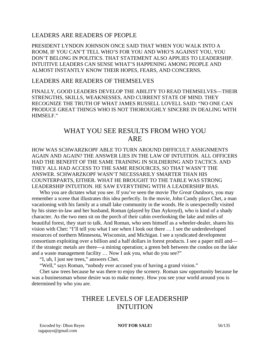#### LEADERS ARE READERS OF PEOPLE

PRESIDENT LYNDON JOHNSON ONCE SAID THAT WHEN YOU WALK INTO A ROOM, IF YOU CAN'T TELL WHO'S FOR YOU AND WHO'S AGAINST YOU, YOU DON'T BELONG IN POLITICS. THAT STATEMENT ALSO APPLIES TO LEADERSHIP. INTUITIVE LEADERS CAN SENSE WHAT'S HAPPENING AMONG PEOPLE AND ALMOST INSTANTLY KNOW THEIR HOPES, FEARS, AND CONCERNS.

#### LEADERS ARE READERS OF THEMSELVES

FINALLY, GOOD LEADERS DEVELOP THE ABILITY TO READ THEMSELVES—THEIR STRENGTHS, SKILLS, WEAKNESSES, AND CURRENT STATE OF MIND. THEY RECOGNIZE THE TRUTH OF WHAT JAMES RUSSELL LOVELL SAID: "NO ONE CAN PRODUCE GREAT THINGS WHO IS NOT THOROUGHLY SINCERE IN DEALING WITH HIMSELF."

## WHAT YOU SEE RESULTS FROM WHO YOU ARE

HOW WAS SCHWARZKOPF ABLE TO TURN AROUND DIFFICULT ASSIGNMENTS AGAIN AND AGAIN? THE ANSWER LIES IN THE LAW OF INTUITION. ALL OFFICERS HAD THE BENEFIT OF THE SAME TRAINING IN SOLDIERING AND TACTICS. AND THEY ALL HAD ACCESS TO THE SAME RESOURCES, SO THAT WASN'T THE ANSWER. SCHWARZKOPF WASN'T NECESSARILY SMARTER THAN HIS COUNTERPARTS, EITHER. WHAT HE BROUGHT TO THE TABLE WAS STRONG LEADERSHIP INTUITION. HE SAW EVERYTHING WITH A LEADERSHIP BIAS.

Who you are dictates what you see. If you've seen the movie *The Great Outdoors,* you may remember a scene that illustrates this idea perfectly. In the movie, John Candy plays Chet, a man vacationing with his family at a small lake community in the woods. He is unexpectedly visited by his sister-in-law and her husband, Roman (played by Dan Aykroyd), who is kind of a shady character. As the two men sit on the porch of their cabin overlooking the lake and miles of beautiful forest, they start to talk. And Roman, who sees himself as a wheeler-dealer, shares his vision with Chet: "I'll tell you what I see when I look out there … I see the underdeveloped resources of northern Minnesota, Wisconsin, and Michigan. I see a syndicated development consortium exploiting over a billion and a half dollars in forest products. I see a paper mill and if the strategic metals are there—a mining operation; a green belt between the condos on the lake and a waste management facility … Now I ask you, what do you see?"

"I, uh, I just see trees," answers Chet.

"Well," says Roman, "nobody ever accused you of having a grand vision."

Chet saw trees because he was there to enjoy the scenery. Roman saw opportunity because he was a businessman whose desire was to make money. How you see your world around you is determined by who you are.

## THREE LEVELS OF LEADERSHIP INTUITION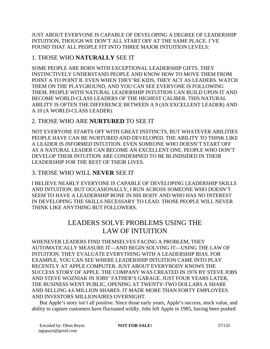JUST ABOUT EVERYONE IS CAPABLE OF DEVELOPING A DEGREE OF LEADERSHIP INTUITION, THOUGH WE DON'T ALL START OFF AT THE SAME PLACE. I'VE FOUND THAT ALL PEOPLE FIT INTO THREE MAJOR INTUITION LEVELS:

## 1. THOSE WHO **NATURALLY** SEE IT

SOME PEOPLE ARE BORN WITH EXCEPTIONAL LEADERSHIP GIFTS. THEY INSTINCTIVELY UNDERSTAND PEOPLE AND KNOW HOW TO MOVE THEM FROM POINT A TO POINT B. EVEN WHEN THEY'RE KIDS, THEY ACT AS LEADERS. WATCH THEM ON THE PLAYGROUND, AND YOU CAN SEE EVERYONE IS FOLLOWING THEM. PEOPLE WITH NATURAL LEADERSHIP INTUITION CAN BUILD UPON IT AND BECOME WORLD-CLASS LEADERS OF THE HIGHEST CALIBER. THIS NATURAL ABILITY IS OFTEN THE DIFFERENCE BETWEEN A 9 (AN EXCELLENT LEADER) AND A 10 (A WORLD-CLASS LEADER).

## 2. THOSE WHO ARE **NURTURED** TO SEE IT

NOT EVERYONE STARTS OFF WITH GREAT INSTINCTS, BUT WHATEVER ABILITIES PEOPLE HAVE CAN BE NURTURED AND DEVELOPED. THE ABILITY TO THINK LIKE A LEADER IS *INFORMED* INTUITION. EVEN SOMEONE WHO DOESN'T START OFF AS A NATURAL LEADER CAN BECOME AN EXCELLENT ONE. PEOPLE WHO DON'T DEVELOP THEIR INTUITION ARE CONDEMNED TO BE BLINDSIDED IN THEIR LEADERSHIP FOR THE REST OF THEIR LIVES.

## 3. THOSE WHO WILL **NEVER** SEE IT

I BELIEVE NEARLY EVERYONE IS CAPABLE OF DEVELOPING LEADERSHIP SKILLS AND INTUITION. BUT OCCASIONALLY, I RUN ACROSS SOMEONE WHO DOESN'T SEEM TO HAVE A LEADERSHIP BONE IN HIS BODY AND WHO HAS NO INTEREST IN DEVELOPING THE SKILLS NECESSARY TO LEAD. THOSE PEOPLE WILL NEVER THINK LIKE ANYTHING BUT FOLLOWERS.

## LEADERS SOLVE PROBLEMS USING THE LAW OF INTUITION

WHENEVER LEADERS FIND THEMSELVES FACING A PROBLEM, THEY AUTOMATICALLY MEASURE IT—AND BEGIN SOLVING IT—USING THE LAW OF INTUITION. THEY EVALUATE EVERYTHING WITH A LEADERSHIP BIAS. FOR EXAMPLE, YOU CAN SEE WHERE LEADERSHIP INTUITION CAME INTO PLAY RECENTLY AT APPLE COMPUTER. JUST ABOUT EVERYBODY KNOWS THE SUCCESS STORY OF APPLE. THE COMPANY WAS CREATED IN 1976 BY STEVE JOBS AND STEVE WOZNIAK IN JOBS' FATHER'S GARAGE. JUST FOUR YEARS LATER, THE BUSINESS WENT PUBLIC, OPENING AT TWENTY-TWO DOLLARS A SHARE AND SELLING 4.6 MILLION SHARES. IT MADE MORE THAN FORTY EMPLOYEES AND INVESTORS MILLIONAIRES OVERNIGHT.

But Apple's story isn't all positive. Since those early years, Apple's success, stock value, and ability to capture customers have fluctuated wildly. Jobs left Apple in 1985, having been pushed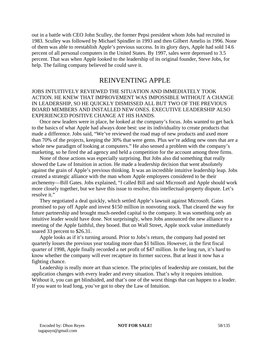out in a battle with CEO John Sculley, the former Pepsi president whom Jobs had recruited in 1983. Sculley was followed by Michael Spindler in 1993 and then Gilbert Amelio in 1996. None of them was able to reestablish Apple's previous success. In its glory days, Apple had sold 14.6 percent of all personal computers in the United States. By 1997, sales were depressed to 3.5 percent. That was when Apple looked to the leadership of its original founder, Steve Jobs, for help. The failing company believed he could save it.

#### REINVENTING APPLE

#### JOBS INTUITIVELY REVIEWED THE SITUATION AND IMMEDIATELY TOOK ACTION. HE KNEW THAT IMPROVEMENT WAS IMPOSSIBLE WITHOUT A CHANGE IN LEADERSHIP, SO HE QUICKLY DISMISSED ALL BUT TWO OF THE PREVIOUS BOARD MEMBERS AND INSTALLED NEW ONES. EXECUTIVE LEADERSHIP ALSO EXPERIENCED POSITIVE CHANGE AT HIS HANDS.

Once new leaders were in place, he looked at the company's focus. Jobs wanted to get back to the basics of what Apple had always done best: use its individuality to create products that made a difference. Jobs said, "We've reviewed the road map of new products and axed more than 70% of the projects, keeping the 30% that were gems. Plus we're adding new ones that are a whole new paradigm of looking at computers." He also sensed a problem with the company's marketing, so he fired the ad agency and held a competition for the account among three firms.

None of those actions was especially surprising. But Jobs also did something that really showed the Law of Intuition in action. He made a leadership decision that went absolutely against the grain of Apple's previous thinking. It was an incredible intuitive leadership leap. Jobs created a strategic alliance with the man whom Apple employees considered to be their archenemy—Bill Gates. Jobs explained, "I called Bill and said Microsoft and Apple should work more closely together, but we have this issue to resolve, this intellectual-property dispute. Let's resolve it."

They negotiated a deal quickly, which settled Apple's lawsuit against Microsoft. Gates promised to pay off Apple and invest \$150 million in nonvoting stock. That cleared the way for future partnership and brought much-needed capital to the company. It was something only an intuitive leader would have done. Not surprisingly, when Jobs announced the new alliance to a meeting of the Apple faithful, they booed. But on Wall Street, Apple stock value immediately soared 33 percent to \$26.31.

Apple looks as if it's turning around. Prior to Jobs's return, the company had posted net quarterly losses the previous year totaling more than \$1 billion. However, in the first fiscal quarter of 1998, Apple finally recorded a net profit of \$47 million. In the long run, it's hard to know whether the company will ever recapture its former success. But at least it now has a fighting chance.

Leadership is really more art than science. The principles of leadership are constant, but the application changes with every leader and every situation. That's why it requires intuition. Without it, you can get blindsided, and that's one of the worst things that can happen to a leader. If you want to lead long, you've got to obey the Law of Intuition.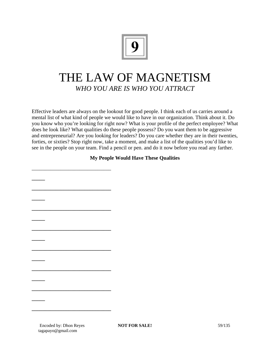

# THE LAW OF MAGNETISM *WHO YOU ARE IS WHO YOU ATTRACT*

Effective leaders are always on the lookout for good people. I think each of us carries around a mental list of what kind of people we would like to have in our organization. Think about it. Do you know who you're looking for right now? What is your profile of the perfect employee? What does he look like? What qualities do these people possess? Do you want them to be aggressive and entrepreneurial? Are you looking for leaders? Do you care whether they are in their twenties, forties, or sixties? Stop right now, take a moment, and make a list of the qualities you'd like to see in the people on your team. Find a pencil or pen. and do it now before you read any farther.

#### **My People Would Have These Qualities**

\_\_\_\_\_\_\_\_\_\_\_\_\_\_\_\_\_\_\_\_\_\_\_\_\_\_\_\_\_\_

**\_\_\_\_\_\_\_\_\_\_\_\_\_\_\_\_\_\_\_\_\_\_\_\_\_\_\_\_\_\_** 

**\_\_\_\_\_\_\_\_\_\_\_\_\_\_\_\_\_\_\_\_\_\_\_\_\_\_\_\_\_\_** 

**\_\_\_\_\_\_\_\_\_\_\_\_\_\_\_\_\_\_\_\_\_\_\_\_\_\_\_\_\_\_** 

**\_\_\_\_\_\_\_\_\_\_\_\_\_\_\_\_\_\_\_\_\_\_\_\_\_\_\_\_\_\_** 

**\_\_\_\_\_\_\_\_\_\_\_\_\_\_\_\_\_\_\_\_\_\_\_\_\_\_\_\_\_\_** 

**\_\_\_\_\_\_\_\_\_\_\_\_\_\_\_\_\_\_\_\_\_\_\_\_\_\_\_\_\_\_** 

**\_\_\_\_\_\_\_\_\_\_\_\_\_\_\_\_\_\_\_\_\_\_\_\_\_\_\_\_\_\_** 

**\_\_\_\_\_** 

**\_\_\_\_\_** 

**\_\_\_\_\_** 

**\_\_\_\_\_** 

**\_\_\_\_\_** 

**\_\_\_\_\_** 

**\_\_\_\_\_**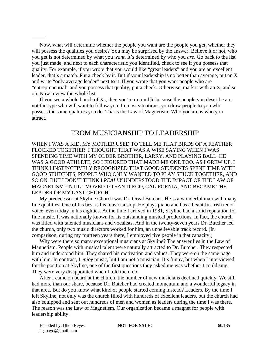Now, what will determine whether the people you want are the people you get, whether they will possess the qualities you desire? You may be surprised by the answer. Believe it or not, who you get is not determined by what you *want*. It's determined by who you *are*. Go back to the list you just made, and next to each characteristic you identified, check to see if you possess that quality. For example, if you wrote that you would like "great leaders" and you are an excellent leader, that's a match. Put a check by it. But if your leadership is no better than average, put an X and write "only average leader" next to it. If you wrote that you want people who are "entrepreneurial" and you possess that quality, put a check. Otherwise, mark it with an X, and so on. Now review the whole list.

If you see a whole bunch of Xs, then you're in trouble because the people you describe are not the type who will want to follow you. In most situations, you draw people to you who possess the same qualities you do. That's the Law of Magnetism: Who you are is who you attract.

## FROM MUSICIANSHIP TO LEADERSHIP

WHEN I WAS A KID, MY MOTHER USED TO TELL ME THAT BIRDS OF A FEATHER FLOCKED TOGETHER. I THOUGHT THAT WAS A WISE SAYING WHEN I WAS SPENDING TIME WITH MY OLDER BROTHER, LARRY, AND PLAYING BALL. HE WAS A GOOD ATHLETE, SO I FIGURED THAT MADE ME ONE TOO. AS I GREW UP, I THINK I INSTINCTIVELY RECOGNIZED THAT GOOD STUDENTS SPENT TIME WITH GOOD STUDENTS, PEOPLE WHO ONLY WANTED TO PLAY STUCK TOGETHER, AND SO ON. BUT I DON'T THINK I *REALLY* UNDERSTOOD THE IMPACT OF THE LAW OF MAGNETISM UNTIL I MOVED TO SAN DIEGO, CALIFORNIA, AND BECAME THE LEADER OF MY LAST CHURCH.

My predecessor at Skyline Church was Dr. Orval Butcher. He is a wonderful man with many fine qualities. One of his best is his musicianship. He plays piano and has a beautiful Irish tenor voice, even today in his eighties. At the time I arrived in 1981, Skyline had a solid reputation for fine music. It was nationally known for its outstanding musical productions. In fact, the church was filled with talented musicians and vocalists. And in the twenty-seven years Dr. Butcher led the church, only two music directors worked for him, an unbelievable track record. (In comparison, during my fourteen years there, I employed five people in that capacity.)

Why were there so many exceptional musicians at Skyline? The answer lies in the Law of Magnetism. People with musical talent were naturally attracted to Dr. Butcher. They respected him and understood him. They shared his motivation and values. They were on the same page with him. In contrast, I *enjoy* music, but I am not a musician. It's funny, but when I interviewed for the position at Skyline, one of the first questions they asked me was whether I could sing. They were very disappointed when I told them no.

After I came on board at the church, the number of new musicians declined quickly. We still had more than our share, because Dr. Butcher had created momentum and a wonderful legacy in that area. But do you know what kind of people started coming instead? Leaders. By the time I left Skyline, not only was the church filled with hundreds of excellent leaders, but the church had also equipped and sent out hundreds of men and women as leaders during the time I was there. The reason was the Law of Magnetism. Our organization became a magnet for people with leadership ability.

**\_\_\_\_\_**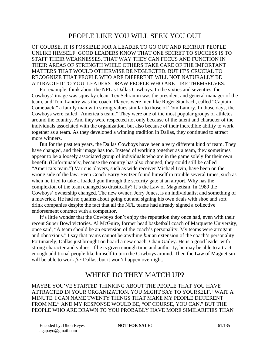## PEOPLE LIKE YOU WILL SEEK YOU OUT

OF COURSE, IT IS POSSIBLE FOR A LEADER TO GO OUT AND RECRUIT PEOPLE UNLIKE HIMSELF. GOOD LEADERS KNOW THAT ONE SECRET TO SUCCESS IS TO STAFF THEIR WEAKNESSES. THAT WAY THEY CAN FOCUS AND FUNCTION IN THEIR AREAS OF STRENGTH WHILE OTHERS TAKE CARE OF THE IMPORTANT MATTERS THAT WOULD OTHERWISE BE NEGLECTED. BUT IT'S CRUCIAL TO RECOGNIZE THAT PEOPLE WHO ARE DIFFERENT WILL NOT NATURALLY BE ATTRACTED TO YOU. LEADERS DRAW PEOPLE WHO ARE LIKE THEMSELVES.

For example, think about the NFL's Dallas Cowboys. In the sixties and seventies, the Cowboys' image was squeaky clean. Tex Schramm was the president and general manager of the team, and Tom Landry was the coach. Players were men like Roger Staubach, called "Captain Comeback," a family man with strong values similar to those of Tom Landry. In those days, the Cowboys were called "America's team." They were one of the most popular groups of athletes around the country. And they were respected not only because of the talent and character of the individuals associated with the organization, but also because of their incredible ability to work together as a team. As they developed a winning tradition in Dallas, they continued to attract more winners.

But for the past ten years, the Dallas Cowboys have been a very different kind of team. They have changed, and their image has too. Instead of working together as a team, they sometimes appear to be a loosely associated group of individuals who are in the game solely for their own benefit. (Unfortunately, because the country has also changed, they could still be called "America's team.") Various players, such as wide receiver Michael Irvin, have been on the wrong side of the law. Even Coach Barry Switzer found himself in trouble several times, such as when he tried to take a loaded gun through the security gate at an airport. Why has the complexion of the team changed so drastically? It's the Law of Magnetism. In 1989 the Cowboys' ownership changed. The new owner, Jerry Jones, is an individualist and something of a maverick. He had no qualms about going out and signing his own deals with shoe and soft drink companies despite the fact that all the NFL teams had already signed a collective endorsement contract with a competitor.

It's little wonder that the Cowboys don't enjoy the reputation they once had, even with their recent Super Bowl victories. Al McGuire, former head basketball coach of Marquette University, once said, "A team should be an extension of the coach's personality. My teams were arrogant and obnoxious." I say that teams cannot be anything *but* an extension of the coach's personality. Fortunately, Dallas just brought on board a new coach, Chan Gailey. He is a good leader with strong character and values. If he is given enough time and authority, he may be able to attract enough additional people like himself to turn the Cowboys around. Then the Law of Magnetism will be able to work *for* Dallas, but it won't happen overnight.

#### WHERE DO THEY MATCH UP?

MAYBE YOU'VE STARTED THINKING ABOUT THE PEOPLE THAT YOU HAVE ATTRACTED IN YOUR ORGANIZATION. YOU MIGHT SAY TO YOURSELF, "WAIT A MINUTE. I CAN NAME TWENTY THINGS THAT MAKE MY PEOPLE DIFFERENT FROM ME." AND MY RESPONSE WOULD BE, "OF COURSE, YOU CAN." BUT THE PEOPLE WHO ARE DRAWN TO YOU PROBABLY HAVE MORE SIMILARITIES THAN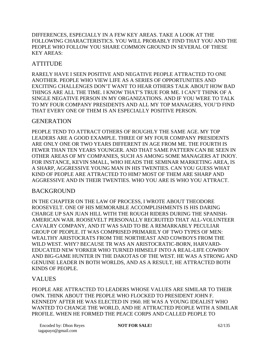DIFFERENCES, ESPECIALLY IN A FEW KEY AREAS. TAKE A LOOK AT THE FOLLOWING CHARACTERISTICS. YOU WILL PROBABLY FIND THAT YOU AND THE PEOPLE WHO FOLLOW YOU SHARE COMMON GROUND IN SEVERAL OF THESE KEY AREAS:

## **ATTITUDE**

RARELY HAVE I SEEN POSITIVE AND NEGATIVE PEOPLE ATTRACTED TO ONE ANOTHER. PEOPLE WHO VIEW LIFE AS A SERIES OF OPPORTUNITIES AND EXCITING CHALLENGES DON'T WANT TO HEAR OTHERS TALK ABOUT HOW BAD THINGS ARE ALL THE TIME. I KNOW THAT'S TRUE FOR ME. I CAN'T THINK OF A SINGLE NEGATIVE PERSON IN MY ORGANIZATIONS. AND IF YOU WERE TO TALK TO MY FOUR COMPANY PRESIDENTS AND ALL MY TOP MANAGERS, YOU'D FIND THAT EVERY ONE OF THEM IS AN ESPECIALLY POSITIVE PERSON.

#### GENERATION

PEOPLE TEND TO ATTRACT OTHERS OF ROUGHLY THE SAME AGE. MY TOP LEADERS ARE A GOOD EXAMPLE. THREE OF MY FOUR COMPANY PRESIDENTS ARE ONLY ONE OR TWO YEARS DIFFERENT IN AGE FROM ME. THE FOURTH IS FEWER THAN TEN YEARS YOUNGER. AND THAT SAME PATTERN CAN BE SEEN IN OTHER AREAS OF MY COMPANIES, SUCH AS AMONG SOME MANAGERS AT INJOY. FOR INSTANCE, KEVIN SMALL, WHO HEADS THE SEMINAR MARKETING AREA, IS A SHARP, AGGRESSIVE YOUNG MAN IN HIS TWENTIES. CAN YOU GUESS WHAT KIND OF PEOPLE ARE ATTRACTED TO HIM? MOST OF THEM ARE SHARP AND AGGRESSIVE AND IN THEIR TWENTIES. WHO YOU ARE IS WHO YOU ATTRACT.

## BACKGROUND

IN THE CHAPTER ON THE LAW OF PROCESS, I WROTE ABOUT THEODORE ROOSEVELT. ONE OF HIS MEMORABLE ACCOMPLISHMENTS IS HIS DARING CHARGE UP SAN JUAN HILL WITH THE ROUGH RIDERS DURING THE SPANISH-AMERICAN WAR. ROOSEVELT PERSONALLY RECRUITED THAT ALL-VOLUNTEER CAVALRY COMPANY, AND IT WAS SAID TO BE A REMARKABLY PECULIAR GROUP OF PEOPLE. IT WAS COMPRISED PRIMARILY OF TWO TYPES OF MEN: WEALTHY ARISTOCRATS FROM THE NORTHEAST AND COWBOYS FROM THE WILD WEST. WHY? BECAUSE TR WAS AN ARISTOCRATIC-BORN, HARVARD-EDUCATED NEW YORKER WHO TURNED HIMSELF INTO A REAL-LIFE COWBOY AND BIG-GAME HUNTER IN THE DAKOTAS OF THE WEST. HE WAS A STRONG AND GENUINE LEADER IN BOTH WORLDS, AND AS A RESULT, HE ATTRACTED BOTH KINDS OF PEOPLE.

## VALUES

PEOPLE ARE ATTRACTED TO LEADERS WHOSE VALUES ARE SIMILAR TO THEIR OWN. THINK ABOUT THE PEOPLE WHO FLOCKED TO PRESIDENT JOHN F. KENNEDY AFTER HE WAS ELECTED IN 1960. HE WAS A YOUNG IDEALIST WHO WANTED TO CHANGE THE WORLD, AND HE ATTRACTED PEOPLE WITH A SIMILAR PROFILE. WHEN HE FORMED THE PEACE CORPS AND CALLED PEOPLE TO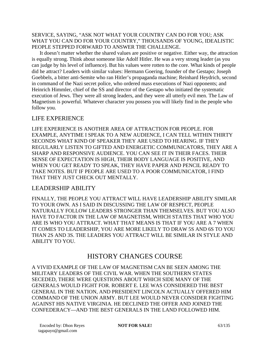SERVICE, SAYING, "ASK NOT WHAT YOUR COUNTRY CAN DO FOR YOU; ASK WHAT YOU CAN DO FOR YOUR COUNTRY," THOUSANDS OF YOUNG, IDEALISTIC PEOPLE STEPPED FORWARD TO ANSWER THE CHALLENGE.

It doesn't matter whether the shared values are positive or negative. Either way, the attraction is equally strong. Think about someone like Adolf Hitler. He was a very strong leader (as you can judge by his level of influence). But his values were rotten to the core. What kinds of people did he attract? Leaders with similar values: Hermann Goering, founder of the Gestapo; Joseph Goebbels, a bitter anti-Semite who ran Hitler's propaganda machine; Reinhard Heydrich, second in command of the Nazi secret police, who ordered mass executions of Nazi opponents; and Heinrich Himmler, chief of the SS and director of the Gestapo who initiated the systematic execution of Jews. They were all strong leaders, and they were all utterly evil men. The Law of Magnetism is powerful. Whatever character you possess you will likely find in the people who follow you.

## LIFE EXPERIENCE

LIFE EXPERIENCE IS ANOTHER AREA OF ATTRACTION FOR PEOPLE. FOR EXAMPLE, ANYTIME I SPEAK TO A NEW AUDIENCE, I CAN TELL WITHIN THIRTY SECONDS WHAT KIND OF SPEAKER THEY ARE USED TO HEARING. IF THEY REGULARLY LISTEN TO GIFTED AND ENERGETIC COMMUNICATORS, THEY ARE A SHARP AND RESPONSIVE AUDIENCE. YOU CAN SEE IT IN THEIR FACES. THEIR SENSE OF EXPECTATION IS HIGH, THEIR BODY LANGUAGE IS POSITIVE, AND WHEN YOU GET READY TO SPEAK, THEY HAVE PAPER AND PENCIL READY TO TAKE NOTES. BUT IF PEOPLE ARE USED TO A POOR COMMUNICATOR, I FIND THAT THEY JUST CHECK OUT MENTALLY.

#### LEADERSHIP ABILITY

FINALLY, THE PEOPLE YOU ATTRACT WILL HAVE LEADERSHIP ABILITY SIMILAR TO YOUR OWN. AS I SAID IN DISCUSSING THE LAW OF RESPECT, PEOPLE NATURALLY FOLLOW LEADERS STRONGER THAN THEMSELVES. BUT YOU ALSO HAVE TO FACTOR IN THE LAW OF MAGNETISM, WHICH STATES THAT WHO YOU ARE IS WHO YOU ATTRACT. WHAT THAT MEANS IS THAT IF YOU ARE A 7 WHEN IT COMES TO LEADERSHIP, YOU ARE MORE LIKELY TO DRAW 5S AND 6S TO YOU THAN 2S AND 3S. THE LEADERS YOU ATTRACT WILL BE SIMILAR IN STYLE AND ABILITY TO YOU.

## HISTORY CHANGES COURSE

A VIVID EXAMPLE OF THE LAW OF MAGNETISM CAN BE SEEN AMONG THE MILITARY LEADERS OF THE CIVIL WAR. WHEN THE SOUTHERN STATES SECEDED, THERE WERE QUESTIONS ABOUT WHICH SIDE MANY OF THE GENERALS WOULD FIGHT FOR. ROBERT E. LEE WAS CONSIDERED THE BEST GENERAL IN THE NATION, AND PRESIDENT LINCOLN ACTUALLY OFFERED HIM COMMAND OF THE UNION ARMY. BUT LEE WOULD NEVER CONSIDER FIGHTING AGAINST HIS NATIVE VIRGINIA. HE DECLINED THE OFFER AND JOINED THE CONFEDERACY—AND THE BEST GENERALS IN THE LAND FOLLOWED HIM.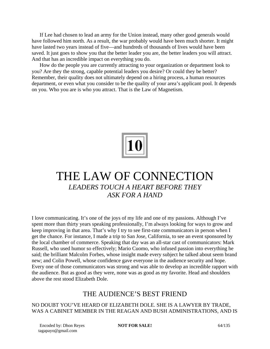If Lee had chosen to lead an army for the Union instead, many other good generals would have followed him north. As a result, the war probably would have been much shorter. It might have lasted two years instead of five—and hundreds of thousands of lives would have been saved. It just goes to show you that the better leader you are, the better leaders you will attract. And that has an incredible impact on everything you do.

How do the people you are currently attracting to your organization or department look to you? Are they the strong, capable potential leaders you desire? Or could they be better? Remember, their quality does not ultimately depend on a hiring process, a human resources department, or even what you consider to be the quality of your area's applicant pool. It depends on you. Who you are is who you attract. That is the Law of Magnetism.



# THE LAW OF CONNECTION *LEADERS TOUCH A HEART BEFORE THEY ASK FOR A HAND*

I love communicating. It's one of the joys of my life and one of my passions. Although I've spent more than thirty years speaking professionally, I'm always looking for ways to grow and keep improving in that area. That's why I try to see first-rate communicators in person when I get the chance. For instance, I made a trip to San Jose, California, to see an event sponsored by the local chamber of commerce. Speaking that day was an all-star cast of communicators: Mark Russell, who used humor so effectively; Mario Cuomo, who infused passion into everything he said; the brilliant Malcolm Forbes, whose insight made every subject he talked about seem brand new; and Colin Powell, whose confidence gave everyone in the audience security and hope. Every one of those communicators was strong and was able to develop an incredible rapport with the audience. But as good as they were, none was as good as my favorite. Head and shoulders above the rest stood Elizabeth Dole.

## THE AUDIENCE'S BEST FRIEND

#### NO DOUBT YOU'VE HEARD OF ELIZABETH DOLE. SHE IS A LAWYER BY TRADE, WAS A CABINET MEMBER IN THE REAGAN AND BUSH ADMINISTRATIONS, AND IS

Encoded by: Dhon Reyes **NOT FOR SALE!** 64/135 tagapayo@gmail.com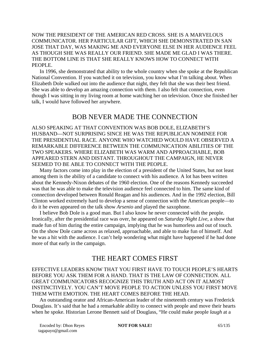NOW THE PRESIDENT OF THE AMERICAN RED CROSS. SHE IS A MARVELOUS COMMUNICATOR. HER PARTICULAR GIFT, WHICH SHE DEMONSTRATED IN SAN JOSE THAT DAY, WAS MAKING ME AND EVERYONE ELSE IN HER AUDIENCE FEEL AS THOUGH SHE WAS REALLY OUR FRIEND. SHE MADE ME GLAD I WAS THERE. THE BOTTOM LINE IS THAT SHE REALLY KNOWS HOW TO CONNECT WITH PEOPLE.

In 1996, she demonstrated that ability to the whole country when she spoke at the Republican National Convention. If you watched it on television, you know what I'm talking about. When Elizabeth Dole walked out into the audience that night, they felt that she was their best friend. She was able to develop an amazing connection with them. I also felt that connection, even though I was sitting in my living room at home watching her on television. Once she finished her talk, I would have followed her anywhere.

## BOB NEVER MADE THE CONNECTION

ALSO SPEAKING AT THAT CONVENTION WAS BOB DOLE, ELIZABETH'S HUSBAND—NOT SURPRISING SINCE HE WAS THE REPUBLICAN NOMINEE FOR THE PRESIDENTIAL RACE. ANYONE WHO WATCHED WOULD HAVE OBSERVED A REMARKABLE DIFFERENCE BETWEEN THE COMMUNICATION ABILITIES OF THE TWO SPEAKERS. WHERE ELIZABETH WAS WARM AND APPROACHABLE, BOB APPEARED STERN AND DISTANT. THROUGHOUT THE CAMPAIGN, HE NEVER SEEMED TO BE ABLE TO CONNECT WITH THE PEOPLE.

Many factors come into play in the election of a president of the United States, but not least among them is the ability of a candidate to connect with his audience. A lot has been written about the Kennedy-Nixon debates of the 1960 election. One of the reasons Kennedy succeeded was that he was able to make the television audience feel connected to him. The same kind of connection developed between Ronald Reagan and his audiences. And in the 1992 election, Bill Clinton worked extremely hard to develop a sense of connection with the American people—to do it he even appeared on the talk show *Arsenio* and played the saxophone.

I believe Bob Dole is a good man. But I also know he never connected with the people. Ironically, after the presidential race was over, he appeared on *Saturday Night Live,* a show that made fun of him during the entire campaign, implying that he was humorless and out of touch. On the show Dole came across as relaxed, approachable, and able to make fun of himself. And he was a hit with the audience. I can't help wondering what might have happened if he had done more of that early in the campaign.

## THE HEART COMES FIRST

EFFECTIVE LEADERS KNOW THAT YOU FIRST HAVE TO TOUCH PEOPLE'S HEARTS BEFORE YOU ASK THEM FOR A HAND. THAT IS THE LAW OF CONNECTION. ALL GREAT COMMUNICATORS RECOGNIZE THIS TRUTH AND ACT ON IT ALMOST INSTINCTIVELY. YOU CAN'T MOVE PEOPLE TO ACTION UNLESS YOU FIRST MOVE THEM WITH EMOTION. THE HEART COMES BEFORE THE HEAD.

An outstanding orator and African-American leader of the nineteenth century was Frederick Douglass. It's said that he had a remarkable ability to connect with people and move their hearts when he spoke. Historian Lerone Bennett said of Douglass, "He could make people *laugh* at a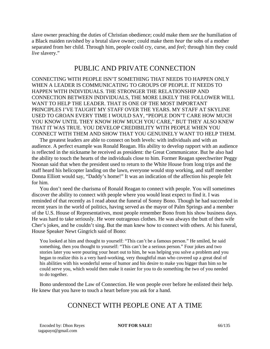slave owner preaching the duties of Christian obedience; could make them *see* the humiliation of a Black maiden ravished by a brutal slave owner; could make them *hear* the sobs of a mother separated from her child. Through him, people could cry, curse, and *feel;* through him they could *live* slavery."

## PUBLIC AND PRIVATE CONNECTION

CONNECTING WITH PEOPLE ISN'T SOMETHING THAT NEEDS TO HAPPEN ONLY WHEN A LEADER IS COMMUNICATING TO GROUPS OF PEOPLE. IT NEEDS TO HAPPEN WITH INDIVIDUALS. THE STRONGER THE RELATIONSHIP AND CONNECTION BETWEEN INDIVIDUALS, THE MORE LIKELY THE FOLLOWER WILL WANT TO HELP THE LEADER. THAT IS ONE OF THE MOST IMPORTANT PRINCIPLES I'VE TAUGHT MY STAFF OVER THE YEARS. MY STAFF AT SKYLINE USED TO GROAN EVERY TIME I WOULD SAY, "PEOPLE DON'T CARE HOW MUCH YOU KNOW UNTIL THEY KNOW HOW MUCH YOU CARE," BUT THEY ALSO KNEW THAT IT WAS TRUE. YOU DEVELOP CREDIBILITY WITH PEOPLE WHEN YOU CONNECT WITH THEM AND SHOW THAT YOU GENUINELY WANT TO HELP THEM.

The greatest leaders are able to connect on both levels: with individuals and with an audience. A perfect example was Ronald Reagan. His ability to develop rapport with an audience is reflected in the nickname he received as president: the Great Communicator. But he also had the ability to touch the hearts of the individuals close to him. Former Reagan speechwriter Peggy Noonan said that when the president used to return to the White House from long trips and the staff heard his helicopter landing on the lawn, everyone would stop working, and staff member Donna Elliott would say, "Daddy's home!" It was an indication of the affection his people felt for him.

You don't need the charisma of Ronald Reagan to connect with people. You will sometimes discover the ability to connect with people where you would least expect to find it. I was reminded of that recently as I read about the funeral of Sonny Bono. Though he had succeeded in recent years in the world of politics, having served as the mayor of Palm Springs and a member of the U.S. House of Representatives, most people remember Bono from his show business days. He was hard to take seriously. He wore outrageous clothes. He was always the butt of then wife Cher's jokes, and he couldn't sing. But the man knew how to connect with others. At his funeral, House Speaker Newt Gingrich said of Bono:

You looked at him and thought to yourself: "This can't be a famous person." He smiled, he said something, then you thought to yourself: "This can't be a serious person." Four jokes and two stories later you were pouring your heart out to him, he was helping you solve a problem and you began to realize this is a very hard-working, very thoughtful man who covered up a great deal of his abilities with his wonderful sense of humor and his desire to make you bigger than him so he could serve you, which would then make it easier for you to do something the two of you needed to do together.

Bono understood the Law of Connection. He won people over before he enlisted their help. He knew that you have to touch a heart before you ask for a hand.

## CONNECT WITH PEOPLE ONE AT A TIME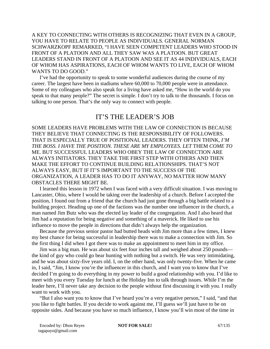A KEY TO CONNECTING WITH OTHERS IS RECOGNIZING THAT EVEN IN A GROUP, YOU HAVE TO RELATE TO PEOPLE AS INDIVIDUALS. GENERAL NORMAN SCHWARZKOPF REMARKED, "I HAVE SEEN COMPETENT LEADERS WHO STOOD IN FRONT OF A PLATOON AND ALL THEY SAW WAS A PLATOON. BUT GREAT LEADERS STAND IN FRONT OF A PLATOON AND SEE IT AS 44 INDIVIDUALS, EACH OF WHOM HAS ASPIRATIONS, EACH OF WHOM WANTS TO LIVE, EACH OF WHOM WANTS TO DO GOOD."

I've had the opportunity to speak to some wonderful audiences during the course of my career. The largest have been in stadiums where 60,000 to 70,000 people were in attendance. Some of my colleagues who also speak for a living have asked me, "How in the world do you speak to that many people?" The secret is simple. I don't try to talk to the thousands. I focus on talking to one person. That's the only way to connect with people.

## IT'S THE LEADER'S JOB

SOME LEADERS HAVE PROBLEMS WITH THE LAW OF CONNECTION IS BECAUSE THEY BELIEVE THAT CONNECTING IS THE RESPONSIBILITY OF FOLLOWERS. THAT IS ESPECIALLY TRUE OF POSITIONAL LEADERS. THEY OFTEN THINK, *I'M THE BOSS. I HAVE THE POSITION. THESE ARE MY EMPLOYEES. LET* THEM *COME TO*  ME. BUT SUCCESSFUL LEADERS WHO OBEY THE LAW OF CONNECTION ARE ALWAYS INITIATORS. THEY TAKE THE FIRST STEP WITH OTHERS AND THEN MAKE THE EFFORT TO CONTINUE BUILDING RELATIONSHIPS. THAT'S NOT ALWAYS EASY, BUT IF IT'S IMPORTANT TO THE SUCCESS OF THE ORGANIZATION, A LEADER HAS TO DO IT ANYWAY, NO MATTER HOW MANY OBSTACLES THERE MIGHT BE.

I learned this lesson in 1972 when I was faced with a very difficult situation. I was moving to Lancaster, Ohio, where I would be taking over the leadership of a church. Before I accepted the position, I found out from a friend that the church had just gone through a big battle related to a building project. Heading up one of the factions was the number one influencer in the church, a man named Jim Butz who was the elected lay leader of the congregation. And I also heard that Jim had a reputation for being negative and something of a maverick. He liked to use his influence to move the people in directions that didn't always help the organization.

Because the previous senior pastor had butted heads with Jim more than a few times, I knew my best chance for being successful in leadership there was to make a connection with Jim. So the first thing I did when I got there was to make an appointment to meet him in my office.

Jim was a big man. He was about six feet four inches tall and weighed about 250 pounds the kind of guy who could go bear hunting with nothing but a switch. He was very intimidating, and he was about sixty-five years old. I, on the other hand, was only twenty-five. When he came in, I said, "Jim, I know you're the influencer in this church, and I want you to know that I've decided I'm going to do everything in my power to build a good relationship with you. I'd like to meet with you every Tuesday for lunch at the Holiday Inn to talk through issues. While I'm the leader here, I'll never take any decision to the people without first discussing it with you. I really want to work with you.

"But I also want you to know that I've heard you're a very negative person," I said, "and that you like to fight battles. If you decide to work against me, I'll guess we'll just have to be on opposite sides. And because you have so much influence, I know you'll win most of the time in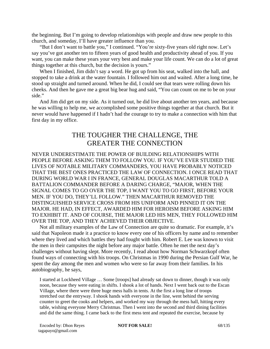the beginning. But I'm going to develop relationships with people and draw new people to this church, and someday, I'll have greater influence than you.

"But I don't want to battle you," I continued. "You're sixty-five years old right now. Let's say you've got another ten to fifteen years of good health and productivity ahead of you. If you want, you can make these years your very best and make your life count. We can do a lot of great things together at this church, but the decision is yours."

When I finished, Jim didn't say a word. He got up from his seat, walked into the hall, and stopped to take a drink at the water fountain. I followed him out and waited. After a long time, he stood up straight and turned around. When he did, I could see that tears were rolling down his cheeks. And then he gave me a great big bear hug and said, "You can count on me to be on your side."

And Jim did get on my side. As it turned out, he did live about another ten years, and because he was willing to help me, we accomplished some positive things together at that church. But it never would have happened if I hadn't had the courage to try to make a connection with him that first day in my office.

## THE TOUGHER THE CHALLENGE, THE GREATER THE CONNECTION

NEVER UNDERESTIMATE THE POWER OF BUILDING RELATIONSHIPS WITH PEOPLE BEFORE ASKING THEM TO FOLLOW YOU. IF YOU'VE EVER STUDIED THE LIVES OF NOTABLE MILITARY COMMANDERS, YOU HAVE PROBABLY NOTICED THAT THE BEST ONES PRACTICED THE LAW OF CONNECTION. I ONCE READ THAT DURING WORLD WAR I IN FRANCE, GENERAL DOUGLAS MACARTHUR TOLD A BATTALION COMMANDER BEFORE A DARING CHARGE, "MAJOR, WHEN THE SIGNAL COMES TO GO OVER THE TOP, I WANT YOU TO GO FIRST, BEFORE YOUR MEN. IF YOU DO, THEY'LL FOLLOW." THEN MACARTHUR REMOVED THE DISTINGUISHED SERVICE CROSS FROM HIS UNIFORM AND PINNED IT ON THE MAJOR. HE HAD, IN EFFECT, AWARDED HIM FOR HEROISM BEFORE ASKING HIM TO EXHIBIT IT. AND OF COURSE, THE MAJOR LED HIS MEN, THEY FOLLOWED HIM OVER THE TOP, AND THEY ACHIEVED THEIR OBJECTIVE.

Not all military examples of the Law of Connection are quite so dramatic. For example, it's said that Napoleon made it a practice to know every one of his officers by name and to remember where they lived and which battles they had fought with him. Robert E. Lee was known to visit the men in their campsites the night before any major battle. Often he met the next day's challenges without having slept. More recently, I read about how Norman Schwarzkopf often found ways of connecting with his troops. On Christmas in 1990 during the Persian Gulf War, he spent the day among the men and women who were so far away from their families. In his autobiography, he says,

I started at Lockheed Village … Some [troops] had already sat down to dinner, though it was only noon, because they were eating in shifts. I shook a lot of hands. Next I went back out to the Escan Village, where there were three huge mess halls in tents. At the first a long line of troops stretched out the entryway. I shook hands with everyone in the line, went behind the serving counter to greet the cooks and helpers, and worked my way through the mess hall, hitting every table, wishing everyone Merry Christmas. Then I went into the second and third dining facilities and did the same thing. I came back to the first mess tent and repeated the exercise, because by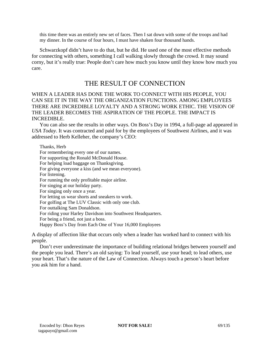this time there was an entirely new set of faces. Then I sat down with some of the troops and had my dinner. In the course of four hours, I must have shaken four thousand hands.

Schwarzkopf didn't have to do that, but he did. He used one of the most effective methods for connecting with others, something I call walking slowly through the crowd. It may sound corny, but it's really true: People don't care how much you know until they know how much you care.

## THE RESULT OF CONNECTION

#### WHEN A LEADER HAS DONE THE WORK TO CONNECT WITH HIS PEOPLE, YOU CAN SEE IT IN THE WAY THE ORGANIZATION FUNCTIONS. AMONG EMPLOYEES THERE ARE INCREDIBLE LOYALTY AND A STRONG WORK ETHIC. THE VISION OF THE LEADER BECOMES THE ASPIRATION OF THE PEOPLE. THE IMPACT IS INCREDIBLE.

You can also see the results in other ways. On Boss's Day in 1994, a full-page ad appeared in *USA Today*. It was contracted and paid for by the employees of Southwest Airlines, and it was addressed to Herb Kelleher, the company's CEO:

Thanks, Herb For remembering every one of our names. For supporting the Ronald McDonald House. For helping load baggage on Thanksgiving. For giving everyone a kiss (and we mean everyone). For listening. For running the only profitable major airline. For singing at our holiday party. For singing only once a year. For letting us wear shorts and sneakers to work. For golfing at The LUV Classic with only one club. For outtalking Sam Donaldson. For riding your Harley Davidson into Southwest Headquarters. For being a friend, not just a boss. Happy Boss's Day from Each One of Your 16,000 Employees

A display of affection like that occurs only when a leader has worked hard to connect with his people.

Don't ever underestimate the importance of building relational bridges between yourself and the people you lead. There's an old saying: To lead yourself, use your head; to lead others, use your heart. That's the nature of the Law of Connection. Always touch a person's heart before you ask him for a hand.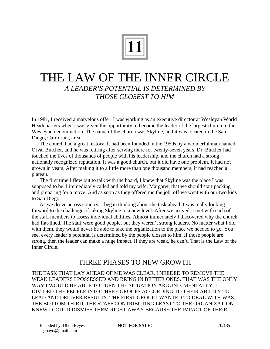

# THE LAW OF THE INNER CIRCLE *A LEADER'S POTENTIAL IS DETERMINED BY THOSE CLOSEST TO HIM*

In 1981, I received a marvelous offer. I was working as an executive director at Wesleyan World Headquarters when I was given the opportunity to become the leader of the largest church in the Wesleyan denomination. The name of the church was Skyline, and it was located in the San Diego, California, area.

The church had a great history. It had been founded in the 1950s by a wonderful man named Orval Butcher, and he was retiring after serving there for twenty-seven years. Dr. Butcher had touched the lives of thousands of people with his leadership, and the church had a strong, nationally recognized reputation. It was a good church, but it did have one problem. It had not grown in years. After making it to a little more than one thousand members, it had reached a plateau.

The first time I flew out to talk with the board, I knew that Skyline was the place I was supposed to be. I immediately called and told my wife, Margaret, that we should start packing and preparing for a move. And as soon as they offered me the job, off we went with our two kids to San Diego.

As we drove across country, I began thinking about the task ahead. I was really looking forward to the challenge of taking Skyline to a new level. After we arrived, I met with each of the staff members to assess individual abilities. Almost immediately I discovered why the church had flat-lined. The staff were good people, but they weren't strong leaders. No matter what I did with them, they would never be able to take the organization to the place we needed to go. You see, every leader's potential is determined by the people closest to him. If those people are strong, then the leader can make a huge impact. If they are weak, he can't. That is the Law of the Inner Circle.

## THREE PHASES TO NEW GROWTH

THE TASK THAT LAY AHEAD OF ME WAS CLEAR. I NEEDED TO REMOVE THE WEAK LEADERS I POSSESSED AND BRING IN BETTER ONES. THAT WAS THE ONLY WAY I WOULD BE ABLE TO TURN THE SITUATION AROUND. MENTALLY, I DIVIDED THE PEOPLE INTO THREE GROUPS ACCORDING TO THEIR ABILITY TO LEAD AND DELIVER RESULTS. THE FIRST GROUP I WANTED TO DEAL WITH WAS THE BOTTOM THIRD, THE STAFF CONTRIBUTING LEAST TO THE ORGANIZATION. I KNEW I COULD DISMISS THEM RIGHT AWAY BECAUSE THE IMPACT OF THEIR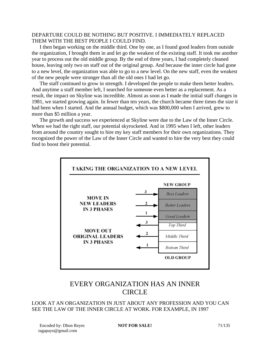#### DEPARTURE COULD BE NOTHING BUT POSITIVE. I IMMEDIATELY REPLACED THEM WITH THE BEST PEOPLE I COULD FIND.

I then began working on the middle third. One by one, as I found good leaders from outside the organization, I brought them in and let go the weakest of the existing staff. It took me another year to process out the old middle group. By the end of three years, I had completely cleaned house, leaving only two on staff out of the original group. And because the inner circle had gone to a new level, the organization was able to go to a new level. On the new staff, even the weakest of the new people were stronger than all the old ones I had let go.

The staff continued to grow in strength. I developed the people to make them better leaders. And anytime a staff member left, I searched for someone even better as a replacement. As a result, the impact on Skyline was incredible. Almost as soon as I made the initial staff changes in 1981, we started growing again. In fewer than ten years, the church became three times the size it had been when I started. And the annual budget, which was \$800,000 when I arrived, grew to more than \$5 million a year.

The growth and success we experienced at Skyline were due to the Law of the Inner Circle. When we had the right staff, our potential skyrocketed. And in 1995 when I left, other leaders from around the country sought to hire my key staff members for their own organizations. They recognized the power of the Law of the Inner Circle and wanted to hire the very best they could find to boost their potential.



## EVERY ORGANIZATION HAS AN INNER CIRCLE

LOOK AT AN ORGANIZATION IN JUST ABOUT ANY PROFESSION AND YOU CAN SEE THE LAW OF THE INNER CIRCLE AT WORK. FOR EXAMPLE, IN 1997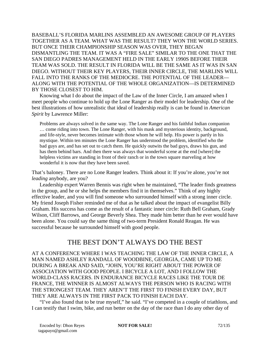BASEBALL'S FLORIDA MARLINS ASSEMBLED AN AWESOME GROUP OF PLAYERS TOGETHER AS A TEAM. WHAT WAS THE RESULT? THEY WON THE WORLD SERIES. BUT ONCE THEIR CHAMPIONSHIP SEASON WAS OVER, THEY BEGAN DISMANTLING THE TEAM. IT WAS A "FIRE SALE" SIMILAR TO THE ONE THAT THE SAN DIEGO PADRES MANAGEMENT HELD IN THE EARLY 1990S BEFORE THEIR TEAM WAS SOLD. THE RESULT IN FLORIDA WILL BE THE SAME AS IT WAS IN SAN DIEGO. WITHOUT THEIR KEY PLAYERS, THEIR INNER CIRCLE, THE MARLINS WILL FALL INTO THE RANKS OF THE MEDIOCRE. THE POTENTIAL OF THE LEADER— ALONG WITH THE POTENTIAL OF THE WHOLE ORGANIZATION—IS DETERMINED BY THOSE CLOSEST TO HIM.

Knowing what I do about the impact of the Law of the Inner Circle, I am amazed when I meet people who continue to hold up the Lone Ranger as their model for leadership. One of the best illustrations of how unrealistic that ideal of leadership really is can be found in *American Spirit* by Lawrence Miller:

Problems are always solved in the same way. The Lone Ranger and his faithful Indian companion … come riding into town. The Lone Ranger, with his mask and mysterious identity, background, and life-style, never becomes intimate with those whom he will help. His power is partly in his mystique. Within ten minutes the Lone Ranger has understood the problem, identified who the bad guys are, and has set out to catch them. He quickly outwits the bad guys, draws his gun, and has them behind bars. And then there was always that wonderful scene at the end [where] the helpless victims are standing in front of their ranch or in the town square marveling at how wonderful it is now that they have been saved.

That's baloney. There are no Lone Ranger leaders. Think about it: If you're alone, you're not *leading* anybody, are you?

Leadership expert Warren Bennis was right when he maintained, "The leader finds greatness in the group, and he or she helps the members find it in themselves." Think of any highly effective leader, and you will find someone who surrounded himself with a strong inner circle. My friend Joseph Fisher reminded me of that as he talked about the impact of evangelist Billy Graham. His success has come as the result of a fantastic inner circle: Ruth Bell Graham, Grady Wilson, Cliff Barrows, and George Beverly Shea. They made him better than he ever would have been alone. You could say the same thing of two-term President Ronald Reagan. He was successful because he surrounded himself with good people.

## THE BEST DON'T ALWAYS DO THE BEST

AT A CONFERENCE WHERE I WAS TEACHING THE LAW OF THE INNER CIRCLE, A MAN NAMED ASHLEY RANDALL OF WOODBINE, GEORGIA, CAME UP TO ME DURING A BREAK AND SAID, "JOHN, YOU'RE RIGHT ABOUT THE POWER OF ASSOCIATION WITH GOOD PEOPLE. I BICYCLE A LOT, AND I FOLLOW THE WORLD-CLASS RACERS. IN ENDURANCE BICYCLE RACES LIKE THE TOUR DE FRANCE, THE WINNER IS ALMOST ALWAYS THE PERSON WHO IS RACING WITH THE STRONGEST TEAM. THEY AREN'T THE FIRST TO FINISH EVERY DAY, BUT THEY ARE ALWAYS IN THE FIRST PACK TO FINISH EACH DAY.

"I've also found that to be true myself," he said. "I've competed in a couple of triathlons, and I can testify that I swim, bike, and run better on the day of the race than I do any other day of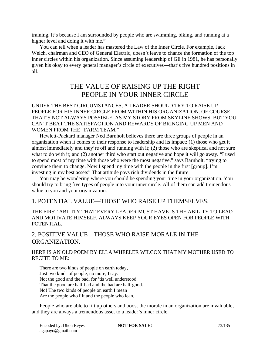training. It's because I am surrounded by people who are swimming, biking, and running at a higher level and doing it with me."

You can tell when a leader has mastered the Law of the Inner Circle. For example, Jack Welch, chairman and CEO of General Electric, doesn't leave to chance the formation of the top inner circles within his organization. Since assuming leadership of GE in 1981, he has personally given his okay to every general manager's circle of executives—that's five hundred positions in all.

# THE VALUE OF RAISING UP THE RIGHT PEOPLE IN YOUR INNER CIRCLE

UNDER THE BEST CIRCUMSTANCES, A LEADER SHOULD TRY TO RAISE UP PEOPLE FOR HIS INNER CIRCLE FROM WITHIN HIS ORGANIZATION. OF COURSE, THAT'S NOT ALWAYS POSSIBLE, AS MY STORY FROM SKYLINE SHOWS. BUT YOU CAN'T BEAT THE SATISFACTION AND REWARDS OF BRINGING UP MEN AND WOMEN FROM THE "FARM TEAM."

Hewlett-Packard manager Ned Barnholt believes there are three groups of people in an organization when it comes to their response to leadership and its impact: (1) those who get it almost immediately and they're off and running with it; (2) those who are skeptical and not sure what to do with it; and (2) another third who start out negative and hope it will go away. "I used to spend most of my time with those who were the most negative," says Barnholt, "trying to convince them to change. Now I spend my time with the people in the first [group]. I'm investing in my best assets" That attitude pays rich dividends in the future.

You may be wondering where you should be spending your time in your organization. You should try to bring five types of people into your inner circle. All of them can add tremendous value to you and your organization.

#### 1. POTENTIAL VALUE—THOSE WHO RAISE UP THEMSELVES.

THE FIRST ABILITY THAT EVERY LEADER MUST HAVE IS THE ABILITY TO LEAD AND MOTIVATE HIMSELF. ALWAYS KEEP YOUR EYES OPEN FOR PEOPLE WITH POTENTIAL.

### 2. POSITIVE VALUE—THOSE WHO RAISE MORALE IN THE ORGANIZATION.

#### HERE IS AN OLD POEM BY ELLA WHEELER WILCOX THAT MY MOTHER USED TO RECITE TO ME:

There are two kinds of people on earth today, Just two kinds of people, no more, I say. Not the good and the bad, for 'tis well understood That the good are half-bad and the bad are half-good. No! The two kinds of people on earth I mean Are the people who lift and the people who lean.

People who are able to lift up others and boost the morale in an organization are invaluable, and they are always a tremendous asset to a leader's inner circle.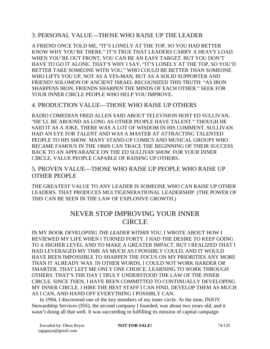### 3. PERSONAL VALUE—THOSE WHO RAISE UP THE LEADER

A FRIEND ONCE TOLD ME, "IT'S LONELY AT THE TOP, SO YOU HAD BETTER KNOW WHY YOU'RE THERE." IT'S TRUE THAT LEADERS CARRY A HEAVY LOAD. WHEN YOU'RE OUT FRONT, YOU CAN BE AN EASY TARGET. BUT YOU DON'T HAVE TO GO IT ALONE. THAT'S WHY I SAY, "IT'S LONELY AT THE TOP, SO YOU'D BETTER TAKE SOMEONE WITH YOU." WHO COULD BE BETTER THAN SOMEONE WHO LIFTS YOU UP, NOT AS A YES-MAN, BUT AS A SOLID SUPPORTER AND FRIEND? SOLOMON OF ANCIENT ISRAEL RECOGNIZED THIS TRUTH: "AS IRON SHARPENS IRON, FRIENDS SHARPEN THE MINDS OF EACH OTHER." SEEK FOR YOUR INNER CIRCLE PEOPLE WHO HELP YOU IMPROVE.

### 4. PRODUCTION VALUE—THOSE WHO RAISE UP OTHERS

RADIO COMEDIAN FRED ALLEN SAID ABOUT TELEVISION HOST ED SULLIVAN, "HE'LL BE AROUND AS LONG AS OTHER PEOPLE HAVE TALENT." THOUGH HE SAID IT AS A JOKE, THERE WAS A LOT OF WISDOM IN HIS COMMENT. SULLIVAN HAD AN EYE FOR TALENT AND WAS A MASTER AT ATTRACTING TALENTED PEOPLE TO HIS SHOW. MANY STAND-UP COMICS AND MUSICAL GROUPS WHO BECAME FAMOUS IN THE 1960S CAN TRACE THE BEGINNING OF THEIR SUCCESS BACK TO AN APPEARANCE ON THE *ED SULLIVAN SHOW*. FOR YOUR INNER CIRCLE, VALUE PEOPLE CAPABLE OF RAISING UP OTHERS.

### 5. PROVEN VALUE—THOSE WHO RAISE UP PEOPLE WHO RAISE UP OTHER PEOPLE

THE GREATEST VALUE TO ANY LEADER IS SOMEONE WHO CAN RAISE UP OTHER LEADERS. THAT PRODUCES MULTIGENERATIONAL LEADERSHIP. (THE POWER OF THIS CAN BE SEEN IN THE LAW OF EXPLOSIVE GROWTH.)

# NEVER STOP IMPROVING YOUR INNER **CIRCLE**

IN MY BOOK *DEVELOPING THE LEADER WITHIN YOU,* I WROTE ABOUT HOW I REVIEWED MY LIFE WHEN I TURNED FORTY. I HAD THE DESIRE TO KEEP GOING TO A HIGHER LEVEL AND TO MAKE A GREATER IMPACT, BUT I REALIZED THAT I HAD LEVERAGED MY TIME AS MUCH AS I POSSIBLY COULD, AND IT WOULD HAVE BEEN IMPOSSIBLE TO SHARPEN THE FOCUS ON MY PRIORITIES ANY MORE THAN IT ALREADY WAS. IN OTHER WORDS, I COULD NOT WORK HARDER *OR*  SMARTER. THAT LEFT ME ONLY ONE CHOICE: LEARNING TO WORK THROUGH OTHERS. THAT'S THE DAY I TRULY UNDERSTOOD THE LAW OF THE INNER CIRCLE. SINCE THEN, I HAVE BEEN COMMITTED TO CONTINUALLY DEVELOPING MY INNER CIRCLE. I HIRE THE BEST STAFF I CAN FIND, DEVELOP THEM AS MUCH AS I CAN, AND HAND OFF EVERYTHING I POSSIBLY CAN.

In 1994, I discovered one of the key members of my inner circle. At the time, INJOY Stewardship Services (ISS), the second company I founded, was about two years old, and it wasn't doing all that well. It was succeeding in fulfilling its mission of capital campaign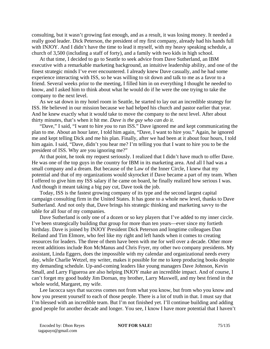consulting, but it wasn't growing fast enough, and as a result, it was losing money. It needed a really good leader. Dick Peterson, the president of my first company, already had his hands full with INJOY. And I didn't have the time to lead it myself, with my heavy speaking schedule, a church of 3,500 (including a staff of forty), and a family with two kids in high school.

At that time, I decided to go to Seattle to seek advice from Dave Sutherland, an IBM executive with a remarkable marketing background, an intuitive leadership ability, and one of the finest strategic minds I've ever encountered. I already knew Dave casually, and he had some experience interacting with ISS, so he was willing to sit down and talk to me as a favor to a friend. Several weeks prior to the meeting, I filled him in on everything I thought he needed to know, and I asked him to think about what he would do if he were the one trying to take the company to the next level.

As we sat down in my hotel room in Seattle, he started to lay out an incredible strategy for ISS. He believed in our mission because we had helped his church and pastor earlier that year. And he knew exactly what it would take to move the company to the next level. After about thirty minutes, that's when it hit me. *Dave is the guy who can do it*.

"Dave," I said, "I want to hire *you* to run ISS." Dave ignored me and kept communicating the plan to me. About an hour later, I told him again, "Dave, I want to hire you." Again, he ignored me and kept telling Dick and me his plan. Finally, after we had been at it about four hours, I told him again. I said, "Dave, didn't you hear me? I'm telling you that I want to hire you to be the president of ISS. Why are you ignoring me?"

At that point, he took my request seriously. I realized that I didn't have much to offer Dave. He was one of the top guys in the country for IBM in its marketing area. And all I had was a small company and a dream. But because of the Law of the Inner Circle, I knew that my potential and that of my organizations would skyrocket if Dave became a part of my team. When I offered to give him my ISS salary if he came on board, he finally realized how serious I was. And though it meant taking a big pay cut, Dave took the job.

Today, ISS is the fastest growing company of its type and the second largest capital campaign consulting firm in the United States. It has gone to a whole new level, thanks to Dave Sutherland. And not only that, Dave brings his strategic thinking and marketing savvy to the table for all four of my companies.

Dave Sutherland is only one of a dozen or so key players that I've added to my inner circle. I've been strategically building that group for more than ten years—ever since my fortieth birthday. Dave is joined by INJOY President Dick Peterson and longtime colleagues Dan Reiland and Tim Elmore, who feel like my right and left hands when it comes to creating resources for leaders. The three of them have been with me for well over a decade. Other more recent additions include Ron McManus and Chris Fryer, my other two company presidents. My assistant, Linda Eggers, does the impossible with my calendar and organizational needs every day, while Charlie Wetzel, my writer, makes it possible for me to keep producing books despite my demanding schedule. Up-and-coming leaders like young managers Dave Johnson, Kevin Small, and Larry Figueroa are also helping INJOY make an incredible impact. And of course, I can't forget my good buddy Jim Dornan, my brother, Larry Maxwell, and my best friend in the whole world, Margaret, my wife.

Lee Iacocca says that success comes not from what you know, but from who you know and how you present yourself to each of those people. There is a lot of truth in that. I must say that I'm blessed with an incredible team. But I'm not finished yet. I'll continue building and adding good people for another decade and longer. You see, I know I have more potential that I haven't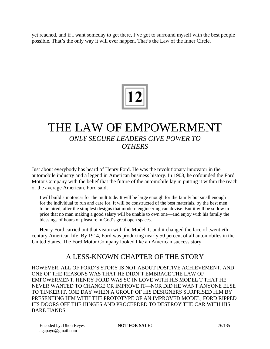yet reached, and if I want someday to get there, I've got to surround myself with the best people possible. That's the only way it will ever happen. That's the Law of the Inner Circle.



# THE LAW OF EMPOWERMENT *ONLY SECURE LEADERS GIVE POWER TO OTHERS*

Just about everybody has heard of Henry Ford. He was the revolutionary innovator in the automobile industry and a legend in American business history. In 1903, he cofounded the Ford Motor Company with the belief that the future of the automobile lay in putting it within the reach of the average American. Ford said,

I will build a motorcar for the multitude. It will be large enough for the family but small enough for the individual to run and care for. It will be constructed of the best materials, by the best men to be hired, after the simplest designs that modern engineering can devise. But it will be so low in price that no man making a good salary will be unable to own one—and enjoy with his family the blessings of hours of pleasure in God's great open spaces.

Henry Ford carried out that vision with the Model T, and it changed the face of twentiethcentury American life. By 1914, Ford was producing nearly 50 percent of all automobiles in the United States. The Ford Motor Company looked like an American success story.

# A LESS-KNOWN CHAPTER OF THE STORY

HOWEVER, ALL OF FORD'S STORY IS NOT ABOUT POSITIVE ACHIEVEMENT, AND ONE OF THE REASONS WAS THAT HE DIDN'T EMBRACE THE LAW OF EMPOWERMENT. HENRY FORD WAS SO IN LOVE WITH HIS MODEL T THAT HE NEVER WANTED TO CHANGE OR IMPROVE IT—NOR DID HE WANT ANYONE ELSE TO TINKER IT. ONE DAY WHEN A GROUP OF HIS DESIGNERS SURPRISED HIM BY PRESENTING HIM WITH THE PROTOTYPE OF AN IMPROVED MODEL, FORD RIPPED ITS DOORS OFF THE HINGES AND PROCEEDED TO DESTROY THE CAR WITH HIS BARE HANDS.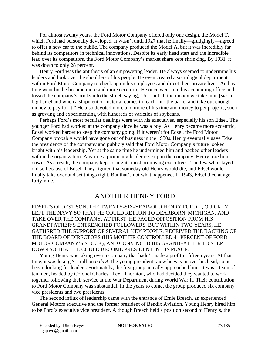For almost twenty years, the Ford Motor Company offered only one design, the Model T, which Ford had personally developed. It wasn't until 1927 that he finally—grudgingly—agreed to offer a new car to the public. The company produced the Model A, but it was incredibly far behind its competitors in technical innovations. Despite its early head start and the incredible lead over its competitors, the Ford Motor Company's market share kept shrinking. By 1931, it was down to only 28 percent.

Henry Ford was the antithesis of an empowering leader. He always seemed to undermine his leaders and look over the shoulders of his people. He even created a sociological department within Ford Motor Company to check up on his employees and direct their private lives. And as time went by, he became more and more eccentric. He once went into his accounting office and tossed the company's books into the street, saying, "Just put all the money we take in in [*sic*] a big barrel and when a shipment of material comes in reach into the barrel and take out enough money to pay for it." He also devoted more and more of his time and money to pet projects, such as growing and experimenting with hundreds of varieties of soybeans.

Perhaps Ford's most peculiar dealings were with his executives, especially his son Edsel. The younger Ford had worked at the company since he was a boy. As Henry became more eccentric, Edsel worked harder to keep the company going. If it weren't for Edsel, the Ford Motor Company probably would have gone out of business in the 1930s. Henry eventually gave Edsel the presidency of the company and publicly said that Ford Motor Company's future looked bright with his leadership. Yet at the same time he undermined him and backed other leaders within the organization. Anytime a promising leader rose up in the company, Henry tore him down. As a result, the company kept losing its most promising executives. The few who stayed did so because of Edsel. They figured that someday old Henry would die, and Edsel would finally take over and set things right. But that's not what happened. In 1943, Edsel died at age forty-nine.

#### ANOTHER HENRY FORD

EDSEL'S OLDEST SON, THE TWENTY-SIX-YEAR-OLD HENRY FORD II, QUICKLY LEFT THE NAVY SO THAT HE COULD RETURN TO DEARBORN, MICHIGAN, AND TAKE OVER THE COMPANY. AT FIRST, HE FACED OPPOSITION FROM HIS GRANDFATHER'S ENTRENCHED FOLLOWERS. BUT WITHIN TWO YEARS, HE GATHERED THE SUPPORT OF SEVERAL KEY PEOPLE, RECEIVED THE BACKING OF THE BOARD OF DIRECTORS (HIS MOTHER CONTROLLED 41 PERCENT OF FORD MOTOR COMPANY'S STOCK), AND CONVINCED HIS GRANDFATHER TO STEP DOWN SO THAT HE COULD BECOME PRESIDENT IN HIS PLACE.

Young Henry was taking over a company that hadn't made a profit in fifteen years. At that time, it was losing \$1 million *a day*! The young president knew he was in over his head, so he began looking for leaders. Fortunately, the first group actually approached him. It was a team of ten men, headed by Colonel Charles "Tex" Thornton, who had decided they wanted to work together following their service at the War Department during World War II. Their contribution to Ford Motor Company was substantial. In the years to come, the group produced six company vice presidents and two presidents.

The second influx of leadership came with the entrance of Ernie Breech, an experienced General Motors executive and the former president of Bendix Aviation. Young Henry hired him to be Ford's executive vice president. Although Breech held a position second to Henry's, the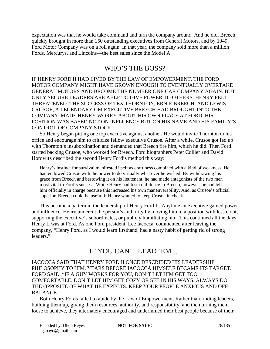expectation was that he would take command and turn the company around. And he did. Breech quickly brought in more than 150 outstanding executives from General Motors, and by 1949, Ford Motor Company was on a roll again. In that year, the company sold more than a million Fords, Mercurys, and Lincolns—the best sales since the Model A.

### WHO'S THE BOSS?

IF HENRY FORD II HAD LIVED BY THE LAW OF EMPOWERMENT, THE FORD MOTOR COMPANY MIGHT HAVE GROWN ENOUGH TO EVENTUALLY OVERTAKE GENERAL MOTORS AND BECOME THE NUMBER ONE CAR COMPANY AGAIN. BUT ONLY SECURE LEADERS ARE ABLE TO GIVE POWER TO OTHERS. HENRY FELT THREATENED. THE SUCCESS OF TEX THORNTON, ERNIE BREECH, AND LEWIS CRUSOE, A LEGENDARY GM EXECUTIVE BREECH HAD BROUGHT INTO THE COMPANY, MADE HENRY WORRY ABOUT HIS OWN PLACE AT FORD. HIS POSITION WAS BASED NOT ON INFLUENCE BUT ON HIS NAME AND HIS FAMILY'S CONTROL OF COMPANY STOCK.

So Henry began pitting one top executive against another. He would invite Thornton to his office and encourage him to criticize fellow executive Crusoe. After a while, Crusoe got fed up with Thornton's insubordination and demanded that Breech fire him, which he did. Then Ford started backing Crusoe, who worked for Breech. Ford biographers Peter Collier and David Horowitz described the second Henry Ford's method this way:

Henry's instinct for survival manifested itself as craftiness combined with a kind of weakness. He had endowed Crusoe with the power to do virtually what ever he wished. By withdrawing his grace from Breech and bestowing it on his lieutenant, he had made antagonists of the two men most vital to Ford's success. While Henry had lost confidence in Breech, however, he had left him officially in charge because this increased his own maneuverability. And, as Crusoe's official superior, Breech could be useful if Henry wanted to keep Crusoe in check.

This became a pattern in the leadership of Henry Ford II. Anytime an executive gained power and influence, Henry undercut the person's authority by moving him to a position with less clout, supporting the executive's subordinates, or publicly humiliating him. This continued all the days Henry II was at Ford. As one Ford president, Lee Iacocca, commented after leaving the company, "Henry Ford, as I would learn firsthand, had a nasty habit of getting rid of strong leaders."

# IF YOU CAN'T LEAD 'EM …

IACOCCA SAID THAT HENRY FORD II ONCE DESCRIBED HIS LEADERSHIP PHILOSOPHY TO HIM, YEARS BEFORE IACOCCA HIMSELF BECAME ITS TARGET. FORD SAID, "IF A GUY WORKS FOR YOU, DON'T LET HIM GET TOO COMFORTABLE. DON'T LET HIM GET COZY OR SET IN HIS WAYS. ALWAYS DO THE OPPOSITE OF WHAT HE EXPECTS. KEEP YOUR PEOPLE ANXIOUS AND OFF-BALANCE."

Both Henry Fords failed to abide by the Law of Empowerment. Rather than finding leaders, building them up, giving them resources, authority, and responsibility, and then turning them loose to achieve, they alternately encouraged and undermined their best people because of their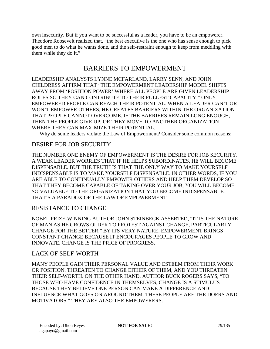own insecurity. But if you want to be successful as a leader, you have to be an empowerer. Theodore Roosevelt realized that, "the best executive is the one who has sense enough to pick good men to do what he wants done, and the self-restraint enough to keep from meddling with them while they do it."

# BARRIERS TO EMPOWERMENT

LEADERSHIP ANALYSTS LYNNE MCFARLAND, LARRY SENN, AND JOHN CHILDRESS AFFIRM THAT "THE EMPOWERMENT LEADERSHIP MODEL SHIFTS AWAY FROM 'POSITION POWER' WHERE ALL PEOPLE ARE GIVEN LEADERSHIP ROLES SO THEY CAN CONTRIBUTE TO THEIR FULLEST CAPACITY." ONLY EMPOWERED PEOPLE CAN REACH THEIR POTENTIAL. WHEN A LEADER CAN'T OR WON'T EMPOWER OTHERS, HE CREATES BARRIERS WITHIN THE ORGANIZATION THAT PEOPLE CANNOT OVERCOME. IF THE BARRIERS REMAIN LONG ENOUGH, THEN THE PEOPLE GIVE UP, OR THEY MOVE TO ANOTHER ORGANIZATION WHERE THEY CAN MAXIMIZE THEIR POTENTIAL.

Why do some leaders violate the Law of Empowerment? Consider some common reasons:

### DESIRE FOR JOB SECURITY

THE NUMBER ONE ENEMY OF EMPOWERMENT IS THE DESIRE FOR JOB SECURITY. A WEAK LEADER WORRIES THAT IF HE HELPS SUBORDINATES, HE WILL BECOME DISPENSABLE. BUT THE TRUTH IS THAT THE ONLY WAY TO MAKE YOURSELF INDISPENSABLE IS TO MAKE YOURSELF DISPENSABLE. IN OTHER WORDS, IF YOU ARE ABLE TO CONTINUALLY EMPOWER OTHERS AND HELP THEM DEVELOP SO THAT THEY BECOME CAPABLE OF TAKING OVER YOUR JOB, YOU WILL BECOME SO VALUABLE TO THE ORGANIZATION THAT YOU BECOME INDISPENSABLE. THAT'S A PARADOX OF THE LAW OF EMPOWERMENT.

### RESISTANCE TO CHANGE

NOBEL PRIZE-WINNING AUTHOR JOHN STEINBECK ASSERTED, "IT IS THE NATURE OF MAN AS HE GROWS OLDER TO PROTEST AGAINST CHANGE, PARTICULARLY CHANGE FOR THE BETTER." BY ITS VERY NATURE, EMPOWERMENT BRINGS CONSTANT CHANGE BECAUSE IT ENCOURAGES PEOPLE TO GROW AND INNOVATE. CHANGE IS THE PRICE OF PROGRESS.

### LACK OF SELF-WORTH

MANY PEOPLE GAIN THEIR PERSONAL VALUE AND ESTEEM FROM THEIR WORK OR POSITION. THREATEN TO CHANGE EITHER OF THEM, AND YOU THREATEN THEIR SELF-WORTH. ON THE OTHER HAND, AUTHOR BUCK ROGERS SAYS, "TO THOSE WHO HAVE CONFIDENCE IN THEMSELVES, CHANGE IS A STIMULUS BECAUSE THEY BELIEVE ONE PERSON CAN MAKE A DIFFERENCE AND INFLUENCE WHAT GOES ON AROUND THEM. THESE PEOPLE ARE THE DOERS AND MOTIVATORS." THEY ARE ALSO THE EMPOWERERS.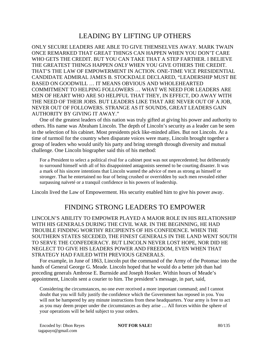# LEADING BY LIFTING UP OTHERS

ONLY SECURE LEADERS ARE ABLE TO GIVE THEMSELVES AWAY. MARK TWAIN ONCE REMARKED THAT GREAT THINGS CAN HAPPEN WHEN YOU DON'T CARE WHO GETS THE CREDIT. BUT YOU CAN TAKE THAT A STEP FARTHER. I BELIEVE THE GREATEST THINGS HAPPEN *ONLY* WHEN YOU GIVE OTHERS THE CREDIT. THAT'S THE LAW OF EMPOWERMENT IN ACTION. ONE-TIME VICE PRESIDENTIAL CANDIDATE ADMIRAL JAMES B. STOCKDALE DECLARED, "LEADERSHIP MUST BE BASED ON GOODWILL … IT MEANS OBVIOUS AND WHOLEHEARTED COMMITMENT TO HELPING FOLLOWERS … WHAT WE NEED FOR LEADERS ARE MEN OF HEART WHO ARE SO HELPFUL THAT THEY, IN EFFECT, DO AWAY WITH THE NEED OF THEIR JOBS. BUT LEADERS LIKE THAT ARE NEVER OUT OF A JOB, NEVER OUT OF FOLLOWERS. STRANGE AS IT SOUNDS, GREAT LEADERS GAIN AUTHORITY BY GIVING IT AWAY."

One of the greatest leaders of this nation was truly gifted at giving his power and authority to others. His name was Abraham Lincoln. The depth of Lincoln's security as a leader can be seen in the selection of his cabinet. Most presidents pick like-minded allies. But not Lincoln. At a time of turmoil for the country when disparate voices were many, Lincoln brought together a group of leaders who would unify his party and bring strength through diversity and mutual challenge. One Lincoln biographer said this of his method:

For a President to select a political rival for a cabinet post was not unprecedented; but deliberately to surround himself with all of his disappointed antagonists seemed to be courting disaster. It was a mark of his sincere intentions that Lincoln wanted the advice of men as strong as himself or stronger. That he entertained no fear of being crushed or overridden by such men revealed either surpassing naïveté or a tranquil confidence in his powers of leadership.

Lincoln lived the Law of Empowerment. His security enabled him to give his power away.

### FINDING STRONG LEADERS TO EMPOWER

LINCOLN'S ABILITY TO EMPOWER PLAYED A MAJOR ROLE IN HIS RELATIONSHIP WITH HIS GENERALS DURING THE CIVIL WAR. IN THE BEGINNING, HE HAD TROUBLE FINDING WORTHY RECIPIENTS OF HIS CONFIDENCE. WHEN THE SOUTHERN STATES SECEDED, THE FINEST GENERALS IN THE LAND WENT SOUTH TO SERVE THE CONFEDERACY. BUT LINCOLN NEVER LOST HOPE, NOR DID HE NEGLECT TO GIVE HIS LEADERS POWER AND FREEDOM, EVEN WHEN THAT STRATEGY HAD FAILED WITH PREVIOUS GENERALS.

For example, in June of 1863, Lincoln put the command of the Army of the Potomac into the hands of General George G. Meade. Lincoln hoped that he would do a better job than had preceding generals Ambrose E. Burnside and Joseph Hooker. Within hours of Meade's appointment, Lincoln sent a courier to him. The president's message, in part, said,

Considering the circumstances, no one ever received a more important command; and I cannot doubt that you will fully justify the confidence which the Government has reposed in you. You will not be hampered by any minute instructions from these headquarters. Your army is free to act as you may deem proper under the circumstances as they arise … All forces within the sphere of your operations will be held subject to your orders.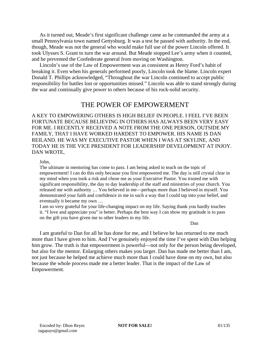As it turned out, Meade's first significant challenge came as he commanded the army at a small Pennsylvania town named Gettysburg. It was a test he passed with authority. In the end, though, Meade was not the general who would make full use of the power Lincoln offered. It took Ulysses S. Grant to turn the war around. But Meade stopped Lee's army when it counted, and he prevented the Confederate general from moving on Washington.

Lincoln's use of the Law of Empowerment was as consistent as Henry Ford's habit of breaking it. Even when his generals performed poorly, Lincoln took the blame. Lincoln expert Donald T. Phillips acknowledged, "Throughout the war Lincoln continued to accept public responsibility for battles lost or opportunities missed." Lincoln was able to stand strongly during the war and continually give power to others because of his rock-solid security.

### THE POWER OF EMPOWERMENT

A KEY TO EMPOWERING OTHERS IS HIGH BELIEF IN PEOPLE. I FEEL I'VE BEEN FORTUNATE BECAUSE BELIEVING IN OTHERS HAS ALWAYS BEEN VERY EASY FOR ME. I RECENTLY RECEIVED A NOTE FROM THE ONE PERSON, OUTSIDE MY FAMILY, THAT I HAVE WORKED HARDEST TO EMPOWER. HIS NAME IS DAN REILAND. HE WAS MY EXECUTIVE PASTOR WHEN I WAS AT SKYLINE, AND TODAY HE IS THE VICE PRESIDENT FOR LEADERSHIP DEVELOPMENT AT INJOY. DAN WROTE,

#### John,

The ultimate in mentoring has come to pass. I am being asked to teach on the topic of empowerment! I can do this only because you first empowered me. The day is still crystal clear in my mind when you took a risk and chose me as your Executive Pastor. You trusted me with significant responsibility, the day to day leadership of the staff and ministries of your church. You released me with authority … You believed in me—perhaps more than I believed in myself. You demonstrated your faith and confidence in me in such a way that I could tap into your belief, and eventually it became my own …

I am so very grateful for your life-changing impact on my life. Saying thank you hardly touches it. "I love and appreciate you" is better. Perhaps the best way I can show my gratitude is to pass on the gift you have given me to other leaders in my life.

Dan

I am grateful to Dan for all he has done for me, and I believe he has returned to me much more than I have given to him. And I've genuinely enjoyed the time I've spent with Dan helping him grow. The truth is that empowerment is powerful—not only for the person being developed, but also for the mentor. Enlarging others makes you larger. Dan has made me better than I am, not just because he helped me achieve much more than I could have done on my own, but also because the whole process made me a better leader. That is the impact of the Law of Empowerment.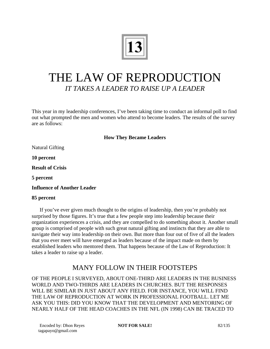

# THE LAW OF REPRODUCTION *IT TAKES A LEADER TO RAISE UP A LEADER*

This year in my leadership conferences, I've been taking time to conduct an informal poll to find out what prompted the men and women who attend to become leaders. The results of the survey are as follows:

**How They Became Leaders**

Natural Gifting

**10 percent** 

**Result of Crisis** 

**5 percent** 

**Influence of Another Leader** 

#### **85 percent**

If you've ever given much thought to the origins of leadership, then you're probably not surprised by those figures. It's true that a few people step into leadership because their organization experiences a crisis, and they are compelled to do something about it. Another small group is comprised of people with such great natural gifting and instincts that they are able to navigate their way into leadership on their own. But more than four out of five of all the leaders that you ever meet will have emerged as leaders because of the impact made on them by established leaders who mentored them. That happens because of the Law of Reproduction: It takes a leader to raise up a leader.

### MANY FOLLOW IN THEIR FOOTSTEPS

OF THE PEOPLE I SURVEYED, ABOUT ONE-THIRD ARE LEADERS IN THE BUSINESS WORLD AND TWO-THIRDS ARE LEADERS IN CHURCHES. BUT THE RESPONSES WILL BE SIMILAR IN JUST ABOUT ANY FIELD. FOR INSTANCE, YOU WILL FIND THE LAW OF REPRODUCTION AT WORK IN PROFESSIONAL FOOTBALL. LET ME ASK YOU THIS: DID YOU KNOW THAT THE DEVELOPMENT AND MENTORING OF NEARLY HALF OF THE HEAD COACHES IN THE NFL (IN 1998) CAN BE TRACED TO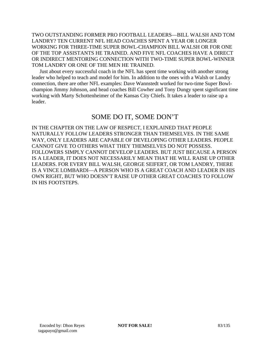TWO OUTSTANDING FORMER PRO FOOTBALL LEADERS—BILL WALSH AND TOM LANDRY? TEN CURRENT NFL HEAD COACHES SPENT A YEAR OR LONGER WORKING FOR THREE-TIME SUPER BOWL-CHAMPION BILL WALSH OR FOR ONE OF THE TOP ASSISTANTS HE TRAINED. AND FIVE NFL COACHES HAVE A DIRECT OR INDIRECT MENTORING CONNECTION WITH TWO-TIME SUPER BOWL-WINNER TOM LANDRY OR ONE OF THE MEN HE TRAINED.

Just about every successful coach in the NFL has spent time working with another strong leader who helped to teach and model for him. In addition to the ones with a Walsh or Landry connection, there are other NFL examples: Dave Wannstedt worked for two-time Super Bowlchampion Jimmy Johnson, and head coaches Bill Cowher and Tony Dungy spent significant time working with Marty Schottenheimer of the Kansas City Chiefs. It takes a leader to raise up a leader.

# SOME DO IT, SOME DON'T

IN THE CHAPTER ON THE LAW OF RESPECT, I EXPLAINED THAT PEOPLE NATURALLY FOLLOW LEADERS STRONGER THAN THEMSELVES. IN THE SAME WAY, ONLY LEADERS ARE CAPABLE OF DEVELOPING OTHER LEADERS. PEOPLE CANNOT GIVE TO OTHERS WHAT THEY THEMSELVES DO NOT POSSESS. FOLLOWERS SIMPLY CANNOT DEVELOP LEADERS. BUT JUST BECAUSE A PERSON IS A LEADER, IT DOES NOT NECESSARILY MEAN THAT HE WILL RAISE UP OTHER LEADERS. FOR EVERY BILL WALSH, GEORGE SEIFERT, OR TOM LANDRY, THERE IS A VINCE LOMBARDI—A PERSON WHO IS A GREAT COACH AND LEADER IN HIS OWN RIGHT, BUT WHO DOESN'T RAISE UP OTHER GREAT COACHES TO FOLLOW IN HIS FOOTSTEPS.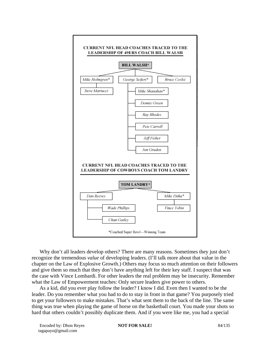

Why don't all leaders develop others? There are many reasons. Sometimes they just don't recognize the tremendous *value* of developing leaders. (I'll talk more about that value in the chapter on the Law of Explosive Growth.) Others may focus so much attention on their followers and give them so much that they don't have anything left for their key staff. I suspect that was the case with Vince Lombardi. For other leaders the real problem may be insecurity. Remember what the Law of Empowerment teaches: Only secure leaders give power to others.

As a kid, did you ever play follow the leader? I know I did. Even then I wanted to be the leader. Do you remember what you had to do to stay in front in that game? You purposely tried to get your followers to make mistakes. That's what sent them to the back of the line. The same thing was true when playing the game of horse on the basketball court. You made your shots so hard that others couldn't possibly duplicate them. And if you were like me, you had a special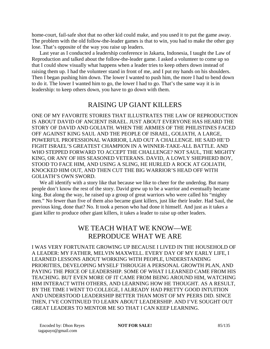home-court, fail-safe shot that no other kid could make, and you used it to put the game away. The problem with the old follow-the-leader games is that to win, you had to make the other guy lose. That's opposite of the way you raise up leaders.

Last year as I conducted a leadership conference in Jakarta, Indonesia, I taught the Law of Reproduction and talked about the follow-the-leader game. I asked a volunteer to come up so that I could show visually what happens when a leader tries to keep others down instead of raising them up. I had the volunteer stand in front of me, and I put my hands on his shoulders. Then I began pushing him down. The lower I wanted to push him, the more I had to bend down to do it. The lower I wanted him to go, the lower I had to go. That's the same way it is in leadership: to keep others down, you have to go down with them.

### RAISING UP GIANT KILLERS

ONE OF MY FAVORITE STORIES THAT ILLUSTRATES THE LAW OF REPRODUCTION IS ABOUT DAVID OF ANCIENT ISRAEL. JUST ABOUT EVERYONE HAS HEARD THE STORY OF DAVID AND GOLIATH. WHEN THE ARMIES OF THE PHILISTINES FACED OFF AGAINST KING SAUL AND THE PEOPLE OF ISRAEL, GOLIATH, A LARGE, POWERFUL PROFESSIONAL WARRIOR, LAID OUT A CHALLENGE. HE SAID HE'D FIGHT ISRAEL'S GREATEST CHAMPION IN A WINNER-TAKE-ALL BATTLE. AND WHO STEPPED FORWARD TO ACCEPT THE CHALLENGE? NOT SAUL, THE MIGHTY KING, OR ANY OF HIS SEASONED VETERANS. DAVID, A LOWLY SHEPHERD BOY, STOOD TO FACE HIM, AND USING A SLING, HE HURLED A ROCK AT GOLIATH, KNOCKED HIM OUT, AND THEN CUT THE BIG WARRIOR'S HEAD OFF WITH GOLIATH'S OWN SWORD.

We all identify with a story like that because we like to cheer for the underdog. But many people don't know the rest of the story. David grew up to be a warrior and eventually became king. But along the way, he raised up a group of great warriors who were called his "mighty men." No fewer than five of them also became giant killers, just like their leader. Had Saul, the previous king, done that? No. It took a person who had done it himself. And just as it takes a giant killer to produce other giant killers, it takes a leader to raise up other leaders.

# WE TEACH WHAT WE KNOW—WE REPRODUCE WHAT WE ARE

I WAS VERY FORTUNATE GROWING UP BECAUSE I LIVED IN THE HOUSEHOLD OF A LEADER: MY FATHER, MELVIN MAXWELL. EVERY DAY OF MY EARLY LIFE, I LEARNED LESSONS ABOUT WORKING WITH PEOPLE, UNDERSTANDING PRIORITIES, DEVELOPING MYSELF THROUGH A PERSONAL GROWTH PLAN, AND PAYING THE PRICE OF LEADERSHIP. SOME OF WHAT I LEARNED CAME FROM HIS TEACHING. BUT EVEN MORE OF IT CAME FROM BEING AROUND HIM, WATCHING HIM INTERACT WITH OTHERS, AND LEARNING HOW HE THOUGHT. AS A RESULT, BY THE TIME I WENT TO COLLEGE, I ALREADY HAD PRETTY GOOD INTUITION AND UNDERSTOOD LEADERSHIP BETTER THAN MOST OF MY PEERS DID. SINCE THEN, I'VE CONTINUED TO LEARN ABOUT LEADERSHIP. AND I'VE SOUGHT OUT GREAT LEADERS TO MENTOR ME SO THAT I CAN KEEP LEARNING.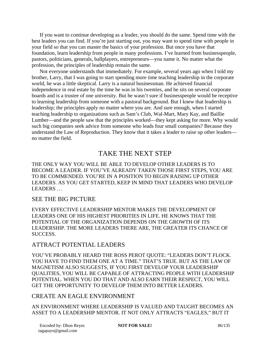If you want to continue developing as a leader, you should do the same. Spend time with the best leaders you can find. If you're just starting out, you may want to spend time with people in your field so that you can master the basics of your profession. But once you have that foundation, learn leadership from people in many professions. I've learned from businesspeople, pastors, politicians, generals, ballplayers, entrepreneurs—you name it. No matter what the profession, the principles of leadership remain the same.

Not everyone understands that immediately. For example, several years ago when I told my brother, Larry, that I was going to start spending more time teaching leadership in the corporate world, he was a little skeptical. Larry is a natural businessman. He achieved financial independence in real estate by the time he was in his twenties, and he sits on several corporate boards and is a trustee of one university. But he wasn't sure if businesspeople would be receptive to learning leadership from someone with a pastoral background. But I knew that leadership is leadership; the principles apply no matter where you are. And sure enough, when I started teaching leadership to organizations such as Sam's Club, Wal-Mart, Mary Kay, and Baillie Lumber—and the people saw that the principles worked—they kept asking for more. Why would such big companies seek advice from someone who leads four small companies? Because they understand the Law of Reproduction. They know that it takes a leader to raise up other leaders no matter the field.

### TAKE THE NEXT STEP

THE ONLY WAY YOU WILL BE ABLE TO DEVELOP OTHER LEADERS IS TO BECOME A LEADER. IF YOU'VE ALREADY TAKEN THOSE FIRST STEPS, YOU ARE TO BE COMMENDED. YOU'RE IN A POSITION TO BEGIN RAISING UP OTHER LEADERS. AS YOU GET STARTED, KEEP IN MIND THAT LEADERS WHO DEVELOP LEADERS …

#### SEE THE BIG PICTURE

EVERY EFFECTIVE LEADERSHIP MENTOR MAKES THE DEVELOPMENT OF LEADERS ONE OF HIS HIGHEST PRIORITIES IN LIFE. HE KNOWS THAT THE POTENTIAL OF THE ORGANIZATION DEPENDS ON THE GROWTH OF ITS LEADERSHIP. THE MORE LEADERS THERE ARE, THE GREATER ITS CHANCE OF SUCCESS.

### ATTRACT POTENTIAL LEADERS

YOU'VE PROBABLY HEARD THE ROSS PEROT QUOTE: "LEADERS DON'T FLOCK. YOU HAVE TO FIND THEM ONE AT A TIME." THAT'S TRUE. BUT AS THE LAW OF MAGNETISM ALSO SUGGESTS, IF YOU FIRST DEVELOP YOUR LEADERSHIP QUALITIES, YOU WILL BE CAPABLE OF ATTRACTING PEOPLE WITH LEADERSHIP POTENTIAL. WHEN YOU DO THAT AND ALSO EARN THEIR RESPECT, YOU WILL GET THE OPPORTUNITY TO DEVELOP THEM INTO BETTER LEADERS.

#### CREATE AN EAGLE ENVIRONMENT

AN ENVIRONMENT WHERE LEADERSHIP IS VALUED AND TAUGHT BECOMES AN ASSET TO A LEADERSHIP MENTOR. IT NOT ONLY ATTRACTS "EAGLES," BUT IT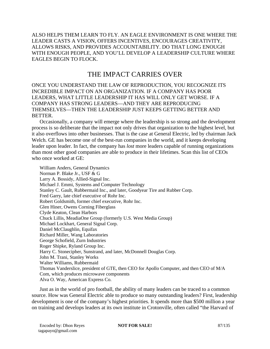ALSO HELPS THEM LEARN TO FLY. AN EAGLE ENVIRONMENT IS ONE WHERE THE LEADER CASTS A VISION, OFFERS INCENTIVES, ENCOURAGES CREATIVITY, ALLOWS RISKS, AND PROVIDES ACCOUNTABILITY. DO THAT LONG ENOUGH WITH ENOUGH PEOPLE, AND YOU'LL DEVELOP A LEADERSHIP CULTURE WHERE EAGLES BEGIN TO FLOCK.

# THE IMPACT CARRIES OVER

#### ONCE YOU UNDERSTAND THE LAW OF REPRODUCTION, YOU RECOGNIZE ITS INCREDIBLE IMPACT ON AN ORGANIZATION. IF A COMPANY HAS POOR LEADERS, WHAT LITTLE LEADERSHIP IT HAS WILL ONLY GET WORSE. IF A COMPANY HAS STRONG LEADERS—AND THEY ARE REPRODUCING THEMSELVES—THEN THE LEADERSHIP JUST KEEPS GETTING BETTER AND BETTER.

Occasionally, a company will emerge where the leadership is so strong and the development process is so deliberate that the impact not only drives that organization to the highest level, but it also overflows into other businesses. That is the case at General Electric, led by chairman Jack Welch. GE has become one of the best-run companies in the world, and it keeps developing leader upon leader. In fact, the company has *lost* more leaders capable of running organizations than most other good companies are able to produce in their lifetimes. Scan this list of CEOs who once worked at GE:

William Anders, General Dynamics Norman P. Blake Jr., USF & G Larry A. Bossidy, Allied-Signal Inc. Michael J. Emmi, Systems and Computer Technology Stanley C. Gault, Rubbermaid Inc., and later, Goodyear Tire and Rubber Corp. Fred Garry, late chief executive of Rohr Inc. Robert Goldsmith, former chief executive, Rohr Inc. Glen Hiner, Owens Corning Fiberglass Clyde Keaton, Clean Harbors Chuck Lillis, MeadiaOne Group (formerly U.S. West Media Group) Michael Lockhart, General Signal Corp. Daniel McClaughlin, Equifax Richard Miller, Wang Laboratories George Schofield, Zurn Industries Roger Shipke, Ryland Group Inc. Harry C. Stonecipher, Sunstrand, and later, McDonnell Douglas Corp. John M. Trani, Stanley Works Walter Williams, Rubbermaid Thomas Vanderslice, president of GTE, then CEO for Apollo Computer, and then CEO of M/A Com, which produces microwave components Alva O. Way, American Express Co.

Just as in the world of pro football, the ability of many leaders can be traced to a common source. How was General Electric able to produce so many outstanding leaders? First, leadership development is one of the company's highest priorities. It spends more than \$500 million a year on training and develops leaders at its own institute in Crotonville, often called "the Harvard of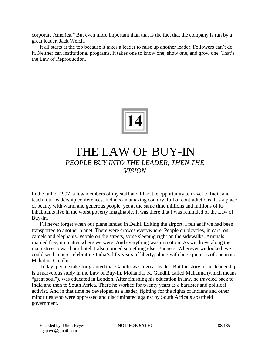corporate America." But even more important than that is the fact that the company is run by a great leader, Jack Welch.

It all starts at the top because it takes a leader to raise up another leader. Followers can't do it. Neither can institutional programs. It takes one to know one, show one, and grow one. That's the Law of Reproduction.



# THE LAW OF BUY-IN *PEOPLE BUY INTO THE LEADER, THEN THE VISION*

In the fall of 1997, a few members of my staff and I had the opportunity to travel to India and teach four leadership conferences. India is an amazing country, full of contradictions. It's a place of beauty with warm and generous people, yet at the same time millions and millions of its inhabitants live in the worst poverty imaginable. It was there that I was reminded of the Law of Buy-In.

I'll never forget when our plane landed in Delhi. Exiting the airport, I felt as if we had been transported to another planet. There were crowds everywhere. People on bicycles, in cars, on camels and elephants. People on the streets, some sleeping right on the sidewalks. Animals roamed free, no matter where we were. And everything was in motion. As we drove along the main street toward our hotel, I also noticed something else. Banners. Wherever we looked, we could see banners celebrating India's fifty years of liberty, along with huge pictures of one man: Mahatma Gandhi.

Today, people take for granted that Gandhi was a great leader. But the story of his leadership is a marvelous study in the Law of Buy-In. Mohandas K. Gandhi, called Mahatma (which means "great soul"), was educated in London. After finishing his education in law, he traveled back to India and then to South Africa. There he worked for twenty years as a barrister and political activist. And in that time he developed as a leader, fighting for the rights of Indians and other minorities who were oppressed and discriminated against by South Africa's apartheid government.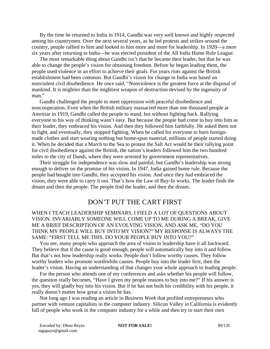By the time he returned to India in 1914, Gandhi was very well known and highly respected among his countrymen. Over the next several years, as he led protests and strikes around the country, people rallied to him and looked to him more and more for leadership. In 1920—a mere six years after returning to India—he was elected president of the All India Home Rule League.

The most remarkable thing about Gandhi isn't that he became their leader, but that he was able to change the people's vision for obtaining freedom. Before he began leading them, the people used violence in an effort to achieve their goals. For years riots against the British establishment had been common. But Gandhi's vision for change in India was based on nonviolent civil disobedience. He once said, "Nonviolence is the greatest force at the disposal of mankind. It is mightier than the mightiest weapon of destruction devised by the ingenuity of man."

Gandhi challenged the people to meet oppression with peaceful disobedience and noncooperation. Even when the British military massacred more than one thousand people at Amritsar in 1919, Gandhi called the people to stand, but without fighting back. Rallying everyone to his way of thinking wasn't easy. But because the people had come to buy into him as their leader, they embraced his vision. And then they followed him faithfully. He asked them not to fight, and eventually, they stopped fighting. When he called for everyone to burn foreignmade clothes and start wearing nothing but home-spun material, millions of people started doing it. When he decided that a March to the Sea to protest the Salt Act would be their rallying point for civil disobedience against the British, the nation's leaders followed him the two hundred miles to the city of Dandi, where they were arrested by government representatives.

Their struggle for independence was slow and painful, but Gandhi's leadership was strong enough to deliver on the promise of his vision. In 1947, India gained home rule. Because the people had bought into Gandhi, they accepted his vision. And once they had embraced the vision, they were able to carry it out. That's how the Law of Buy-In works. The leader finds the dream and then the people. The people find the leader, and then the dream.

### DON'T PUT THE CART FIRST

WHEN I TEACH LEADERSHIP SEMINARS, I FIELD A LOT OF QUESTIONS ABOUT VISION. INVARIABLY SOMEONE WILL COME UP TO ME DURING A BREAK, GIVE ME A BRIEF DESCRIPTION OF AN EVOLVING VISION, AND ASK ME, "DO YOU THINK MY PEOPLE WILL BUY INTO MY VISION?" MY RESPONSE IS ALWAYS THE SAME: "FIRST TELL ME THIS. DO YOUR PEOPLE BUY INTO YOU?"

You see, many people who approach the area of vision in leadership have it all backward. They believe that if the cause is good enough, people will automatically buy into it and follow. But that's not how leadership really works. People don't follow worthy causes. They follow worthy leaders who promote worthwhile causes. People buy into the leader first, then the leader's vision. Having an understanding of that changes your whole approach to leading people.

For the person who attends one of my conferences and asks whether his people will follow, the question really becomes, "Have I given my people reasons to buy into me?" If his answer is yes, they will gladly buy into his vision. But if he has not built his credibility with his people, it really doesn't matter how great a vision he has.

Not long ago I was reading an article in *Business Week* that profiled entrepreneurs who partner with venture capitalists in the computer industry. Silicon Valley in California is evidently full of people who work in the computer industry for a while and then try to start their own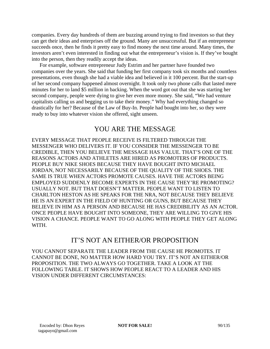companies. Every day hundreds of them are buzzing around trying to find investors so that they can get their ideas and enterprises off the ground. Many are unsuccessful. But if an entrepreneur succeeds once, then he finds it pretty easy to find money the next time around. Many times, the investors aren't even interested in finding out what the entrepreneur's vision is. If they've bought into the person, then they readily accept the ideas.

For example, software entrepreneur Judy Estrim and her partner have founded two companies over the years. She said that funding her first company took six months and countless presentations, even though she had a viable idea and believed in it 100 percent. But the start-up of her second company happened almost overnight. It took only two phone calls that lasted mere minutes for her to land \$5 million in backing. When the word got out that she was starting her second company, people were dying to give her even more money. She said, "We had venture capitalists calling us and begging us to take their money." Why had everything changed so drastically for her? Because of the Law of Buy-In. People had bought into her, so they were ready to buy into whatever vision she offered, sight unseen.

# YOU ARE THE MESSAGE

EVERY MESSAGE THAT PEOPLE RECEIVE IS FILTERED THROUGH THE MESSENGER WHO DELIVERS IT. IF YOU CONSIDER THE MESSENGER TO BE CREDIBLE, THEN YOU BELIEVE THE MESSAGE HAS VALUE. THAT'S ONE OF THE REASONS ACTORS AND ATHLETES ARE HIRED AS PROMOTERS OF PRODUCTS. PEOPLE BUY NIKE SHOES BECAUSE THEY HAVE BOUGHT INTO MICHAEL JORDAN, NOT NECESSARILY BECAUSE OF THE QUALITY OF THE SHOES. THE SAME IS TRUE WHEN ACTORS PROMOTE CAUSES. HAVE THE ACTORS BEING EMPLOYED SUDDENLY BECOME EXPERTS IN THE CAUSE THEY'RE PROMOTING? USUALLY NOT. BUT THAT DOESN'T MATTER. PEOPLE WANT TO LISTEN TO CHARLTON HESTON AS HE SPEAKS FOR THE NRA, NOT BECAUSE THEY BELIEVE HE IS AN EXPERT IN THE FIELD OF HUNTING OR GUNS, BUT BECAUSE THEY BELIEVE IN HIM AS A PERSON AND BECAUSE HE HAS CREDIBILITY AS AN ACTOR. ONCE PEOPLE HAVE BOUGHT INTO SOMEONE, THEY ARE WILLING TO GIVE HIS VISION A CHANCE. PEOPLE WANT TO GO ALONG WITH PEOPLE THEY GET ALONG WITH.

# IT'S NOT AN EITHER/OR PROPOSITION

YOU CANNOT SEPARATE THE LEADER FROM THE CAUSE HE PROMOTES. IT CANNOT BE DONE, NO MATTER HOW HARD YOU TRY. IT'S NOT AN EITHER/OR PROPOSITION. THE TWO ALWAYS GO TOGETHER. TAKE A LOOK AT THE FOLLOWING TABLE. IT SHOWS HOW PEOPLE REACT TO A LEADER AND HIS VISION UNDER DIFFERENT CIRCUMSTANCES: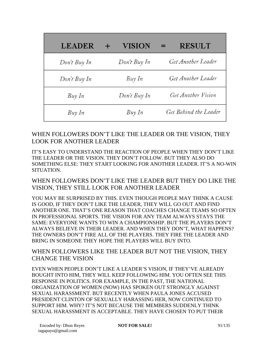| <b>LEADER</b> | $\div$ | <b>VISION</b> | =                     | <b>RESULT</b> |
|---------------|--------|---------------|-----------------------|---------------|
| Don't Buy In  |        | Don't Buy In  | Get Another Leader    |               |
| Don't Buy In  |        | Buy In        | Get Another Leader    |               |
| Buy In        |        | Don't Buy In  | Get Another Vision    |               |
| Buy In        |        | Buy In        | Get Behind the Leader |               |

### WHEN FOLLOWERS DON'T LIKE THE LEADER OR THE VISION, THEY LOOK FOR ANOTHER LEADER

IT'S EASY TO UNDERSTAND THE REACTION OF PEOPLE WHEN THEY DON'T LIKE THE LEADER OR THE VISION. THEY DON'T FOLLOW. BUT THEY ALSO DO SOMETHING ELSE: THEY START LOOKING FOR ANOTHER LEADER. IT'S A NO-WIN SITUATION.

WHEN FOLLOWERS DON'T LIKE THE LEADER BUT THEY DO LIKE THE VISION, THEY STILL LOOK FOR ANOTHER LEADER

YOU MAY BE SURPRISED BY THIS. EVEN THOUGH PEOPLE MAY THINK A CAUSE IS GOOD, IF THEY DON'T LIKE THE LEADER, THEY WILL GO OUT AND FIND ANOTHER ONE. THAT'S ONE REASON THAT COACHES CHANGE TEAMS SO OFTEN IN PROFESSIONAL SPORTS. THE VISION FOR ANY TEAM ALWAYS STAYS THE SAME: EVERYONE WANTS TO WIN A CHAMPIONSHIP. BUT THE PLAYERS DON'T ALWAYS BELIEVE IN THEIR LEADER. AND WHEN THEY DON'T, WHAT HAPPENS? THE OWNERS DON'T FIRE ALL OF THE PLAYERS. THEY FIRE THE LEADER AND BRING IN SOMEONE THEY HOPE THE PLAYERS WILL BUY INTO.

WHEN FOLLOWERS LIKE THE LEADER BUT NOT THE VISION, THEY CHANGE THE VISION

EVEN WHEN PEOPLE DON'T LIKE A LEADER'S VISION, IF THEY'VE ALREADY BOUGHT INTO HIM, THEY WILL KEEP FOLLOWING HIM. YOU OFTEN SEE THIS RESPONSE IN POLITICS. FOR EXAMPLE, IN THE PAST, THE NATIONAL ORGANIZATION OF WOMEN (NOW) HAS SPOKEN OUT STRONGLY AGAINST SEXUAL HARASSMENT. BUT RECENTLY WHEN PAULA JONES ACCUSED PRESIDENT CLINTON OF SEXUALLY HARASSING HER, NOW CONTINUED TO SUPPORT HIM. WHY? IT'S NOT BECAUSE THE MEMBERS SUDDENLY THINK SEXUAL HARASSMENT IS ACCEPTABLE. THEY HAVE CHOSEN TO PUT THEIR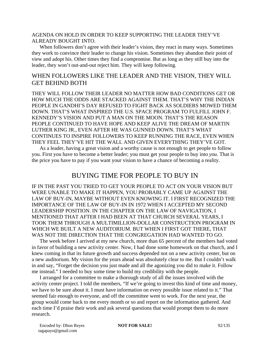AGENDA ON HOLD IN ORDER TO KEEP SUPPORTING THE LEADER THEY'VE ALREADY BOUGHT INTO.

When followers don't agree with their leader's vision, they react in many ways. Sometimes they work to convince their leader to change his vision. Sometimes they abandon their point of view and adopt his. Other times they find a compromise. But as long as they still buy into the leader, they won't out-and-out reject him. They will keep following.

### WHEN FOLLOWERS LIKE THE LEADER AND THE VISION, THEY WILL GET BEHIND BOTH

THEY WILL FOLLOW THEIR LEADER NO MATTER HOW BAD CONDITIONS GET OR HOW MUCH THE ODDS ARE STACKED AGAINST THEM. THAT'S WHY THE INDIAN PEOPLE IN GANDHI'S DAY REFUSED TO FIGHT BACK AS SOLDIERS MOWED THEM DOWN. THAT'S WHAT INSPIRED THE U.S. SPACE PROGRAM TO FULFILL JOHN F. KENNEDY'S VISION AND PUT A MAN ON THE MOON. THAT'S THE REASON PEOPLE CONTINUED TO HAVE HOPE AND KEEP ALIVE THE DREAM OF MARTIN LUTHER KING JR., EVEN AFTER HE WAS GUNNED DOWN. THAT'S WHAT CONTINUES TO INSPIRE FOLLOWERS TO KEEP RUNNING THE RACE, EVEN WHEN THEY FEEL THEY'VE HIT THE WALL AND GIVEN EVERYTHING THEY'VE GOT.

As a leader, having a great vision and a worthy cause is not enough to get people to follow you. First you have to become a better leader; you must get your people to buy into *you*. That is the price you have to pay if you want your vision to have a chance of becoming a reality.

### BUYING TIME FOR PEOPLE TO BUY IN

IF IN THE PAST YOU TRIED TO GET YOUR PEOPLE TO ACT ON YOUR VISION BUT WERE UNABLE TO MAKE IT HAPPEN, YOU PROBABLY CAME UP AGAINST THE LAW OF BUY-IN, MAYBE WITHOUT EVEN KNOWING IT. I FIRST RECOGNIZED THE IMPORTANCE OF THE LAW OF BUY-IN IN 1972 WHEN I ACCEPTED MY SECOND LEADERSHIP POSITION. IN THE CHAPTER ON THE LAW OF NAVIGATION, I MENTIONED THAT AFTER I HAD BEEN AT THAT CHURCH SEVERAL YEARS, I TOOK THEM THROUGH A MULTIMILLION-DOLLAR CONSTRUCTION PROGRAM IN WHICH WE BUILT A NEW AUDITORIUM. BUT WHEN I FIRST GOT THERE, THAT WAS NOT THE DIRECTION THAT THE CONGREGATION HAD WANTED TO GO.

The week before I arrived at my new church, more than 65 percent of the members had voted in favor of building a new activity center. Now, I had done some homework on that church, and I knew coming in that its future growth and success depended not on a new activity center, but on a new auditorium. My vision for the years ahead was absolutely clear to me. But I couldn't walk in and say, "Forget the decision you just made and all the agonizing you did to make it. Follow me instead." I needed to buy some time to build my credibility with the people.

I arranged for a committee to make a thorough study of all the issues involved with the activity center project. I told the members, "If we're going to invest this kind of time and money, we have to be sure about it. I must have information on every possible issue related to it." That seemed fair enough to everyone, and off the committee went to work. For the next year, the group would come back to me every month or so and report on the information gathered. And each time I'd praise their work and ask several questions that would prompt them to do more research.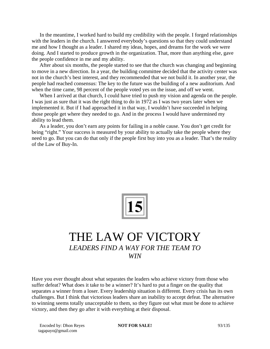In the meantime, I worked hard to build my credibility with the people. I forged relationships with the leaders in the church. I answered everybody's questions so that they could understand me and how I thought as a leader. I shared my ideas, hopes, and dreams for the work we were doing. And I started to produce growth in the organization. That, more than anything else, gave the people confidence in me and my ability.

After about six months, the people started to see that the church was changing and beginning to move in a new direction. In a year, the building committee decided that the activity center was not in the church's best interest, and they recommended that we not build it. In another year, the people had reached consensus: The key to the future was the building of a new auditorium. And when the time came, 98 percent of the people voted yes on the issue, and off we went.

When I arrived at that church, I could have tried to push my vision and agenda on the people. I was just as sure that it was the right thing to do in 1972 as I was two years later when we implemented it. But if I had approached it in that way, I wouldn't have succeeded in helping those people get where they needed to go. And in the process I would have undermined my ability to lead them.

As a leader, you don't earn any points for failing in a noble cause. You don't get credit for being "right." Your success is measured by your ability to actually take the people where they need to go. But you can do that only if the people first buy into you as a leader. That's the reality of the Law of Buy-In.



# THE LAW OF VICTORY *LEADERS FIND A WAY FOR THE TEAM TO WIN*

Have you ever thought about what separates the leaders who achieve victory from those who suffer defeat? What does it take to be a winner? It's hard to put a finger on the quality that separates a winner from a loser. Every leadership situation is different. Every crisis has its own challenges. But I think that victorious leaders share an inability to accept defeat. The alternative to winning seems totally unacceptable to them, so they figure out what must be done to achieve victory, and then they go after it with everything at their disposal.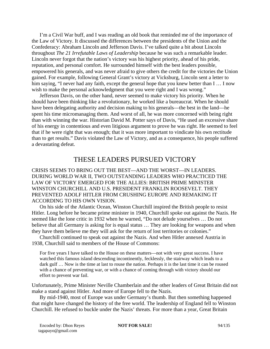I'm a Civil War buff, and I was reading an old book that reminded me of the importance of the Law of Victory. It discussed the differences between the presidents of the Union and the Confederacy: Abraham Lincoln and Jefferson Davis. I've talked quite a bit about Lincoln throughout *The 21 Irrefutable Laws of Leadership* because he was such a remarkable leader. Lincoln never forgot that the nation's victory was his highest priority, ahead of his pride, reputation, and personal comfort. He surrounded himself with the best leaders possible, empowered his generals, and was never afraid to give others the credit for the victories the Union gained. For example, following General Grant's victory at Vicksburg, Lincoln sent a letter to him saying, "I never had any faith, except the general hope that you knew better than I ... I now wish to make the personal acknowledgment that you were right and I was wrong."

Jefferson Davis, on the other hand, never seemed to make victory his priority. When he should have been thinking like a revolutionary, he worked like a bureaucrat. When he should have been delegating authority and decision making to his generals—the best in the land—he spent his time micromanaging them. And worst of all, he was more concerned with being right than with winning the war. Historian David M. Potter says of Davis, "He used an excessive share of his energy in contentious and even litigious argument to prove he was right. He seemed to feel that if he were right that was enough; that it was more important to vindicate his own rectitude than to get results." Davis violated the Law of Victory, and as a consequence, his people suffered a devastating defeat.

# THESE LEADERS PURSUED VICTORY

CRISIS SEEMS TO BRING OUT THE BEST—AND THE WORST—IN LEADERS. DURING WORLD WAR II, TWO OUTSTANDING LEADERS WHO PRACTICED THE LAW OF VICTORY EMERGED FOR THE ALLIES: BRITISH PRIME MINISTER WINSTON CHURCHILL AND U.S. PRESIDENT FRANKLIN ROOSEVELT. THEY PREVENTED ADOLF HITLER FROM CRUSHING EUROPE AND REMAKING IT ACCORDING TO HIS OWN VISION.

On his side of the Atlantic Ocean, Winston Churchill inspired the British people to resist Hitler. Long before he became prime minister in 1940, Churchill spoke out against the Nazis. He seemed like the lone critic in 1932 when he warned, "Do not delude yourselves … Do not believe that all Germany is asking for is equal status … They are looking for weapons and when they have them believe me they will ask for the return of lost territories or colonies."

Churchill continued to speak out against the Nazis. And when Hitler annexed Austria in 1938, Churchill said to members of the House of Commons:

For five years I have talked to the House on these matters—not with very great success. I have watched this famous island descending incontinently, fecklessly, the stairway which leads to a dark gulf … Now is the time at last to rouse the nation. Perhaps it is the last time it can be roused with a chance of preventing war, or with a chance of coming through with victory should our effort to prevent war fail.

Unfortunately, Prime Minister Neville Chamberlain and the other leaders of Great Britain did not make a stand against Hitler. And more of Europe fell to the Nazis.

By mid-1940, most of Europe was under Germany's thumb. But then something happened that might have changed the history of the free world. The leadership of England fell to Winston Churchill. He refused to buckle under the Nazis' threats. For more than a year, Great Britain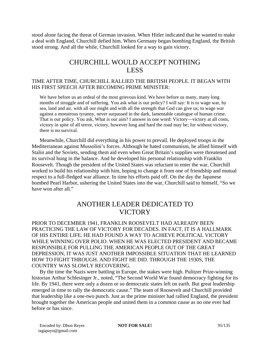stood alone facing the threat of German invasion. When Hitler indicated that he wanted to make a deal with England, Churchill defied him. When Germany began bombing England, the British stood strong. And all the while, Churchill looked for a way to gain victory.

# CHURCHILL WOULD ACCEPT NOTHING LESS

#### TIME AFTER TIME, CHURCHILL RALLIED THE BRITISH PEOPLE. IT BEGAN WITH HIS FIRST SPEECH AFTER BECOMING PRIME MINISTER:

We have before us an ordeal of the most grievous kind. We have before us many, many long months of struggle and of suffering. You ask what is our policy? I will say: It is to wage war, by sea, land and air, with all our might and with all the strength that God can give us; to wage war against a monstrous tyranny, never surpassed in the dark, lamentable catalogue of human crime. That is our policy. You ask, What is our aim? I answer in one word: Victory—victory at all costs, victory in spite of all terror, victory, however long and hard the road may be; for without victory, there is no survival.

Meanwhile, Churchill did everything in his power to prevail. He deployed troops in the Mediterranean against Mussolini's forces. Although he hated communism, he allied himself with Stalin and the Soviets, sending them aid even when Great Britain's supplies were threatened and its survival hung in the balance. And he developed his personal relationship with Franklin Roosevelt. Though the president of the United States was reluctant to enter the war, Churchill worked to build his relationship with him, hoping to change it from one of friendship and mutual respect to a full-fledged war alliance. In time his efforts paid off. On the day the Japanese bombed Pearl Harbor, ushering the United States into the war, Churchill said to himself, "So we have won after all."

# ANOTHER LEADER DEDICATED TO VICTORY

PRIOR TO DECEMBER 1941, FRANKLIN ROOSEVELT HAD ALREADY BEEN PRACTICING THE LAW OF VICTORY FOR DECADES. IN FACT, IT IS A HALLMARK OF HIS ENTIRE LIFE. HE HAD FOUND A WAY TO ACHIEVE POLITICAL VICTORY WHILE WINNING OVER POLIO. WHEN HE WAS ELECTED PRESIDENT AND BECAME RESPONSIBLE FOR PULLING THE AMERICAN PEOPLE OUT OF THE GREAT DEPRESSION, IT WAS JUST ANOTHER IMPOSSIBLE SITUATION THAT HE LEARNED HOW TO FIGHT THROUGH. AND FIGHT HE DID. THROUGH THE 1930S, THE COUNTRY WAS SLOWLY RECOVERING.

By the time the Nazis were battling in Europe, the stakes were high. Pulitzer Prize-winning historian Arthur Schlesinger Jr., noted, "The Second World War found democracy fighting for its life. By 1941, there were only a dozen or so democratic states left on earth. But great leadership emerged in time to rally the democratic cause." The team of Roosevelt and Churchill provided that leadership like a one-two punch. Just as the prime minister had rallied England, the president brought together the American people and united them in a common cause as no one ever had before or has since.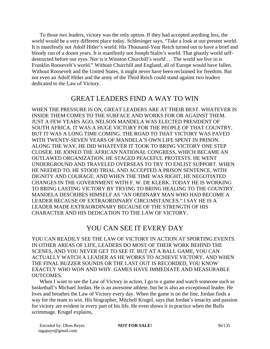To those two leaders, victory was the only option. If they had accepted anything less, the world would be a very different place today. Schlesinger says, "Take a look at our present world. It is manifestly not Adolf Hitler's world. His Thousand-Year Reich turned out to have a brief and bloody run of a dozen years. It is manifestly not Joseph Stalin's world. That ghastly world selfdestructed before our eyes. Nor is it Winston Churchill's world … The world we live in is Franklin Roosevelt's world." Without Churchill and England, all of Europe would have fallen. Without Roosevelt and the United States, it might never have been reclaimed for freedom. But not even an Adolf Hitler and the army of the Third Reich could stand against two leaders dedicated to the Law of Victory.

# GREAT LEADERS FIND A WAY TO WIN

WHEN THE PRESSURE IS ON, GREAT LEADERS ARE AT THEIR BEST. WHATEVER IS INSIDE THEM COMES TO THE SURFACE AND WORKS FOR OR AGAINST THEM. JUST A FEW YEARS AGO, NELSON MANDELA WAS ELECTED PRESIDENT OF SOUTH AFRICA. IT WAS A HUGE VICTORY FOR THE PEOPLE OF THAT COUNTRY, BUT IT WAS A LONG TIME COMING. THE ROAD TO THAT VICTORY WAS PAVED WITH TWENTY-SEVEN YEARS OF MANDELA'S OWN LIFE SPENT IN PRISON. ALONG THE WAY, HE DID WHATEVER IT TOOK TO BRING VICTORY ONE STEP CLOSER. HE JOINED THE AFRICAN NATIONAL CONGRESS, WHICH BECAME AN OUTLAWED ORGANIZATION. HE STAGED PEACEFUL PROTESTS. HE WENT UNDERGROUND AND TRAVELED OVERSEAS TO TRY TO ENLIST SUPPORT. WHEN HE NEEDED TO, HE STOOD TRIAL AND ACCEPTED A PRISON SENTENCE, WITH DIGNITY AND COURAGE. AND WHEN THE TIME WAS RIGHT, HE NEGOTIATED CHANGES IN THE GOVERNMENT WITH F. W. DE KLERK. TODAY HE IS WORKING TO BRING LASTING VICTORY BY TRYING TO BRING HEALING TO THE COUNTRY. MANDELA DESCRIBES HIMSELF AS "AN ORDINARY MAN WHO HAD BECOME A LEADER BECAUSE OF EXTRAORDINARY CIRCUMSTANCES." I SAY HE IS A LEADER MADE EXTRAORDINARY BECAUSE OF THE STRENGTH OF HIS CHARACTER AND HIS DEDICATION TO THE LAW OF VICTORY.

# YOU CAN SEE IT EVERY DAY

YOU CAN READILY SEE THE LAW OF VICTORY IN ACTION AT SPORTING EVENTS. IN OTHER AREAS OF LIFE, LEADERS DO MOST OF THEIR WORK BEHIND THE SCENES, AND YOU NEVER GET TO SEE IT. BUT AT A BALL GAME, YOU CAN ACTUALLY WATCH A LEADER AS HE WORKS TO ACHIEVE VICTORY. AND WHEN THE FINAL BUZZER SOUNDS OR THE LAST OUT IS RECORDED, YOU KNOW EXACTLY WHO WON AND WHY. GAMES HAVE IMMEDIATE AND MEASURABLE OUTCOMES.

When I want to see the Law of Victory in action, I go to a game and watch someone such as basketball's Michael Jordan. He is an awesome athlete, but he is also an exceptional leader. He lives and breathes the Law of Victory every day. When the game is on the line, Jordan finds a way for the team to win. His biographer, Mitchell Krugel, says that Jordan's tenacity and passion for victory are evident in every part of his life. He even shows it in practice when the Bulls scrimmage. Krugel explains,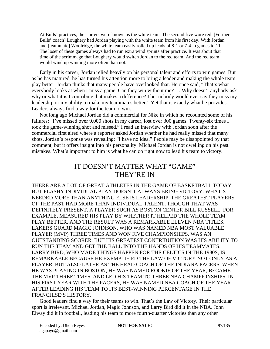At Bulls' practices, the starters were known as the white team. The second five wore red. [Former Bulls' coach] Loughery had Jordan playing with the white team from his first day. With Jordan and [teammate] Woolridge, the white team easily rolled up leads of 8-1 or 7-4 in games to 11. The loser of these games always had to run extra wind sprints after practice. It was about that time of the scrimmage that Loughery would switch Jordan to the red team. And the red team would wind up winning more often than not."

Early in his career, Jordan relied heavily on his personal talent and efforts to win games. But as he has matured, he has turned his attention more to bring a leader and making the whole team play better. Jordan thinks that many people have overlooked that. He once said, "That's what everybody looks at when I miss a game. Can they win without me? … Why doesn't anybody ask why or what it is I contribute that makes a difference? I bet nobody would ever say they miss my leadership or my ability to make my teammates better." Yet that is exactly what he provides. Leaders always find a way for the team to win.

Not long ago Michael Jordan did a commercial for Nike in which he recounted some of his failures: "I've missed over 9,000 shots in my career, lost over 300 games. Twenty-six times I took the game-winning shot and missed." I read an interview with Jordan soon after the commercial first aired where a reporter asked Jordan whether he had really missed that many shots. Jordan's response was revealing: "I have no idea." People may be disappointed by that comment, but it offers insight into his personality. Michael Jordan is not dwelling on his past mistakes. What's important to him is what he can do right now to lead his team to victory.

# IT DOESN'T MATTER WHAT "GAME" THEY'RE IN

THERE ARE A LOT OF GREAT ATHLETES IN THE GAME OF BASKETBALL TODAY. BUT FLASHY INDIVIDUAL PLAY DOESN'T ALWAYS BRING VICTORY. WHAT'S NEEDED MORE THAN ANYTHING ELSE IS LEADERSHIP. THE GREATEST PLAYERS OF THE PAST HAD MORE THAN INDIVIDUAL TALENT, THOUGH THAT WAS DEFINITELY PRESENT. A PLAYER SUCH AS BOSTON CENTER BILL RUSSELL, FOR EXAMPLE, MEASURED HIS PLAY BY WHETHER IT HELPED THE WHOLE TEAM PLAY BETTER. AND THE RESULT WAS A REMARKABLE ELEVEN NBA TITLES. LAKERS GUARD MAGIC JOHNSON, WHO WAS NAMED NBA MOST VALUABLE PLAYER (MVP) THREE TIMES AND WON FIVE CHAMPIONSHIPS, WAS AN OUTSTANDING SCORER, BUT HIS GREATEST CONTRIBUTION WAS HIS ABILITY TO RUN THE TEAM AND GET THE BALL INTO THE HANDS OF HIS TEAMMATES. LARRY BIRD, WHO MADE THINGS HAPPEN FOR THE CELTICS IN THE 1980S, IS REMARKABLE BECAUSE HE EXEMPLIFIED THE LAW OF VICTORY NOT ONLY AS A PLAYER, BUT ALSO LATER AS THE HEAD COACH OF THE INDIANA PACERS. WHEN HE WAS PLAYING IN BOSTON, HE WAS NAMED ROOKIE OF THE YEAR, BECAME THE MVP THREE TIMES, AND LED HIS TEAM TO THREE NBA CHAMPIONSHIPS. IN HIS FIRST YEAR WITH THE PACERS, HE WAS NAMED NBA COACH OF THE YEAR AFTER LEADING HIS TEAM TO ITS BEST-WINNING PERCENTAGE IN THE FRANCHISE'S HISTORY.

Good leaders find a way for their teams to win. That's the Law of Victory. Their particular sport is irrelevant. Michael Jordan, Magic Johnson, and Larry Bird did it in the NBA. John Elway did it in football, leading his team to more fourth-quarter victories than any other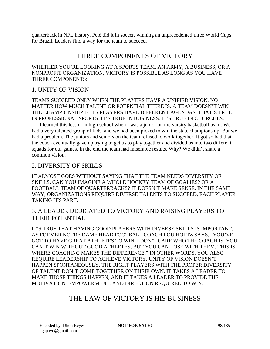quarterback in NFL history. Pelé did it in soccer, winning an unprecedented three World Cups for Brazil. Leaders find a way for the team to succeed.

# THREE COMPONENTS OF VICTORY

WHETHER YOU'RE LOOKING AT A SPORTS TEAM, AN ARMY, A BUSINESS, OR A NONPROFIT ORGANIZATION, VICTORY IS POSSIBLE AS LONG AS YOU HAVE THREE COMPONENTS:

### 1. UNITY OF VISION

TEAMS SUCCEED ONLY WHEN THE PLAYERS HAVE A UNIFIED VISION, NO MATTER HOW MUCH TALENT OR POTENTIAL THERE IS. A TEAM DOESN'T WIN THE CHAMPIONSHIP IF ITS PLAYERS HAVE DIFFERENT AGENDAS. THAT'S TRUE IN PROFESSIONAL SPORTS. IT'S TRUE IN BUSINESS. IT'S TRUE IN CHURCHES.

I learned this lesson in high school when I was a junior on the varsity basketball team. We had a very talented group of kids, and we had been picked to win the state championship. But we had a problem. The juniors and seniors on the team refused to work together. It got so bad that the coach eventually gave up trying to get us to play together and divided us into two different squads for our games. In the end the team had miserable results. Why? We didn't share a common vision.

### 2. DIVERSITY OF SKILLS

IT ALMOST GOES WITHOUT SAYING THAT THE TEAM NEEDS DIVERSITY OF SKILLS. CAN YOU IMAGINE A WHOLE HOCKEY TEAM OF GOALIES? OR A FOOTBALL TEAM OF QUARTERBACKS? IT DOESN'T MAKE SENSE. IN THE SAME WAY, ORGANIZATIONS REQUIRE DIVERSE TALENTS TO SUCCEED, EACH PLAYER TAKING HIS PART.

3. A LEADER DEDICATED TO VICTORY AND RAISING PLAYERS TO THEIR POTENTIAL

IT'S TRUE THAT HAVING GOOD PLAYERS WITH DIVERSE SKILLS IS IMPORTANT. AS FORMER NOTRE DAME HEAD FOOTBALL COACH LOU HOLTZ SAYS, "YOU'VE GOT TO HAVE GREAT ATHLETES TO WIN, I DON'T CARE WHO THE COACH IS. YOU CAN'T WIN WITHOUT GOOD ATHLETES, BUT YOU CAN LOSE WITH THEM. THIS IS WHERE COACHING MAKES THE DIFFERENCE." IN OTHER WORDS, YOU ALSO REQUIRE LEADERSHIP TO ACHIEVE VICTORY. UNITY OF VISION DOESN'T HAPPEN SPONTANEOUSLY. THE RIGHT PLAYERS WITH THE PROPER DIVERSITY OF TALENT DON'T COME TOGETHER ON THEIR OWN. IT TAKES A LEADER TO MAKE THOSE THINGS HAPPEN, AND IT TAKES A LEADER TO PROVIDE THE MOTIVATION, EMPOWERMENT, AND DIRECTION REQUIRED TO WIN.

# THE LAW OF VICTORY IS HIS BUSINESS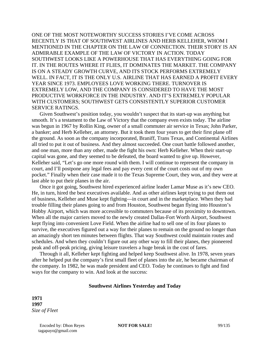ONE OF THE MOST NOTEWORTHY SUCCESS STORIES I'VE COME ACROSS RECENTLY IS THAT OF SOUTHWEST AIRLINES AND HERB KELLEHER, WHOM I MENTIONED IN THE CHAPTER ON THE LAW OF CONNECTION. THEIR STORY IS AN ADMIRABLE EXAMPLE OF THE LAW OF VICTORY IN ACTION. TODAY SOUTHWEST LOOKS LIKE A POWERHOUSE THAT HAS EVERYTHING GOING FOR IT. IN THE ROUTES WHERE IT FLIES, IT DOMINATES THE MARKET. THE COMPANY IS ON A STEADY GROWTH CURVE, AND ITS STOCK PERFORMS EXTREMELY WELL. IN FACT, IT IS THE ONLY U.S. AIRLINE THAT HAS EARNED A PROFIT EVERY YEAR SINCE 1973. EMPLOYEES LOVE WORKING THERE. TURNOVER IS EXTREMELY LOW, AND THE COMPANY IS CONSIDERED TO HAVE THE MOST PRODUCTIVE WORKFORCE IN THE INDUSTRY. AND IT'S EXTREMELY POPULAR WITH CUSTOMERS; SOUTHWEST GETS CONSISTENTLY SUPERIOR CUSTOMER SERVICE RATINGS.

Given Southwest's position today, you wouldn't suspect that its start-up was anything but smooth. It's a testament to the Law of Victory that the company even exists today. The airline was begun in 1967 by Rollin King, owner of a small commuter air service in Texas; John Parker, a banker; and Herb Kelleher, an attorney. But it took them four years to get their first plane off the ground. As soon as the company incorporated, Braniff, Trans Texas, and Continental Airlines all tried to put it out of business. And they almost succeeded. One court battle followed another, and one man, more than any other, made the fight his own: Herb Kelleher. When their start-up capital was gone, and they seemed to be defeated, the board wanted to give up. However, Kelleher said, "Let's go one more round with them. I will continue to represent the company in court, and I'll postpone any legal fees and pay every cent of the court costs out of my own pocket." Finally when their case made it to the Texas Supreme Court, they won, and they were at last able to put their planes in the air.

Once it got going, Southwest hired experienced airline leader Lamar Muse as it's new CEO. He, in turn, hired the best executives available. And as other airlines kept trying to put them out of business, Kelleher and Muse kept fighting—in court and in the marketplace. When they had trouble filling their planes going to and from Houston, Southwest began flying into Houston's Hobby Airport, which was more accessible to commuters because of its proximity to downtown. When all the major carriers moved to the newly created Dallas-Fort Worth Airport, Southwest kept flying into convenient Love Field. When the airline had to sell one of its four planes to survive, the executives figured out a way for their planes to remain on the ground no longer than an amazingly short ten minutes between flights. That way Southwest could maintain routes and schedules. And when they couldn't figure out any other way to fill their planes, they pioneered peak and off-peak pricing, giving leisure travelers a huge break in the cost of fares.

Through it all, Kelleher kept fighting and helped keep Southwest alive. In 1978, seven years after he helped put the company's first small fleet of planes into the air, he became chairman of the company. In 1982, he was made president and CEO. Today he continues to fight and find ways for the company to win. And look at the success:

#### **Southwest Airlines Yesterday and Today**

**1971 1997**  *Size of Fleet*

> Encoded by: Dhon Reyes **NOT FOR SALE!** 99/135 tagapayo@gmail.com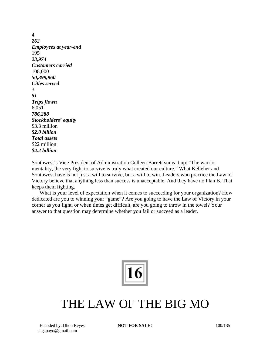4 *262 Employees at year-end*  195 *23,974 Customers carried*  108,000 *50,399,960 Cities served*  3 *51 Trips flown*  6,051 *786,288 Stockholders' equity*  \$3.3 million *\$2.0 billion Total assets*  \$22 million *\$4.2 billion* 

Southwest's Vice President of Administration Colleen Barrett sums it up: "The warrior mentality, the very fight to survive is truly what created our culture." What Kelleher and Southwest have is not just a will to survive, but a will to win. Leaders who practice the Law of Victory believe that anything less than success is unacceptable. And they have no Plan B. That keeps them fighting.

What is your level of expectation when it comes to succeeding for your organization? How dedicated are you to winning your "game"? Are you going to have the Law of Victory in your corner as you fight, or when times get difficult, are you going to throw in the towel? Your answer to that question may determine whether you fail or succeed as a leader.



# THE LAW OF THE BIG MO

Encoded by: Dhon Reyes **NOT FOR SALE!** 100/135 tagapayo@gmail.com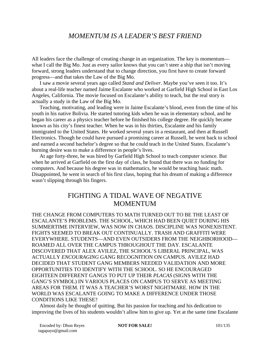# *MOMENTUM IS A LEADER'S BEST FRIEND*

All leaders face the challenge of creating change in an organization. The key is momentum what I call the Big Mo. Just as every sailor knows that you can't steer a ship that isn't moving forward, strong leaders understand that to change direction, you first have to create forward progress—and that takes the Law of the Big Mo.

I saw a movie several years ago called *Stand and Deliver*. Maybe you've seen it too. It's about a real-life teacher named Jaime Escalante who worked at Garfield High School in East Los Angeles, California. The movie focused on Escalante's ability to teach, but the real story is actually a study in the Law of the Big Mo.

Teaching, motivating, and leading were in Jaime Escalante's blood, even from the time of his youth in his native Bolivia. He started tutoring kids when he was in elementary school, and he began his career as a physics teacher before he finished his college degree. He quickly became known as his city's finest teacher. When he was in his thirties, Escalante and his family immigrated to the United States. He worked several years in a restaurant, and then at Russell Electronics. Though he could have pursued a promising career at Russell, he went back to school and earned a second bachelor's degree so that he could teach in the United States. Escalante's burning desire was to make a difference in people's lives.

At age forty-three, he was hired by Garfield High School to teach computer science. But when he arrived at Garfield on the first day of class, he found that there was no funding for computers. And because his degree was in mathematics, he would be teaching basic math. Disappointed, he went in search of his first class, hoping that his dream of making a difference wasn't slipping through his fingers.

# FIGHTING A TIDAL WAVE OF NEGATIVE **MOMENTUM**

THE CHANGE FROM COMPUTERS TO MATH TURNED OUT TO BE THE LEAST OF ESCALANTE'S PROBLEMS. THE SCHOOL, WHICH HAD BEEN QUIET DURING HIS SUMMERTIME INTERVIEW, WAS NOW IN CHAOS. DISCIPLINE WAS NONEXISTENT. FIGHTS SEEMED TO BREAK OUT CONTINUALLY. TRASH AND GRAFFITI WERE EVERYWHERE. STUDENTS—AND EVEN OUTSIDERS FROM THE NEIGHBORHOOD— ROAMED ALL OVER THE CAMPUS THROUGHOUT THE DAY. ESCALANTE DISCOVERED THAT ALEX AVILEZ, THE SCHOOL'S LIBERAL PRINCIPAL, WAS ACTUALLY *ENCOURAGING* GANG RECOGNITION ON CAMPUS. AVILEZ HAD DECIDED THAT STUDENT GANG MEMBERS NEEDED VALIDATION AND MORE OPPORTUNITIES TO IDENTIFY WITH THE SCHOOL. SO HE ENCOURAGED EIGHTEEN DIFFERENT GANGS TO PUT UP THEIR *PLACAS* (SIGNS WITH THE GANG'S SYMBOL) IN VARIOUS PLACES ON CAMPUS TO SERVE AS MEETING AREAS FOR THEM. IT WAS A TEACHER'S WORST NIGHTMARE. HOW IN THE WORLD WAS ESCALANTE GOING TO MAKE A DIFFERENCE UNDER THOSE CONDITIONS LIKE THESE?

Almost daily he thought of quitting. But his passion for teaching and his dedication to improving the lives of his students wouldn't allow him to give up. Yet at the same time Escalante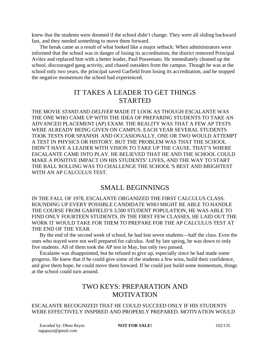knew that the students were doomed if the school didn't change. They were all sliding backward fast, and they needed something to move them forward.

The break came as a result of what looked like a major setback: When administrators were informed that the school was in danger of losing its accreditation, the district removed Principal Avilez and replaced him with a better leader, Paul Possemato. He immediately cleaned up the school, discouraged gang activity, and chased outsiders from the campus. Though he was at the school only two years, the principal saved Garfield from losing its accreditation, and he stopped the negative momentum the school had experienced.

# IT TAKES A LEADER TO GET THINGS STARTED

THE MOVIE *STAND AND DELIVER* MADE IT LOOK AS THOUGH ESCALANTE WAS THE ONE WHO CAME UP WITH THE IDEA OF PREPARING STUDENTS TO TAKE AN ADVANCED PLACEMENT (AP) EXAM. THE REALITY WAS THAT A FEW AP TESTS WERE ALREADY BEING GIVEN ON CAMPUS. EACH YEAR SEVERAL STUDENTS TOOK TESTS FOR SPANISH. AND OCCASIONALLY, ONE OR TWO WOULD ATTEMPT A TEST IN PHYSICS OR HISTORY. BUT THE PROBLEM WAS THAT THE SCHOOL DIDN'T HAVE A LEADER WITH VISION TO TAKE UP THE CAUSE. THAT'S WHERE ESCALANTE CAME INTO PLAY. HE BELIEVED THAT HE AND THE SCHOOL COULD MAKE A POSITIVE IMPACT ON HIS STUDENTS' LIVES, AND THE WAY TO START THE BALL ROLLING WAS TO CHALLENGE THE SCHOOL'S BEST AND BRIGHTEST WITH AN AP CALCULUS TEST.

### SMALL BEGINNINGS

IN THE FALL OF 1978, ESCALANTE ORGANIZED THE FIRST CALCULUS CLASS. ROUNDING UP EVERY POSSIBLE CANDIDATE WHO MIGHT BE ABLE TO HANDLE THE COURSE FROM GARFIELD'S 3,500 STUDENT POPULATION, HE WAS ABLE TO FIND ONLY FOURTEEN STUDENTS. IN THE FIRST FEW CLASSES, HE LAID OUT THE WORK IT WOULD TAKE FOR THEM TO PREPARE FOR THE AP CALCULUS TEST AT THE END OF THE YEAR.

By the end of the second week of school, he had lost seven students—half the class. Even the ones who stayed were not well prepared for calculus. And by late spring, he was down to only five students. All of them took the AP test in May, but only two passed.

Escalante was disappointed, but he refused to give up, especially since he had made some progress. He knew that if he could give some of the students a few wins, build their confidence, and give them hope, he could move them forward. If he could just build some momentum, things at the school could turn around.

# TWO KEYS: PREPARATION AND MOTIVATION

#### ESCALANTE RECOGNIZED THAT HE COULD SUCCEED ONLY IF HIS STUDENTS WERE EFFECTIVELY INSPIRED AND PROPERLY PREPARED. MOTIVATION WOULD

Encoded by: Dhon Reyes **NOT FOR SALE!** 102/135 tagapayo@gmail.com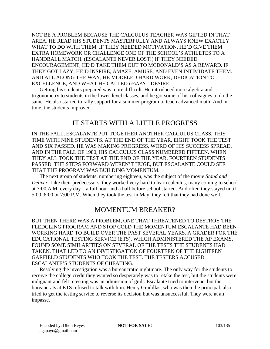NOT BE A PROBLEM BECAUSE THE CALCULUS TEACHER WAS GIFTED IN THAT AREA. HE READ HIS STUDENTS MASTERFULLY AND ALWAYS KNEW EXACTLY WHAT TO DO WITH THEM. IF THEY NEEDED MOTIVATION, HE'D GIVE THEM EXTRA HOMEWORK OR CHALLENGE ONE OF THE SCHOOL'S ATHLETES TO A HANDBALL MATCH. (ESCALANTE NEVER LOST!) IF THEY NEEDED ENCOURAGEMENT, HE'D TAKE THEM OUT TO MCDONALD'S AS A REWARD. IF THEY GOT LAZY, HE'D INSPIRE, AMAZE, AMUSE, AND EVEN INTIMIDATE THEM. AND ALL ALONG THE WAY, HE MODELED HARD WORK, DEDICATION TO EXCELLENCE, AND WHAT HE CALLED *GANAS*—DESIRE.

Getting his students prepared was more difficult. He introduced more algebra and trigonometry to students in the lower-level classes, and he got some of his colleagues to do the same. He also started to rally support for a summer program to teach advanced math. And in time, the students improved.

# IT STARTS WITH A LITTLE PROGRESS

IN THE FALL, ESCALANTE PUT TOGETHER ANOTHER CALCULUS CLASS, THIS TIME WITH NINE STUDENTS. AT THE END OF THE YEAR, EIGHT TOOK THE TEST AND SIX PASSED. HE WAS MAKING PROGRESS. WORD OF HIS SUCCESS SPREAD, AND IN THE FALL OF 1980, HIS CALCULUS CLASS NUMBERED FIFTEEN. WHEN THEY ALL TOOK THE TEST AT THE END OF THE YEAR, FOURTEEN STUDENTS PASSED. THE STEPS FORWARD WEREN'T HUGE, BUT ESCALANTE COULD SEE THAT THE PROGRAM WAS BUILDING MOMENTUM.

The next group of students, numbering eighteen, was the subject of the movie *Stand and Deliver*. Like their predecessors, they worked very hard to learn calculus, many coming to school at 7:00 A.M. every day—a full hour and a half before school started. And often they stayed until 5:00, 6:00 or 7:00 P.M. When they took the test in May, they felt that they had done well.

### MOMENTUM BREAKER?

BUT THEN THERE WAS A PROBLEM, ONE THAT THREATENED TO DESTROY THE FLEDGLING PROGRAM AND STOP COLD THE MOMENTUM ESCALANTE HAD BEEN WORKING HARD TO BUILD OVER THE PAST SEVERAL YEARS. A GRADER FOR THE EDUCATIONAL TESTING SERVICE (ETS), WHICH ADMINISTERED THE AP EXAMS, FOUND SOME SIMILARITIES ON SEVERAL OF THE TESTS THE STUDENTS HAD TAKEN. THAT LED TO AN INVESTIGATION OF FOURTEEN OF THE EIGHTEEN GARFIELD STUDENTS WHO TOOK THE TEST. THE TESTERS ACCUSED ESCALANTE'S STUDENTS OF CHEATING.

Resolving the investigation was a bureaucratic nightmare. The only way for the students to receive the college credit they wanted so desperately was to retake the test, but the students were indignant and felt retesting was an admission of guilt. Escalante tried to intervene, but the bureaucrats at ETS refused to talk with him. Henry Gradillas, who was then the principal, also tried to get the testing service to reverse its decision but was unsuccessful. They were at an impasse.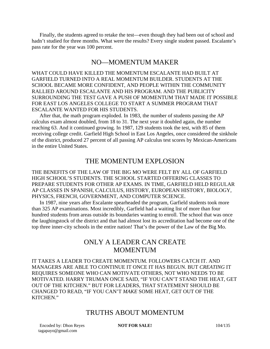Finally, the students agreed to retake the test—even though they had been out of school and hadn't studied for three months. What were the results? Every single student passed. Escalante's pass rate for the year was 100 percent.

### NO—MOMENTUM MAKER

WHAT COULD HAVE KILLED THE MOMENTUM ESCALANTE HAD BUILT AT GARFIELD TURNED INTO A REAL MOMENTUM BUILDER. STUDENTS AT THE SCHOOL BECAME MORE CONFIDENT, AND PEOPLE WITHIN THE COMMUNITY RALLIED AROUND ESCALANTE AND HIS PROGRAM. AND THE PUBLICITY SURROUNDING THE TEST GAVE A PUSH OF MOMENTUM THAT MADE IT POSSIBLE FOR EAST LOS ANGELES COLLEGE TO START A SUMMER PROGRAM THAT ESCALANTE WANTED FOR HIS STUDENTS.

After that, the math program exploded. In 1983, the number of students passing the AP calculus exam almost doubled, from 18 to 31. The next year it doubled again, the number reaching 63. And it continued growing. In 1987, 129 students took the test, with 85 of them receiving college credit. Garfield High School in East Los Angeles, once considered the sinkhole of the district, produced 27 percent of all passing AP calculus test scores by Mexican-Americans in the entire United States.

### THE MOMENTUM EXPLOSION

THE BENEFITS OF THE LAW OF THE BIG MO WERE FELT BY ALL OF GARFIELD HIGH SCHOOL'S STUDENTS. THE SCHOOL STARTED OFFERING CLASSES TO PREPARE STUDENTS FOR OTHER AP EXAMS. IN TIME, GARFIELD HELD REGULAR AP CLASSES IN SPANISH, CALCULUS, HISTORY, EUROPEAN HISTORY, BIOLOGY, PHYSICS, FRENCH, GOVERNMENT, AND COMPUTER SCIENCE.

In 1987, nine years after Escalante spearheaded the program, Garfield students took more than 325 AP examinations. Most incredibly, Garfield had a waiting list of more than four hundred students from areas outside its boundaries wanting to enroll. The school that was once the laughingstock of the district and that had almost lost its accreditation had become one of the top three inner-city schools in the entire nation! That's the power of the Law of the Big Mo.

# ONLY A LEADER CAN CREATE **MOMENTUM**

IT TAKES A LEADER TO CREATE MOMENTUM. FOLLOWERS CATCH IT. AND MANAGERS ARE ABLE TO CONTINUE IT ONCE IT HAS BEGUN. BUT *CREATING* IT REQUIRES SOMEONE WHO CAN MOTIVATE OTHERS, NOT WHO NEEDS TO BE MOTIVATED. HARRY TRUMAN ONCE SAID, "IF YOU CAN'T STAND THE HEAT, GET OUT OF THE KITCHEN." BUT FOR LEADERS, THAT STATEMENT SHOULD BE CHANGED TO READ, "IF YOU CAN'T *MAKE* SOME HEAT, GET OUT OF THE KITCHEN."

### TRUTHS ABOUT MOMENTUM

Encoded by: Dhon Reyes **NOT FOR SALE!** 104/135 tagapayo@gmail.com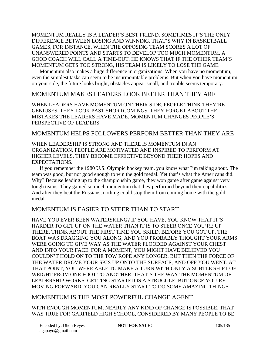MOMENTUM REALLY IS A LEADER'S BEST FRIEND. SOMETIMES IT'S THE ONLY DIFFERENCE BETWEEN LOSING AND WINNING. THAT'S WHY IN BASKETBALL GAMES, FOR INSTANCE, WHEN THE OPPOSING TEAM SCORES A LOT OF UNANSWERED POINTS AND STARTS TO DEVELOP TOO MUCH MOMENTUM, A GOOD COACH WILL CALL A TIME-OUT. HE KNOWS THAT IF THE OTHER TEAM'S MOMENTUM GETS TOO STRONG, HIS TEAM IS LIKELY TO LOSE THE GAME.

Momentum also makes a huge difference in organizations. When you have no momentum, even the simplest tasks can seem to be insurmountable problems. But when you have momentum on your side, the future looks bright, obstacles appear small, and trouble seems temporary.

### MOMENTUM MAKES LEADERS LOOK BETTER THAN THEY ARE

WHEN LEADERS HAVE MOMENTUM ON THEIR SIDE, PEOPLE THINK THEY'RE GENIUSES. THEY LOOK PAST SHORTCOMINGS. THEY FORGET ABOUT THE MISTAKES THE LEADERS HAVE MADE. MOMENTUM CHANGES PEOPLE'S PERSPECTIVE OF LEADERS.

#### MOMENTUM HELPS FOLLOWERS PERFORM BETTER THAN THEY ARE

#### WHEN LEADERSHIP IS STRONG AND THERE IS MOMENTUM IN AN ORGANIZATION, PEOPLE ARE MOTIVATED AND INSPIRED TO PERFORM AT HIGHER LEVELS. THEY BECOME EFFECTIVE BEYOND THEIR HOPES AND EXPECTATIONS.

If you remember the 1980 U.S. Olympic hockey team, you know what I'm talking about. The team was good, but not good enough to win the gold medal. Yet that's what the Americans did. Why? Because leading up to the championship game, they won game after game against very tough teams. They gained so much momentum that they performed beyond their capabilities. And after they beat the Russians, nothing could stop them from coming home with the gold medal.

### MOMENTUM IS EASIER TO STEER THAN TO START

HAVE YOU EVER BEEN WATERSKIING? IF YOU HAVE, YOU KNOW THAT IT'S HARDER TO GET UP ON THE WATER THAN IT IS TO STEER ONCE YOU'RE UP THERE. THINK ABOUT THE FIRST TIME YOU SKIED. BEFORE YOU GOT UP, THE BOAT WAS DRAGGING YOU ALONG, AND YOU PROBABLY THOUGHT YOUR ARMS WERE GOING TO GIVE WAY AS THE WATER FLOODED AGAINST YOUR CHEST AND INTO YOUR FACE. FOR A MOMENT, YOU MIGHT HAVE BELIEVED YOU COULDN'T HOLD ON TO THE TOW ROPE ANY LONGER. BUT THEN THE FORCE OF THE WATER DROVE YOUR SKIS UP ONTO THE SURFACE, AND OFF YOU WENT. AT THAT POINT, YOU WERE ABLE TO MAKE A TURN WITH ONLY A SUBTLE SHIFT OF WEIGHT FROM ONE FOOT TO ANOTHER. THAT'S THE WAY THE MOMENTUM OF LEADERSHIP WORKS. GETTING STARTED IS A STRUGGLE, BUT ONCE YOU'RE MOVING FORWARD, YOU CAN REALLY START TO DO SOME AMAZING THINGS.

#### MOMENTUM IS THE MOST POWERFUL CHANGE AGENT

#### WITH ENOUGH MOMENTUM, NEARLY ANY KIND OF CHANGE IS POSSIBLE. THAT WAS TRUE FOR GARFIELD HIGH SCHOOL, CONSIDERED BY MANY PEOPLE TO BE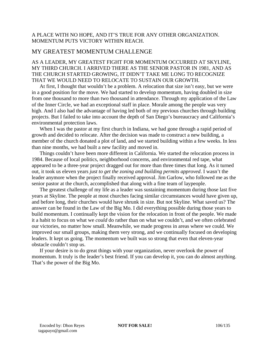#### A PLACE WITH NO HOPE, AND IT'S TRUE FOR ANY OTHER ORGANIZATION. MOMENTUM PUTS VICTORY WITHIN REACH.

### MY GREATEST MOMENTUM CHALLENGE

AS A LEADER, MY GREATEST FIGHT FOR MOMENTUM OCCURRED AT SKYLINE, MY THIRD CHURCH. I ARRIVED THERE AS THE SENIOR PASTOR IN 1981, AND AS THE CHURCH STARTED GROWING, IT DIDN'T TAKE ME LONG TO RECOGNIZE THAT WE WOULD NEED TO RELOCATE TO SUSTAIN OUR GROWTH.

At first, I thought that wouldn't be a problem. A relocation that size isn't easy, but we were in a good position for the move. We had started to develop momentum, having doubled in size from one thousand to more than two thousand in attendance. Through my application of the Law of the Inner Circle, we had an exceptional staff in place. Morale among the people was very high. And I also had the advantage of having led both of my previous churches through building projects. But I failed to take into account the depth of San Diego's bureaucracy and California's environmental protection laws.

When I was the pastor at my first church in Indiana, we had gone through a rapid period of growth and decided to relocate. After the decision was made to construct a new building, a member of the church donated a plot of land, and we started building within a few weeks. In less than nine months, we had built a new facility and moved in.

Things couldn't have been more different in California. We started the relocation process in 1984. Because of local politics, neighborhood concerns, and environmental red tape, what appeared to be a three-year project dragged out for more than three times that long. As it turned out, it took us eleven years *just to get the zoning and building permits approved*. I wasn't the leader anymore when the project finally received approval. Jim Garlow, who followed me as the senior pastor at the church, accomplished that along with a fine team of laypeople.

The greatest challenge of my life as a leader was sustaining momentum during those last five years at Skyline. The people at most churches facing similar circumstances would have given up, and before long, their churches would have shrunk in size. But not Skyline. What saved us? The answer can be found in the Law of the Big Mo. I did everything possible during those years to build momentum. I continually kept the vision for the relocation in front of the people. We made it a habit to focus on what we *could* do rather than on what we couldn't, and we often celebrated our victories, no matter how small. Meanwhile, we made progress in areas where we could. We improved our small groups, making them very strong, and we continually focused on developing leaders. It kept us going. The momentum we built was so strong that even that eleven-year obstacle couldn't stop us.

If your desire is to do great things with your organization, never overlook the power of momentum. It truly is the leader's best friend. If you can develop it, you can do almost anything. That's the power of the Big Mo.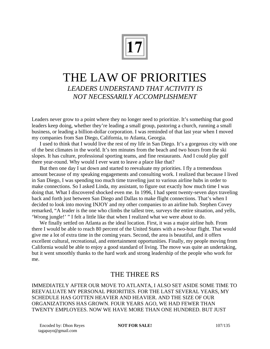

# THE LAW OF PRIORITIES *LEADERS UNDERSTAND THAT ACTIVITY IS NOT NECESSARILY ACCOMPLISHMENT*

Leaders never grow to a point where they no longer need to prioritize. It's something that good leaders keep doing, whether they're leading a small group, pastoring a church, running a small business, or leading a billion-dollar corporation. I was reminded of that last year when I moved my companies from San Diego, California, to Atlanta, Georgia.

I used to think that I would live the rest of my life in San Diego. It's a gorgeous city with one of the best climates in the world. It's ten minutes from the beach and two hours from the ski slopes. It has culture, professional sporting teams, and fine restaurants. And I could play golf there year-round. Why would I ever want to leave a place like that?

But then one day I sat down and started to reevaluate my priorities. I fly a tremendous amount because of my speaking engagements and consulting work. I realized that because I lived in San Diego, I was spending too much time traveling just to various airline hubs in order to make connections. So I asked Linda, my assistant, to figure out exactly how much time I was doing that. What I discovered shocked even me. In 1996, I had spent twenty-seven *days* traveling back and forth just between San Diego and Dallas to make flight connections. That's when I decided to look into moving INJOY and my other companies to an airline hub. Stephen Covey remarked, "A leader is the one who climbs the tallest tree, surveys the entire situation, and yells, 'Wrong jungle!' " I felt a little like that when I realized what we were about to do.

We finally settled on Atlanta as the ideal location. First, it was a major airline hub. From there I would be able to reach 80 percent of the United States with a two-hour flight. That would give me a lot of extra time in the coming years. Second, the area is beautiful, and it offers excellent cultural, recreational, and entertainment opportunities. Finally, my people moving from California would be able to enjoy a good standard of living. The move was quite an undertaking, but it went smoothly thanks to the hard work and strong leadership of the people who work for me.

### THE THREE RS

IMMEDIATELY AFTER OUR MOVE TO ATLANTA, I ALSO SET ASIDE SOME TIME TO REEVALUATE MY PERSONAL PRIORITIES. FOR THE LAST SEVERAL YEARS, MY SCHEDULE HAS GOTTEN HEAVIER AND HEAVIER. AND THE SIZE OF OUR ORGANIZATIONS HAS GROWN. FOUR YEARS AGO, WE HAD FEWER THAN TWENTY EMPLOYEES. NOW WE HAVE MORE THAN ONE HUNDRED. BUT JUST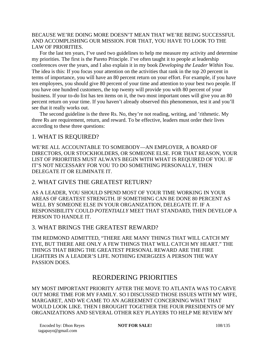BECAUSE WE'RE DOING MORE DOESN'T MEAN THAT WE'RE BEING SUCCESSFUL AND ACCOMPLISHING OUR MISSION. FOR THAT, YOU HAVE TO LOOK TO THE LAW OF PRIORITIES.

For the last ten years, I've used two guidelines to help me measure my activity and determine my priorities. The first is the Pareto Principle. I've often taught it to people at leadership conferences over the years, and I also explain it in my book *Developing the Leader Within You*. The idea is this: If you focus your attention on the activities that rank in the top 20 percent in terms of importance, you will have an 80 percent return on your effort. For example, if you have ten employees, you should give 80 percent of your time and attention to your best two people. If you have one hundred customers, the top twenty will provide you with 80 percent of your business. If your to-do list has ten items on it, the two most important ones will give you an 80 percent return on your time. If you haven't already observed this phenomenon, test it and you'll see that it really works out.

The second guideline is the three Rs. No, they're not reading, writing, and 'rithmetic. My three Rs are requirement, return, and reward. To be effective, leaders must order their lives according to these three questions:

### 1. WHAT IS REQUIRED?

WE'RE ALL ACCOUNTABLE TO SOMEBODY—AN EMPLOYER, A BOARD OF DIRECTORS, OUR STOCKHOLDERS, OR SOMEONE ELSE. FOR THAT REASON, YOUR LIST OF PRIORITIES MUST ALWAYS BEGIN WITH WHAT IS REQUIRED OF YOU. IF IT'S NOT NECESSARY FOR YOU TO DO SOMETHING PERSONALLY, THEN DELEGATE IT OR ELIMINATE IT.

### 2. WHAT GIVES THE GREATEST RETURN?

AS A LEADER, YOU SHOULD SPEND MOST OF YOUR TIME WORKING IN YOUR AREAS OF GREATEST STRENGTH. IF SOMETHING CAN BE DONE 80 PERCENT AS WELL BY SOMEONE ELSE IN YOUR ORGANIZATION, DELEGATE IT. IF A RESPONSIBILITY COULD *POTENTIALLY* MEET THAT STANDARD, THEN DEVELOP A PERSON TO HANDLE IT.

### 3. WHAT BRINGS THE GREATEST REWARD?

TIM REDMOND ADMITTED, "THERE ARE MANY THINGS THAT WILL CATCH MY EYE, BUT THERE ARE ONLY A FEW THINGS THAT WILL CATCH MY HEART." THE THINGS THAT BRING THE GREATEST PERSONAL REWARD ARE THE FIRE LIGHTERS IN A LEADER'S LIFE. NOTHING ENERGIZES A PERSON THE WAY PASSION DOES.

### REORDERING PRIORITIES

MY MOST IMPORTANT PRIORITY AFTER THE MOVE TO ATLANTA WAS TO CARVE OUT MORE TIME FOR MY FAMILY. SO I DISCUSSED THOSE ISSUES WITH MY WIFE, MARGARET, AND WE CAME TO AN AGREEMENT CONCERNING WHAT THAT WOULD LOOK LIKE. THEN I BROUGHT TOGETHER THE FOUR PRESIDENTS OF MY ORGANIZATIONS AND SEVERAL OTHER KEY PLAYERS TO HELP ME REVIEW MY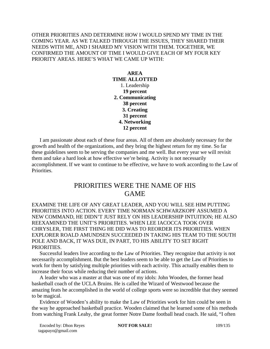OTHER PRIORITIES AND DETERMINE HOW I WOULD SPEND MY TIME IN THE COMING YEAR. AS WE TALKED THROUGH THE ISSUES, THEY SHARED THEIR NEEDS WITH ME, AND I SHARED MY VISION WITH THEM. TOGETHER, WE CONFIRMED THE AMOUNT OF TIME I WOULD GIVE EACH OF MY FOUR KEY PRIORITY AREAS. HERE'S WHAT WE CAME UP WITH:

> **AREA TIME ALLOTTED**  1. Leadership **19 percent 2. Communicating 38 percent 3. Creating 31 percent 4. Networking 12 percent**

I am passionate about each of these four areas. All of them are absolutely necessary for the growth and health of the organizations, and they bring the highest return for my time. So far these guidelines seem to be serving the companies and me well. But every year we will revisit them and take a hard look at how effective we're being. Activity is not necessarily accomplishment. If we want to continue to be effective, we have to work according to the Law of Priorities.

## PRIORITIES WERE THE NAME OF HIS GAME

EXAMINE THE LIFE OF ANY GREAT LEADER, AND YOU WILL SEE HIM PUTTING PRIORITIES INTO ACTION. EVERY TIME NORMAN SCHWARZKOPF ASSUMED A NEW COMMAND, HE DIDN'T JUST RELY ON HIS LEADERSHIP INTUITION; HE ALSO REEXAMINED THE UNIT'S PRIORITIES. WHEN LEE IACOCCA TOOK OVER CHRYSLER, THE FIRST THING HE DID WAS TO REORDER ITS PRIORITIES. WHEN EXPLORER ROALD AMUNDSEN SUCCEEDED IN TAKING HIS TEAM TO THE SOUTH POLE AND BACK, IT WAS DUE, IN PART, TO HIS ABILITY TO SET RIGHT PRIORITIES.

Successful leaders live according to the Law of Priorities. They recognize that activity is not necessarily accomplishment. But the best leaders seem to be able to get the Law of Priorities to work for them by satisfying multiple priorities with each activity. This actually enables them to increase their focus while reducing their number of actions.

A leader who was a master at that was one of my idols: John Wooden, the former head basketball coach of the UCLA Bruins. He is called the Wizard of Westwood because the amazing feats he accomplished in the world of college sports were so incredible that they seemed to be magical.

Evidence of Wooden's ability to make the Law of Priorities work for him could be seen in the way he approached basketball practice. Wooden claimed that he learned some of his methods from watching Frank Leahy, the great former Notre Dame football head coach. He said, "I often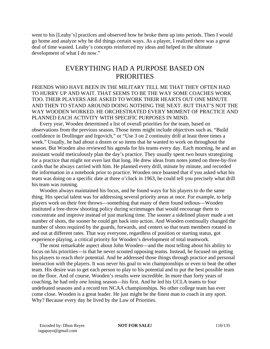went to his [Leahy's] practices and observed how he broke them up into periods. Then I would go home and analyze why he did things certain ways. As a player, I realized there was a great deal of time wasted. Leahy's concepts reinforced my ideas and helped in the ultimate development of what I do now."

## EVERYTHING HAD A PURPOSE BASED ON **PRIORITIES**

#### FRIENDS WHO HAVE BEEN IN THE MILITARY TELL ME THAT THEY OFTEN HAD TO HURRY UP AND WAIT. THAT SEEMS TO BE THE WAY SOME COACHES WORK TOO. THEIR PLAYERS ARE ASKED TO WORK THEIR HEARTS OUT ONE MINUTE AND THEN TO STAND AROUND DOING NOTHING THE NEXT. BUT THAT'S NOT THE WAY WOODEN WORKED. HE ORCHESTRATED EVERY MOMENT OF PRACTICE AND PLANNED EACH ACTIVITY WITH SPECIFIC PURPOSES IN MIND.

Every year, Wooden determined a list of overall priorities for the team, based on observations from the previous season. Those items might include objectives such as, "Build confidence in Drollinger and Irgovich," or "Use 3 on 2 continuity drill at least three times a week." Usually, he had about a dozen or so items that he wanted to work on throughout the season. But Wooden also reviewed his agenda for his teams every day. Each morning, he and an assistant would meticulously plan the day's practice. They usually spent two hours strategizing for a practice that might not even last that long. He drew ideas from notes jotted on three-by-five cards that he always carried with him. He planned every drill, minute by minute, and recorded the information in a notebook prior to practice. Wooden once boasted that if you asked what his team was doing on a specific date at three o'clock in 1963, he could tell you precisely what drill his team was running.

Wooden always maintained his focus, and he found ways for his players to do the same thing. His special talent was for addressing several priority areas at once. For example, to help players work on their free throws—something that many of them found tedious—Wooden instituted a free-throw shooting policy during scrimmages that would encourage them to concentrate and improve instead of just marking time. The sooner a sidelined player made a set number of shots, the sooner he could get back into action. And Wooden continually changed the number of shots required by the guards, forwards, and centers so that team members rotated in and out at different rates. That way everyone, regardless of position or starting status, got experience playing, a critical priority for Wooden's development of total teamwork.

The most remarkable aspect about John Wooden—and the most telling about his ability to focus on his priorities—is that he never scouted opposing teams. Instead, he focused on getting his players to reach *their* potential. And he addressed those things through practice and personal interaction with the players. It was never his goal to win championships or even to beat the other team. His desire was to get each person to play to his potential and to put the best possible team on the floor. And of course, Wooden's results were incredible. In more than forty years of coaching, he had only *one* losing season—his first. And he led his UCLA teams to four undefeated seasons and a record ten NCAA championships. No other college team has ever come close. Wooden is a great leader. He just might be the finest man to coach in any sport. Why? Because every day he lived by the Law of Priorities.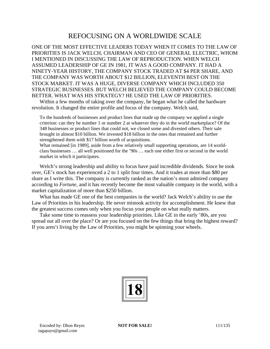# REFOCUSING ON A WORLDWIDE SCALE

ONE OF THE MOST EFFECTIVE LEADERS TODAY WHEN IT COMES TO THE LAW OF PRIORITIES IS JACK WELCH, CHAIRMAN AND CEO OF GENERAL ELECTRIC, WHOM I MENTIONED IN DISCUSSING THE LAW OF REPRODUCTION. WHEN WELCH ASSUMED LEADERSHIP OF GE IN 1981, IT WAS A GOOD COMPANY. IT HAD A NINETY-YEAR HISTORY, THE COMPANY STOCK TRADED AT \$4 PER SHARE, AND THE COMPANY WAS WORTH ABOUT \$12 BILLION, ELEVENTH BEST ON THE STOCK MARKET. IT WAS A HUGE, DIVERSE COMPANY WHICH INCLUDED 350 STRATEGIC BUSINESSES. BUT WELCH BELIEVED THE COMPANY COULD BECOME BETTER. WHAT WAS HIS STRATEGY? HE USED THE LAW OF PRIORITIES.

Within a few months of taking over the company, he began what he called the hardware revolution. It changed the entire profile and focus of the company. Welch said,

To the hundreds of businesses and product lines that made up the company we applied a single criterion: can they be number 1 or number 2 at whatever they do in the world marketplace? Of the 348 businesses or product lines that could not, we closed some and divested others. Their sale brought in almost \$10 billion. We invested \$18 billion in the ones that remained and further strengthened them with \$17 billion worth of acquisitions.

What remained [in 1989], aside from a few relatively small supporting operations, are 14 worldclass businesses … all well positioned for the '90s … each one either first or second in the world market in which it participates.

Welch's strong leadership and ability to focus have paid incredible dividends. Since he took over, GE's stock has experienced a 2 to 1 split four times. And it trades at more than \$80 per share as I write this. The company is currently ranked as the nation's most admired company according to *Fortune,* and it has recently become the most valuable company in the world, with a market capitalization of more than \$250 billion.

What has made GE one of the best companies in the world? Jack Welch's ability to use the Law of Priorities in his leadership. He never mistook activity for accomplishment. He knew that the greatest success comes only when you focus your people on what really matters.

Take some time to reassess your leadership priorities. Like GE in the early '80s, are you spread out all over the place? Or are you focused on the few things that bring the highest reward? If you aren't living by the Law of Priorities, you might be spinning your wheels.

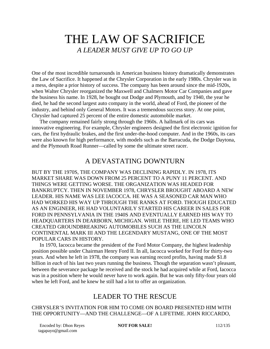# THE LAW OF SACRIFICE *A LEADER MUST GIVE UP TO GO UP*

One of the most incredible turnarounds in American business history dramatically demonstrates the Law of Sacrifice. It happened at the Chrysler Corporation in the early 1980s. Chrysler was in a mess, despite a prior history of success. The company has been around since the mid-1920s, when Walter Chrysler reorganized the Maxwell and Chalmers Motor Car Companies and gave the business his name. In 1928, he bought out Dodge and Plymouth, and by 1940, the year he died, he had the second largest auto company in the world, ahead of Ford, the pioneer of the industry, and behind only General Motors. It was a tremendous success story. At one point, Chrysler had captured 25 percent of the entire domestic automobile market.

The company remained fairly strong through the 1960s. A hallmark of its cars was innovative engineering. For example, Chrysler engineers designed the first electronic ignition for cars, the first hydraulic brakes, and the first under-the-hood computer. And in the 1960s, its cars were also known for high performance, with models such as the Barracuda, the Dodge Daytona, and the Plymouth Road Runner—called by some the ultimate street racer.

#### A DEVASTATING DOWNTURN

BUT BY THE 1970S, THE COMPANY WAS DECLINING RAPIDLY. IN 1978, ITS MARKET SHARE WAS DOWN FROM 25 PERCENT TO A PUNY 11 PERCENT. AND THINGS WERE GETTING WORSE. THE ORGANIZATION WAS HEADED FOR BANKRUPTCY. THEN IN NOVEMBER 1978, CHRYSLER BROUGHT ABOARD A NEW LEADER. HIS NAME WAS LEE IACOCCA. HE WAS A SEASONED CAR MAN WHO HAD WORKED HIS WAY UP THROUGH THE RANKS AT FORD. THOUGH EDUCATED AS AN ENGINEER, HE HAD VOLUNTARILY STARTED HIS CAREER IN SALES FOR FORD IN PENNSYLVANIA IN THE 1940S AND EVENTUALLY EARNED HIS WAY TO HEADQUARTERS IN DEARBORN, MICHIGAN. WHILE THERE, HE LED TEAMS WHO CREATED GROUNDBREAKING AUTOMOBILES SUCH AS THE LINCOLN CONTINENTAL MARK III AND THE LEGENDARY MUSTANG, ONE OF THE MOST POPULAR CARS IN HISTORY.

In 1970, Iacocca became the president of the Ford Motor Company, the highest leadership position possible under Chairman Henry Ford II. In all, Iacocca worked for Ford for thirty-two years. And when he left in 1978, the company was earning record profits, having made \$1.8 billion in *each* of his last two years running the business. Though the separation wasn't pleasant, between the severance package he received and the stock he had acquired while at Ford, Iacocca was in a position where he would never have to work again. But he was only fifty-four years old when he left Ford, and he knew he still had a lot to offer an organization.

## LEADER TO THE RESCUE

#### CHRYSLER'S INVITATION FOR HIM TO COME ON BOARD PRESENTED HIM WITH THE OPPORTUNITY—AND THE CHALLENGE—OF A LIFETIME. JOHN RICCARDO,

Encoded by: Dhon Reyes **NOT FOR SALE!** 112/135 tagapayo@gmail.com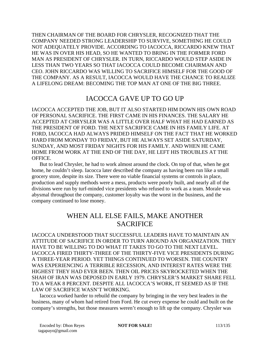THEN CHAIRMAN OF THE BOARD FOR CHRYSLER, RECOGNIZED THAT THE COMPANY NEEDED STRONG LEADERSHIP TO SURVIVE, SOMETHING HE COULD NOT ADEQUATELY PROVIDE. ACCORDING TO IACOCCA, RICCARDO KNEW THAT HE WAS IN OVER HIS HEAD, SO HE WANTED TO BRING IN THE FORMER FORD MAN AS PRESIDENT OF CHRYSLER. IN TURN, RICCARDO WOULD STEP ASIDE IN LESS THAN TWO YEARS SO THAT IACOCCA COULD BECOME CHAIRMAN AND CEO. JOHN RICCARDO WAS WILLING TO SACRIFICE HIMSELF FOR THE GOOD OF THE COMPANY. AS A RESULT, IACOCCA WOULD HAVE THE CHANCE TO REALIZE A LIFELONG DREAM: BECOMING THE TOP MAN AT ONE OF THE BIG THREE.

# IACOCCA GAVE UP TO GO UP

IACOCCA ACCEPTED THE JOB, BUT IT ALSO STARTED HIM DOWN HIS OWN ROAD OF PERSONAL SACRIFICE. THE FIRST CAME IN HIS FINANCES. THE SALARY HE ACCEPTED AT CHRYSLER WAS A LITTLE OVER HALF WHAT HE HAD EARNED AS THE PRESIDENT OF FORD. THE NEXT SACRIFICE CAME IN HIS FAMILY LIFE. AT FORD, IACOCCA HAD ALWAYS PRIDED HIMSELF ON THE FACT THAT HE WORKED HARD FROM MONDAY TO FRIDAY, BUT HE ALWAYS SET ASIDE SATURDAY, SUNDAY, AND MOST FRIDAY NIGHTS FOR HIS FAMILY. AND WHEN HE CAME HOME FROM WORK AT THE END OF THE DAY, HE LEFT HIS TROUBLES AT THE OFFICE.

But to lead Chrysler, he had to work almost around the clock. On top of that, when he got home, he couldn't sleep. Iacocca later described the company as having been run like a small grocery store, despite its size. There were no viable financial systems or controls in place, production and supply methods were a mess, products were poorly built, and nearly all of the divisions were run by turf-minded vice presidents who refused to work as a team. Morale was abysmal throughout the company, customer loyalty was the worst in the business, and the company continued to lose money.

# WHEN ALL ELSE FAILS, MAKE ANOTHER SACRIFICE

IACOCCA UNDERSTOOD THAT SUCCESSFUL LEADERS HAVE TO MAINTAIN AN ATTITUDE OF SACRIFICE IN ORDER TO TURN AROUND AN ORGANIZATION. THEY HAVE TO BE WILLING TO DO WHAT IT TAKES TO GO TO THE NEXT LEVEL. IACOCCA FIRED THIRTY-THREE OF THE THIRTY-FIVE VICE PRESIDENTS DURING A THREE-YEAR PERIOD. YET THINGS CONTINUED TO WORSEN. THE COUNTRY WAS EXPERIENCING A TERRIBLE RECESSION, AND INTEREST RATES WERE THE HIGHEST THEY HAD EVER BEEN. THEN OIL PRICES SKYROCKETED WHEN THE SHAH OF IRAN WAS DEPOSED IN EARLY 1979. CHRYSLER'S MARKET SHARE FELL TO A WEAK 8 PERCENT. DESPITE ALL IACOCCA'S WORK, IT SEEMED AS IF THE LAW OF SACRIFICE WASN'T WORKING.

Iacocca worked harder to rebuild the company by bringing in the very best leaders in the business, many of whom had retired from Ford. He cut every expense he could and built on the company's strengths, but those measures weren't enough to lift up the company. Chrysler was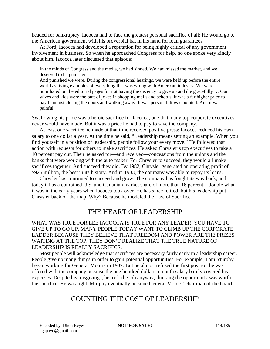headed for bankruptcy. Iacocca had to face the greatest personal sacrifice of all: He would go to the American government with his proverbial hat in his hand for loan guarantees.

At Ford, Iacocca had developed a reputation for being highly critical of any government involvement in business. So when he approached Congress for help, no one spoke very kindly about him. Iacocca later discussed that episode:

In the minds of Congress and the media, we had sinned. We had missed the market, and we deserved to be punished.

And punished we were. During the congressional hearings, we were held up before the entire world as living examples of everything that was wrong with American industry. We were humiliated on the editorial pages for not having the decency to give up and die gracefully … Our wives and kids were the butt of jokes in shopping malls and schools. It was a far higher price to pay than just closing the doors and walking away. It was personal. It was pointed. And it was painful.

Swallowing his pride was a heroic sacrifice for Iacocca, one that many top corporate executives never would have made. But it was a price he had to pay to save the company.

At least one sacrifice he made at that time received positive press: Iacocca reduced his own salary to one dollar a year. At the time he said, "Leadership means setting an example. When you find yourself in a position of leadership, people follow your every move." He followed that action with requests for others to make sacrifices. He asked Chrysler's top executives to take a 10 percent pay cut. Then he asked for—and received—concessions from the unions and the banks that were working with the auto maker. For Chrysler to succeed, they would all make sacrifices together. And succeed they did. By 1982, Chrysler generated an operating profit of \$925 million, the best in its history. And in 1983, the company was able to repay its loans.

Chrysler has continued to succeed and grow. The company has fought its way back, and today it has a combined U.S. and Canadian market share of more than 16 percent—double what it was in the early years when Iacocca took over. He has since retired, but his leadership put Chrysler back on the map. Why? Because he modeled the Law of Sacrifice.

#### THE HEART OF LEADERSHIP

#### WHAT WAS TRUE FOR LEE IACOCCA IS TRUE FOR ANY LEADER. YOU HAVE TO GIVE UP TO GO UP. MANY PEOPLE TODAY WANT TO CLIMB UP THE CORPORATE LADDER BECAUSE THEY BELIEVE THAT FREEDOM AND POWER ARE THE PRIZES WAITING AT THE TOP. THEY DON'T REALIZE THAT THE TRUE NATURE OF LEADERSHIP IS REALLY SACRIFICE.

Most people will acknowledge that sacrifices are necessary fairly early in a leadership career. People give up many things in order to gain potential opportunities. For example, Tom Murphy began working for General Motors in 1937. But he almost refused the first position he was offered with the company because the one hundred dollars a month salary barely covered his expenses. Despite his misgivings, he took the job anyway, thinking the opportunity was worth the sacrifice. He was right. Murphy eventually became General Motors' chairman of the board.

## COUNTING THE COST OF LEADERSHIP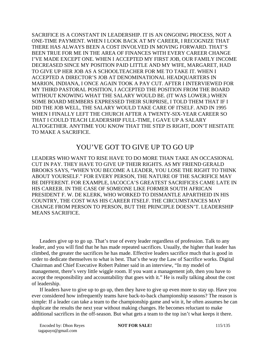SACRIFICE IS A CONSTANT IN LEADERSHIP. IT IS AN ONGOING PROCESS, NOT A ONE-TIME PAYMENT. WHEN I LOOK BACK AT MY CAREER, I RECOGNIZE THAT THERE HAS ALWAYS BEEN A COST INVOLVED IN MOVING FORWARD. THAT'S BEEN TRUE FOR ME IN THE AREA OF FINANCES WITH EVERY CAREER CHANGE I'VE MADE EXCEPT ONE. WHEN I ACCEPTED MY FIRST JOB, OUR FAMILY INCOME DECREASED SINCE MY POSITION PAID LITTLE AND MY WIFE, MARGARET, HAD TO GIVE UP HER JOB AS A SCHOOLTEACHER FOR ME TO TAKE IT. WHEN I ACCEPTED A DIRECTOR'S JOB AT DENOMINATIONAL HEADQUARTERS IN MARION, INDIANA, I ONCE AGAIN TOOK A PAY CUT. AFTER I INTERVIEWED FOR MY THIRD PASTORAL POSITION, I ACCEPTED THE POSITION FROM THE BOARD WITHOUT KNOWING WHAT THE SALARY WOULD BE. (IT WAS LOWER.) WHEN SOME BOARD MEMBERS EXPRESSED THEIR SURPRISE, I TOLD THEM THAT IF I DID THE JOB WELL, THE SALARY WOULD TAKE CARE OF ITSELF. AND IN 1995 WHEN I FINALLY LEFT THE CHURCH AFTER A TWENTY-SIX-YEAR CAREER SO THAT I COULD TEACH LEADERSHIP FULL-TIME, I GAVE UP A SALARY ALTOGETHER. ANYTIME YOU KNOW THAT THE STEP IS RIGHT, DON'T HESITATE TO MAKE A SACRIFICE.

# YOU'VE GOT TO GIVE UP TO GO UP

LEADERS WHO WANT TO RISE HAVE TO DO MORE THAN TAKE AN OCCASIONAL CUT IN PAY. THEY HAVE TO GIVE UP THEIR RIGHTS. AS MY FRIEND GERALD BROOKS SAYS, "WHEN YOU BECOME A LEADER, YOU LOSE THE RIGHT TO THINK ABOUT YOURSELF." FOR EVERY PERSON, THE NATURE OF THE SACRIFICE MAY BE DIFFERENT. FOR EXAMPLE, IACOCCA'S GREATEST SACRIFICES CAME LATE IN HIS CAREER. IN THE CASE OF SOMEONE LIKE FORMER SOUTH AFRICAN PRESIDENT F. W. DE KLERK, WHO WORKED TO DISMANTLE APARTHEID IN HIS COUNTRY, THE COST WAS HIS CAREER ITSELF. THE CIRCUMSTANCES MAY CHANGE FROM PERSON TO PERSON, BUT THE PRINCIPLE DOESN'T. LEADERSHIP MEANS SACRIFICE.

Leaders give up to go up. That's true of every leader regardless of profession. Talk to any leader, and you will find that he has made repeated sacrifices. Usually, the higher that leader has climbed, the greater the sacrifices he has made. Effective leaders sacrifice much that is good in order to dedicate themselves to what is best. That's the way the Law of Sacrifice works. Digital Chairman and Chief Executive Robert Palmer said in an interview, "In my model of management, there's very little wiggle room. If you want a management job, then you have to accept the responsibility and accountability that goes with it." He is really talking about the cost of leadership.

If leaders have to give up to go up, then they have to give up even more to stay up. Have you ever considered how infrequently teams have back-to-back championship seasons? The reason is simple: If a leader can take a team to the championship game and win it, he often assumes he can duplicate the results the next year without making changes. He becomes reluctant to make additional sacrifices in the off-season. But what gets a team to the top isn't what keeps it there.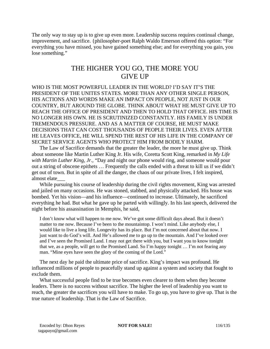The only way to stay up is to give up even more. Leadership success requires continual change, improvement, and sacrifice. {philosopher-poet Ralph Waldo Emerson offered this option: "For everything you have missed, you have gained something else; and for everything you gain, you lose something."

# THE HIGHER YOU GO, THE MORE YOU GIVE UP

WHO IS THE MOST POWERFUL LEADER IN THE WORLD? I'D SAY IT'S THE PRESIDENT OF THE UNITES STATES. MORE THAN ANY OTHER SINGLE PERSON, HIS ACTIONS AND WORDS MAKE AN IMPACT ON PEOPLE, NOT JUST IN OUR COUNTRY, BUT AROUND THE GLOBE. THINK ABOUT WHAT HE MUST GIVE UP TO REACH THE OFFICE OF PRESIDENT AND THEN TO HOLD THAT OFFICE. HIS TIME IS NO LONGER HIS OWN. HE IS SCRUTINIZED CONSTANTLY. HIS FAMILY IS UNDER TREMENDOUS PRESSURE. AND AS A MATTER OF COURSE, HE MUST MAKE DECISIONS THAT CAN COST THOUSANDS OF PEOPLE THEIR LIVES. EVEN AFTER HE LEAVES OFFICE, HE WILL SPEND THE REST OF HIS LIFE IN THE COMPANY OF SECRET SERVICE AGENTS WHO PROTECT HIM FROM BODILY HARM.

The Law of Sacrifice demands that the greater the leader, the more he must give up. Think about someone like Martin Luther King Jr. His wife, Coretta Scott King, remarked in *My Life with Martin Luther King, Jr.,* "Day and night our phone would ring, and someone would pour out a string of obscene epithets … Frequently the calls ended with a threat to kill us if we didn't get out of town. But in spite of all the danger, the chaos of our private lives, I felt inspired, almost elate\_\_\_

While pursuing his course of leadership during the civil rights movement, King was arrested and jailed on many occasions. He was stoned, stabbed, and physically attacked. His house was bombed. Yet his vision—and his influence—continued to increase. Ultimately, he sacrificed everything he had. But what he gave up he parted with willingly. In his last speech, delivered the night before his assassination in Memphis, he said,

I don't know what will happen to me now. We've got some difficult days ahead. But it doesn't matter to me now. Because I've been to the mountaintop. I won't mind. Like anybody else, I would like to live a long life. Longevity has its place. But I'm not concerned about that now. I just want to do God's will. And He's allowed me to go up to the mountain. And I've looked over and I've seen the Promised Land. I may not get there with you, but I want you to know tonight that we, as a people, will get to the Promised Land. So I'm happy tonight … I'm not fearing any man. "Mine eyes have seen the glory of the coming of the Lord."

The next day he paid the ultimate price of sacrifice. King's impact was profound. He influenced millions of people to peacefully stand up against a system and society that fought to exclude them.

What successful people find to be true becomes even clearer to them when they become leaders. There is no success without sacrifice. The higher the level of leadership you want to reach, the greater the sacrifices you will have to make. To go up, you have to give up. That is the true nature of leadership. That is the Law of Sacrifice.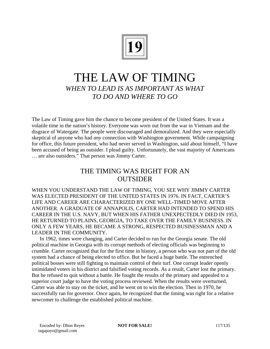

# THE LAW OF TIMING *WHEN TO LEAD IS AS IMPORTANT AS WHAT TO DO AND WHERE TO GO*

The Law of Timing gave him the chance to become president of the United States. It was a volatile time in the nation's history. Everyone was worn out from the war in Vietnam and the disgrace of Watergate. The people were discouraged and demoralized. And they were especially skeptical of anyone who had *any* connection with Washington government. While campaigning for office, this future president, who had never served in Washington, said about himself, "I have been accused of being an outsider. I plead guilty. Unfortunately, the vast majority of Americans … are also outsiders." That person was Jimmy Carter.

# THE TIMING WAS RIGHT FOR AN **OUTSIDER**

WHEN YOU UNDERSTAND THE LAW OF TIMING, YOU SEE WHY JIMMY CARTER WAS ELECTED PRESIDENT OF THE UNITED STATES IN 1976. IN FACT, CARTER'S LIFE AND CAREER ARE CHARACTERIZED BY ONE WELL-TIMED MOVE AFTER ANOTHER. A GRADUATE OF ANNAPOLIS, CARTER HAD INTENDED TO SPEND HIS CAREER IN THE U.S. NAVY, BUT WHEN HIS FATHER UNEXPECTEDLY DIED IN 1953, HE RETURNED TO PLAINS, GEORGIA, TO TAKE OVER THE FAMILY BUSINESS. IN ONLY A FEW YEARS, HE BECAME A STRONG, RESPECTED BUSINESSMAN AND A LEADER IN THE COMMUNITY.

In 1962, times were changing, and Carter decided to run for the Georgia senate. The old political machine in Georgia with its corrupt methods of electing officials was beginning to crumble. Carter recognized that for the first time in history, a person who was not part of the old system had a chance of being elected to office. But he faced a huge battle. The entrenched political bosses were still fighting to maintain control of their turf. One corrupt leader openly intimidated voters in his district and falsified voting records. As a result, Carter lost the primary. But he refused to quit without a battle. He fought the results of the primary and appealed to a superior court judge to have the voting process reviewed. When the results were overturned, Carter was able to stay on the ticket, and he went on to win the election. Then in 1970, he successfully ran for governor. Once again, he recognized that the timing was right for a relative newcomer to challenge the established political machine.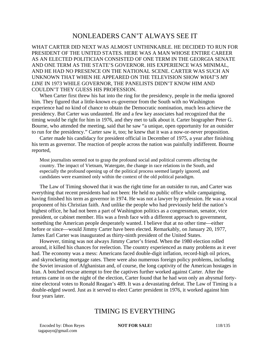## NONLEADERS CAN'T ALWAYS SEE IT

WHAT CARTER DID NEXT WAS ALMOST UNTHINKABLE. HE DECIDED TO RUN FOR PRESIDENT OF THE UNITED STATES. HERE WAS A MAN WHOSE ENTIRE CAREER AS AN ELECTED POLITICIAN CONSISTED OF ONE TERM IN THE GEORGIA SENATE AND ONE TERM AS THE STATE'S GOVERNOR. HIS EXPERIENCE WAS MINIMAL, AND HE HAD NO PRESENCE ON THE NATIONAL SCENE. CARTER WAS SUCH AN UNKNOWN THAT WHEN HE APPEARED ON THE TELEVISION SHOW *WHAT'S MY LINE* IN 1973 WHILE GOVERNOR, THE PANELISTS DIDN'T KNOW HIM AND COULDN'T THEY GUESS HIS PROFESSION.

When Carter first threw his hat into the ring for the presidency, people in the media ignored him. They figured that a little-known ex-governor from the South with no Washington experience had no kind of chance to obtain the Democratic nomination, much less achieve the presidency. But Carter was undaunted. He and a few key associates had recognized that the timing would be right for him in 1976, and they met to talk about it. Carter biographer Peter G. Bourne, who attended the meeting, said that he saw "a unique, open opportunity for an outsider to run for the presidency." Carter saw it, too; he knew that it was a now-or-never proposition.

Carter made his candidacy for president official in December of 1975, a year after finishing his term as governor. The reaction of people across the nation was painfully indifferent. Bourne reported,

Most journalists seemed not to grasp the profound social and political currents affecting the country. The impact of Vietnam, Watergate, the change in race relations in the South, and especially the profound opening up of the political process seemed largely ignored, and candidates were examined only within the context of the old political paradigm.

The Law of Timing showed that it was the right time for an outsider to run, and Carter was everything that recent presidents had not been: He held no public office while campaigning, having finished his term as governor in 1974. He was not a lawyer by profession. He was a vocal proponent of his Christian faith. And unlike the people who had previously held the nation's highest office, he had not been a part of Washington politics as a congressman, senator, vice president, or cabinet member. His was a fresh face with a different approach to government, something the American people desperately wanted. I believe that at no other time—either before or since—would Jimmy Carter have been elected. Remarkably, on January 20, 1977, James Earl Carter was inaugurated as thirty-ninth president of the United States.

However, timing was not always Jimmy Carter's friend. When the 1980 election rolled around, it killed his chances for reelection. The country experienced as many problems as it ever had. The economy was a mess: Americans faced double-digit inflation, record-high oil prices, and skyrocketing mortgage rates. There were also numerous foreign policy problems, including the Soviet invasion of Afghanistan and, of course, the long captivity of the American hostages in Iran. A botched rescue attempt to free the captives further worked against Carter. After the returns came in on the night of the election, Carter found that he had won only an abysmal fortynine electoral votes to Ronald Reagan's 489. It was a devastating defeat. The Law of Timing is a double-edged sword. Just as it served to elect Carter president in 1976, it worked against him four years later.

### TIMING IS EVERYTHING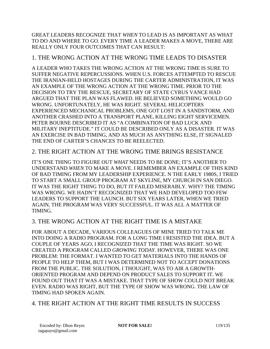GREAT LEADERS RECOGNIZE THAT *WHEN* TO LEAD IS AS IMPORTANT AS WHAT TO DO AND WHERE TO GO. EVERY TIME A LEADER MAKES A MOVE, THERE ARE REALLY ONLY FOUR OUTCOMES THAT CAN RESULT:

#### 1. THE WRONG ACTION AT THE WRONG TIME LEADS TO DISASTER

A LEADER WHO TAKES THE WRONG ACTION AT THE WRONG TIME IS SURE TO SUFFER NEGATIVE REPERCUSSIONS. WHEN U.S. FORCES ATTEMPTED TO RESCUE THE IRANIAN-HELD HOSTAGES DURING THE CARTER ADMINISTRATION, IT WAS AN EXAMPLE OF THE WRONG ACTION AT THE WRONG TIME. PRIOR TO THE DECISION TO TRY THE RESCUE, SECRETARY OF STATE CYRUS VANCE HAD ARGUED THAT THE PLAN WAS FLAWED. HE BELIEVED SOMETHING WOULD GO WRONG. UNFORTUNATELY, HE WAS RIGHT. SEVERAL HELICOPTERS EXPERIENCED MECHANICAL PROBLEMS, ONE GOT LOST IN A SANDSTORM, AND ANOTHER CRASHED INTO A TRANSPORT PLANE, KILLING EIGHT SERVICEMEN. PETER BOURNE DESCRIBED IT AS "A COMBINATION OF BAD LUCK AND MILITARY INEPTITUDE." IT COULD BE DESCRIBED ONLY AS A DISASTER. IT WAS AN EXERCISE IN BAD TIMING, AND AS MUCH AS ANYTHING ELSE, IT SIGNALED THE END OF CARTER'S CHANCES TO BE REELECTED.

#### 2. THE RIGHT ACTION AT THE WRONG TIME BRINGS RESISTANCE

IT'S ONE THING TO FIGURE OUT *WHAT* NEEDS TO BE DONE; IT'S ANOTHER TO UNDERSTAND *WHEN* TO MAKE A MOVE. I REMEMBER AN EXAMPLE OF THIS KIND OF BAD TIMING FROM MY LEADERSHIP EXPERIENCE. N THE EARLY 1980S, I TRIED TO START A SMALL GROUP PROGRAM AT SKYLINE, MY CHURCH IN SAN DIEGO. IT WAS THE RIGHT THING TO DO, BUT IT FAILED MISERABLY. WHY? THE TIMING WAS WRONG. WE HADN'T RECOGNIZED THAT WE HAD DEVELOPED TOO FEW LEADERS TO SUPPORT THE LAUNCH. BUT SIX YEARS LATER, WHEN WE TRIED AGAIN, THE PROGRAM WAS VERY SUCCESSFUL. IT WAS ALL A MATTER OF TIMING.

## 3. THE WRONG ACTION AT THE RIGHT TIME IS A MISTAKE

FOR ABOUT A DECADE, VARIOUS COLLEAGUES OF MINE TRIED TO TALK ME INTO DOING A RADIO PROGRAM. FOR A LONG TIME I RESISTED THE IDEA. BUT A COUPLE OF YEARS AGO, I RECOGNIZED THAT THE TIME WAS RIGHT. SO WE CREATED A PROGRAM CALLED *GROWING TODAY*. HOWEVER, THERE WAS ONE PROBLEM: THE FORMAT. I WANTED TO GET MATERIALS INTO THE HANDS OF PEOPLE TO HELP THEM, BUT I WAS DETERMINED NOT TO ACCEPT DONATIONS FROM THE PUBLIC. THE SOLUTION, I THOUGHT, WAS TO AIR A GROWTH-ORIENTED PROGRAM AND DEPEND ON PRODUCT SALES TO SUPPORT IT. WE FOUND OUT THAT IT WAS A MISTAKE. THAT TYPE OF SHOW COULD NOT BREAK EVEN. RADIO WAS RIGHT, BUT THE TYPE OF SHOW WAS WRONG. THE LAW OF TIMING HAD SPOKEN AGAIN.

#### 4. THE RIGHT ACTION AT THE RIGHT TIME RESULTS IN SUCCESS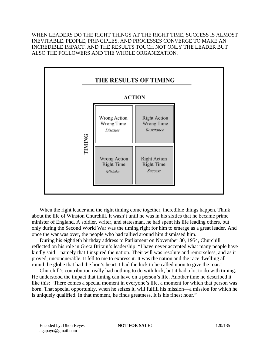WHEN LEADERS DO THE RIGHT THINGS AT THE RIGHT TIME, SUCCESS IS ALMOST INEVITABLE. PEOPLE, PRINCIPLES, AND PROCESSES CONVERGE TO MAKE AN INCREDIBLE IMPACT. AND THE RESULTS TOUCH NOT ONLY THE LEADER BUT ALSO THE FOLLOWERS AND THE WHOLE ORGANIZATION.



When the right leader and the right timing come together, incredible things happen. Think about the life of Winston Churchill. It wasn't until he was in his sixties that he became prime minister of England. A soldier, writer, and statesman, he had spent his life leading others, but only during the Second World War was the timing right for him to emerge as a great leader. And once the war was over, the people who had rallied around him dismissed him.

During his eightieth birthday address to Parliament on November 30, 1954, Churchill reflected on his role in Greta Britain's leadership: "I have never accepted what many people have kindly said—namely that I inspired the nation. Their will was resolute and remorseless, and as it proved, unconquerable. It fell to me to express it. It was the nation and the race dwelling all round the globe that had the lion's heart. I had the luck to be called upon to give the roar."

Churchill's contribution really had nothing to do with luck, but it had a lot to do with timing. He understood the impact that timing can have on a person's life. Another time he described it like this: "There comes a special moment in everyone's life, a moment for which that person was born. That special opportunity, when he seizes it, will fulfill his mission—a mission for which he is uniquely qualified. In that moment, he finds greatness. It is his finest hour."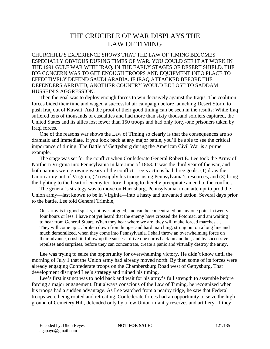# THE CRUCIBLE OF WAR DISPLAYS THE LAW OF TIMING

CHURCHILL'S EXPERIENCE SHOWS THAT THE LAW OF TIMING BECOMES ESPECIALLY OBVIOUS DURING TIMES OF WAR. YOU COULD SEE IT AT WORK IN THE 1991 GULF WAR WITH IRAQ. IN THE EARLY STAGES OF DESERT SHIELD, THE BIG CONCERN WAS TO GET ENOUGH TROOPS AND EQUIPMENT INTO PLACE TO EFFECTIVELY DEFEND SAUDI ARABIA. IF IRAQ ATTACKED BEFORE THE DEFENDERS ARRIVED, ANOTHER COUNTRY WOULD BE LOST TO SADDAM HUSSEIN'S AGGRESSION.

Then the goal was to deploy enough forces to win decisively against the Iraqis. The coalition forces bided their time and waged a successful air campaign before launching Desert Storm to push Iraq out of Kuwait. And the proof of their good timing can be seen in the results: While Iraq suffered tens of thousands of casualties and had more than sixty thousand soldiers captured, the United States and its allies lost fewer than 150 troops and had only forty-one prisoners taken by Iraqi forces.

One of the reasons war shows the Law of Timing so clearly is that the consequences are so dramatic and immediate. If you look back at any major battle, you'll be able to see the critical importance of timing. The Battle of Gettysburg during the American Civil War is a prime example.

The stage was set for the conflict when Confederate General Robert E. Lee took the Army of Northern Virginia into Pennsylvania in late June of 1863. It was the third year of the war, and both nations were growing weary of the conflict. Lee's actions had three goals: (1) draw the Union army out of Virginia, (2) resupply his troops using Pennsylvania's resources, and (3) bring the fighting to the heart of enemy territory, hoping to thereby precipitate an end to the conflict.

The general's strategy was to move on Harrisburg, Pennsylvania, in an attempt to prod the Union army—last known to be in Virginia—into a hasty and unwanted action. Several days prior to the battle, Lee told General Trimble,

Our army is in good spirits, not overfatigued, and can be concentrated on any one point in twentyfour hours or less. I have not yet heard that the enemy have crossed the Potomac, and am waiting to hear from General Stuart. When they hear where we are, they will make forced marches … They will come up … broken down from hunger and hard marching, strung out on a long line and much demoralized, when they come into Pennsylvania. I shall throw an overwhelming force on their advance, crush it, follow up the success, drive one corps back on another, and by successive repulses and surprises, before they can concentrate, create a panic and virtually destroy the army.

Lee was trying to seize the opportunity for overwhelming victory. He didn't know until the morning of July 1 that the Union army had already moved north. By then some of its forces were already engaging Confederate troops on the Chambersburg Road west of Gettysburg. That development disrupted Lee's strategy and ruined his timing.

Lee's first instinct was to hold back and wait for his army's full strength to assemble before forcing a major engagement. But always conscious of the Law of Timing, he recognized when his troops had a sudden advantage. As Lee watched from a nearby ridge, he saw that Federal troops were being routed and retreating. Confederate forces had an opportunity to seize the high ground of Cemetery Hill, defended only by a few Union infantry reserves and artillery. If they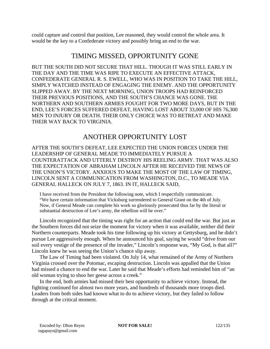could capture and control that position, Lee reasoned, they would control the whole area. It would be the key to a Confederate victory and possibly bring an end to the war.

#### TIMING MISSED, OPPORTUNITY GONE

BUT THE SOUTH DID NOT SECURE THAT HILL. THOUGH IT WAS STILL EARLY IN THE DAY AND THE TIME WAS RIPE TO EXECUTE AN EFFECTIVE ATTACK, CONFEDERATE GENERAL R. S. EWELL, WHO WAS IN POSITION TO TAKE THE HILL, SIMPLY WATCHED INSTEAD OF ENGAGING THE ENEMY. AND THE OPPORTUNITY SLIPPED AWAY. BY THE NEXT MORNING, UNION TROOPS HAD REINFORCED THEIR PREVIOUS POSITIONS, AND THE SOUTH'S CHANCE WAS GONE. THE NORTHERN AND SOUTHERN ARMIES FOUGHT FOR TWO MORE DAYS, BUT IN THE END, LEE'S FORCES SUFFERED DEFEAT, HAVING LOST ABOUT 33,000 OF HIS 76,300 MEN TO INJURY OR DEATH. THEIR ONLY CHOICE WAS TO RETREAT AND MAKE THEIR WAY BACK TO VIRGINIA.

## ANOTHER OPPORTUNITY LOST

AFTER THE SOUTH'S DEFEAT, LEE EXPECTED THE UNION FORCES UNDER THE LEADERSHIP OF GENERAL MEADE TO IMMEDIATELY PURSUE A COUNTERATTACK AND UTTERLY DESTROY HIS REELING ARMY. THAT WAS ALSO THE EXPECTATION OF ABRAHAM LINCOLN AFTER HE RECEIVED THE NEWS OF THE UNION'S VICTORY. ANXIOUS TO MAKE THE MOST OF THE LAW OF TIMING, LINCOLN SENT A COMMUNICATION FROM WASHINGTON, D.C., TO MEADE VIA GENERAL HALLECK ON JULY 7, 1863. IN IT, HALLECK SAID,

I have received from the President the following note, which I respectfully communicate. "We have certain information that Vicksburg surrendered to General Grant on the 4th of July. Now, if General Meade can complete his work so gloriously prosecuted thus far by the literal or substantial destruction of Lee's army, the rebellion will be over."

Lincoln recognized that the timing was right for an action that could end the war. But just as the Southern forces did not seize the moment for victory when it was available, neither did their Northern counterparts. Meade took his time following up his victory at Gettysburg, and he didn't pursue Lee aggressively enough. When he announced his goal, saying he would "drive from our soil every vestige of the presence of the invader," Lincoln's response was, "My God, is that all?" Lincoln knew he was seeing the Union's chance slip away.

The Law of Timing had been violated. On July 14, what remained of the Army of Northern Virginia crossed over the Potomac, escaping destruction. Lincoln was appalled that the Union had missed a chance to end the war. Later he said that Meade's efforts had reminded him of "an old woman trying to shoo her geese across a creek."

In the end, both armies had missed their best opportunity to achieve victory. Instead, the fighting continued for almost two more years, and hundreds of thousands more troops died. Leaders from both sides had known what to do to achieve victory, but they failed to follow through at the critical moment.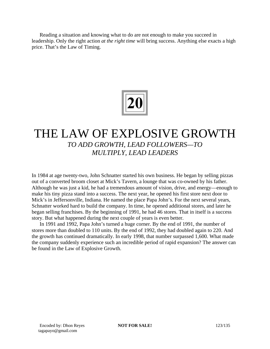Reading a situation and knowing what to do are not enough to make you succeed in leadership. Only the right action *at the right time* will bring success. Anything else exacts a high price. That's the Law of Timing.



# THE LAW OF EXPLOSIVE GROWTH *TO ADD GROWTH, LEAD FOLLOWERS—TO MULTIPLY, LEAD LEADERS*

In 1984 at age twenty-two, John Schnatter started his own business. He began by selling pizzas out of a converted broom closet at Mick's Tavern, a lounge that was co-owned by his father. Although he was just a kid, he had a tremendous amount of vision, drive, and energy—enough to make his tiny pizza stand into a success. The next year, he opened his first store next door to Mick's in Jeffersonville, Indiana. He named the place Papa John's. For the next several years, Schnatter worked hard to build the company. In time, he opened additional stores, and later he began selling franchises. By the beginning of 1991, he had 46 stores. That in itself is a success story. But what happened during the next couple of years is even better.

In 1991 and 1992, Papa John's turned a huge corner. By the end of 1991, the number of stores more than doubled to 110 units. By the end of 1992, they had doubled again to 220. And the growth has continued dramatically. In early 1998, that number surpassed 1,600. What made the company suddenly experience such an incredible period of rapid expansion? The answer can be found in the Law of Explosive Growth.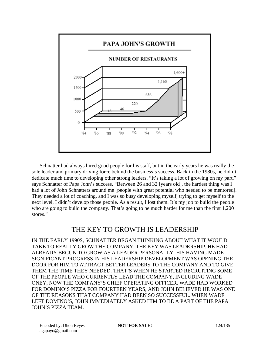

Schnatter had always hired good people for his staff, but in the early years he was really the sole leader and primary driving force behind the business's success. Back in the 1980s, he didn't dedicate much time to developing other strong leaders. "It's taking a lot of growing on my part," says Schnatter of Papa John's success. "Between 26 and 32 [years old], the hardest thing was I had a lot of John Schnatters around me [people with great potential who needed to be mentored]. They needed a lot of coaching, and I was so busy developing myself, trying to get myself to the next level, I didn't develop those people. As a result, I lost them. It's my job to build the people who are going to build the company. That's going to be much harder for me than the first 1,200 stores."

## THE KEY TO GROWTH IS LEADERSHIP

IN THE EARLY 1990S, SCHNATTER BEGAN THINKING ABOUT WHAT IT WOULD TAKE TO REALLY GROW THE COMPANY. THE KEY WAS LEADERSHIP. HE HAD ALREADY BEGUN TO GROW AS A LEADER PERSONALLY. HIS HAVING MADE SIGNIFICANT PROGRESS IN HIS LEADERSHIP DEVELOPMENT WAS OPENING THE DOOR FOR HIM TO ATTRACT BETTER LEADERS TO THE COMPANY AND TO GIVE THEM THE TIME THEY NEEDED. THAT'S WHEN HE STARTED RECRUITING SOME OF THE PEOPLE WHO CURRENTLY LEAD THE COMPANY, INCLUDING WADE ONEY, NOW THE COMPANY'S CHIEF OPERATING OFFICER. WADE HAD WORKED FOR DOMINO'S PIZZA FOR FOURTEEN YEARS, AND JOHN BELIEVED HE WAS ONE OF THE REASONS THAT COMPANY HAD BEEN SO SUCCESSFUL. WHEN WADE LEFT DOMINO'S, JOHN IMMEDIATELY ASKED HIM TO BE A PART OF THE PAPA JOHN'S PIZZA TEAM.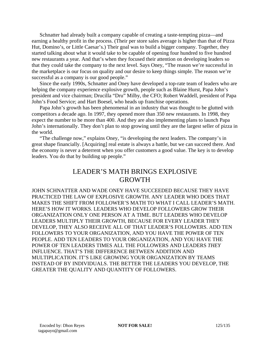Schnatter had already built a company capable of creating a taste-tempting pizza—and earning a healthy profit in the process. (Their per store sales average is higher than that of Pizza Hut, Domino's, or Little Caesar's.) Their goal was to build a bigger company. Together, they started talking about what it would take to be capable of opening four hundred to five hundred new restaurants a year. And that's when they focused their attention on developing leaders so that they could take the company to the next level. Says Oney, "The reason we're successful in the marketplace is our focus on quality and our desire to keep things simple. The reason we're successful as a company is our good people."

Since the early 1990s, Schnatter and Oney have developed a top-rate team of leaders who are helping the company experience explosive growth, people such as Blaine Hurst, Papa John's president and vice chairman; Drucilla "Dru" Milby, the CFO; Robert Waddell, president of Papa John's Food Service; and Hart Boesel, who heads up franchise operations.

Papa John's growth has been phenomenal in an industry that was thought to be glutted with competitors a decade ago. In 1997, they opened more than 350 new restaurants. In 1998, they expect the number to be more than 400. And they are also implementing plans to launch Papa John's internationally. They don't plan to stop growing until they are the largest seller of pizza in the world.

"The challenge now," explains Oney, "is developing the next leaders. The company's in great shape financially. [Acquiring] real estate is always a battle, but we can succeed there. And the economy is never a deterrent when you offer customers a good value. The key is to develop leaders. You do that by building up people."

# LEADER'S MATH BRINGS EXPLOSIVE GROWTH

JOHN SCHNATTER AND WADE ONEY HAVE SUCCEEDED BECAUSE THEY HAVE PRACTICED THE LAW OF EXPLOSIVE GROWTH. ANY LEADER WHO DOES THAT MAKES THE SHIFT FROM FOLLOWER'S MATH TO WHAT I CALL LEADER'S MATH. HERE'S HOW IT WORKS. LEADERS WHO DEVELOP FOLLOWERS GROW THEIR ORGANIZATION ONLY ONE PERSON AT A TIME. BUT LEADERS WHO DEVELOP LEADERS MULTIPLY THEIR GROWTH, BECAUSE FOR EVERY LEADER THEY DEVELOP, THEY ALSO RECEIVE ALL OF THAT LEADER'S FOLLOWERS. ADD TEN FOLLOWERS TO YOUR ORGANIZATION, AND YOU HAVE THE POWER OF TEN PEOPLE. ADD TEN LEADERS TO YOUR ORGANIZATION, AND YOU HAVE THE POWER OF TEN LEADERS TIMES ALL THE FOLLOWERS AND LEADERS *THEY* INFLUENCE. THAT'S THE DIFFERENCE BETWEEN ADDITION AND MULTIPLICATION. IT'S LIKE GROWING YOUR ORGANIZATION BY TEAMS INSTEAD OF BY INDIVIDUALS. THE BETTER THE LEADERS YOU DEVELOP, THE GREATER THE QUALITY AND QUANTITY OF FOLLOWERS.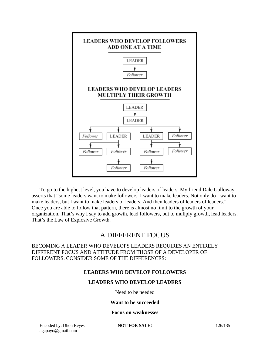

To go to the highest level, you have to develop leaders of leaders. My friend Dale Galloway asserts that "some leaders want to make followers. I want to make leaders. Not only do I want to make leaders, but I want to make leaders of leaders. And then leaders of leaders of leaders." Once you are able to follow that pattern, there is almost no limit to the growth of your organization. That's why I say to add growth, lead followers, but to muliply growth, lead leaders. That's the Law of Explosive Growth.

# A DIFFERENT FOCUS

BECOMING A LEADER WHO DEVELOPS LEADERS REQUIRES AN ENTIRELY DIFFERENT FOCUS AND ATTITUDE FROM THOSE OF A DEVELOPER OF FOLLOWERS. CONSIDER SOME OF THE DIFFERENCES:

#### **LEADERS WHO DEVELOP FOLLOWERS**

#### **LEADERS WHO DEVELOP LEADERS**

Need to be needed

#### **Want to be succeeded**

#### **Focus on weaknesses**

Encoded by: Dhon Reyes **NOT FOR SALE!** 126/135 tagapayo@gmail.com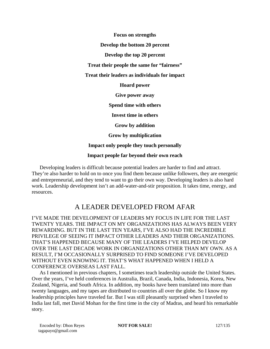**Focus on strengths Develop the bottom 20 percent Develop the top 20 percent Treat their people the same for "fairness" Treat their leaders as individuals for impact Hoard power Give power away Spend time with others Invest time in others Grow by addition Grow by multiplication Impact only people they touch personally Impact people far beyond their own reach** 

Developing leaders is difficult because potential leaders are harder to find and attract. They're also harder to hold on to once you find them because unlike followers, they are energetic and entrepreneurial, and they tend to want to go their own way. Developing leaders is also hard work. Leadership development isn't an add-water-and-stir proposition. It takes time, energy, and resources.

# A LEADER DEVELOPED FROM AFAR

I'VE MADE THE DEVELOPMENT OF LEADERS MY FOCUS IN LIFE FOR THE LAST TWENTY YEARS. THE IMPACT ON MY ORGANIZATIONS HAS ALWAYS BEEN VERY REWARDING. BUT IN THE LAST TEN YEARS, I'VE ALSO HAD THE INCREDIBLE PRIVILEGE OF SEEING IT IMPACT OTHER LEADERS AND THEIR ORGANIZATIONS. THAT'S HAPPENED BECAUSE MANY OF THE LEADERS I'VE HELPED DEVELOP OVER THE LAST DECADE WORK IN ORGANIZATIONS OTHER THAN MY OWN. AS A RESULT, I'M OCCASIONALLY SURPRISED TO FIND SOMEONE I'VE DEVELOPED WITHOUT EVEN KNOWING IT. THAT'S WHAT HAPPENED WHEN I HELD A CONFERENCE OVERSEAS LAST FALL.

As I mentioned in previous chapters, I sometimes teach leadership outside the United States. Over the years, I've held conferences in Australia, Brazil, Canada, India, Indonesia, Korea, New Zealand, Nigeria, and South Africa. In addition, my books have been translated into more than twenty languages, and my tapes are distributed to countries all over the globe. So I know my leadership principles have traveled far. But I was still pleasantly surprised when I traveled to India last fall, met David Mohan for the first time in the city of Madras, and heard his remarkable story.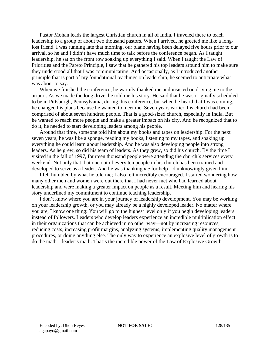Pastor Mohan leads the largest Christian church in all of India. I traveled there to teach leadership to a group of about two thousand pastors. When I arrived, he greeted me like a longlost friend. I was running late that morning, our plane having been delayed five hours prior to our arrival, so he and I didn't have much time to talk before the conference began. As I taught leadership, he sat on the front row soaking up everything I said. When I taught the Law of Priorities and the Pareto Principle, I saw that he gathered his top leaders around him to make sure they understood all that I was communicating. And occasionally, as I introduced another principle that is part of my foundational teachings on leadership, he seemed to anticipate what I was about to say.

When we finished the conference, he warmly thanked me and insisted on driving me to the airport. As we made the long drive, he told me his story. He said that he was originally scheduled to be in Pittsburgh, Pennsylvania, during this conference, but when he heard that I was coming, he changed his plans because he wanted to meet me. Seven years earlier, his church had been comprised of about seven hundred people. That is a good-sized church, especially in India. But he wanted to reach more people and make a greater impact on his city. And he recognized that to do it, he needed to start developing leaders among his people.

Around that time, someone told him about my books and tapes on leadership. For the next seven years, he was like a sponge, reading my books, listening to my tapes, and soaking up everything he could learn about leadership. And he was also developing people into strong leaders. As he grew, so did his team of leaders. As they grew, so did his church. By the time I visited in the fall of 1997, fourteen thousand people were attending the church's services every weekend. Not only that, but one out of every ten people in his church has been trained and developed to serve as a leader. And he was thanking *me* for help I'd unknowingly given him.

I felt humbled by what he told me; I also felt incredibly encouraged. I started wondering how many other men and women were out there that I had never met who had learned about leadership and were making a greater impact on people as a result. Meeting him and hearing his story underlined my commitment to continue teaching leadership.

I don't know where you are in your journey of leadership development. You may be working on your leadership growth, or you may already be a highly developed leader. No matter where you are, I know one thing: You will go to the highest level only if you begin developing leaders instead of followers. Leaders who develop leaders experience an incredible multiplication effect in their organizations that can be achieved in no other way—not by increasing resources, reducing costs, increasing profit margins, analyzing systems, implementing quality management procedures, or doing anything else. The only way to experience an explosive level of growth is to do the math—leader's math. That's the incredible power of the Law of Explosive Growth.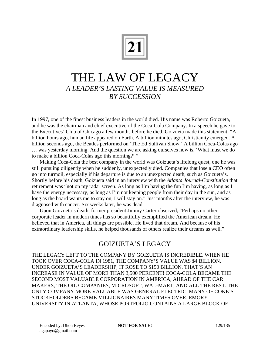# THE LAW OF LEGACY *A LEADER'S LASTING VALUE IS MEASURED BY SUCCESSION*

In 1997, one of the finest business leaders in the world died. His name was Roberto Goizueta, and he was the chairman and chief executive of the Coca-Cola Company. In a speech he gave to the Executives' Club of Chicago a few months before he died, Goizueta made this statement: "A billion hours ago, human life appeared on Earth. A billion minutes ago, Christianity emerged. A billion seconds ago, the Beatles performed on 'The Ed Sullivan Show.' A billion Coca-Colas ago … was yesterday morning. And the question we are asking ourselves now is, 'What must we do to make a billion Coca-Colas ago this morning?' "

Making Coca-Cola the best company in the world was Goizueta's lifelong quest, one he was still pursuing diligently when he suddenly, unexpectedly died. Companies that lose a CEO often go into turmoil, especially if his departure is due to an unexpected death, such as Goizueta's. Shortly before his death, Goizueta said in an interview with the *Atlanta Journal-Constitution* that retirement was "not on my radar screen. As long as I'm having the fun I'm having, as long as I have the energy necessary, as long as I'm not keeping people from their day in the sun, and as long as the board wants me to stay on, I will stay on." Just months after the interview, he was diagnosed with cancer. Six weeks later, he was dead.

Upon Goizueta's death, former president Jimmy Carter observed, "Perhaps no other corporate leader in modern times has so beautifully exemplified the American dream. He believed that in America, all things are possible. He lived that dream. And because of his extraordinary leadership skills, he helped thousands of others realize their dreams as well."

## GOIZUETA'S LEGACY

THE LEGACY LEFT TO THE COMPANY BY GOIZUETA IS INCREDIBLE. WHEN HE TOOK OVER COCA-COLA IN 1981, THE COMPANY'S VALUE WAS \$4 BILLION. UNDER GOIZUETA'S LEADERSHIP, IT ROSE TO \$150 BILLION. THAT'S AN INCREASE IN VALUE OF MORE THAN 3,500 PERCENT! COCA-COLA BECAME THE SECOND MOST VALUABLE CORPORATION IN AMERICA, AHEAD OF THE CAR MAKERS, THE OIL COMPANIES, MICROSOFT, WAL-MART, AND ALL THE REST. THE ONLY COMPANY MORE VALUABLE WAS GENERAL ELECTRIC. MANY OF COKE'S STOCKHOLDERS BECAME MILLIONAIRES MANY TIMES OVER. EMORY UNIVERSITY IN ATLANTA, WHOSE PORTFOLIO CONTAINS A LARGE BLOCK OF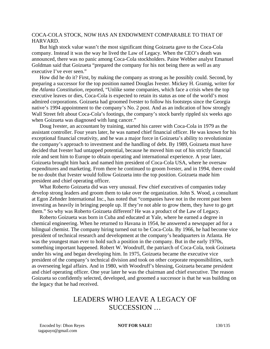#### COCA-COLA STOCK, NOW HAS AN ENDOWMENT COMPARABLE TO THAT OF HARVARD.

But high stock value wasn't the most significant thing Goizueta gave to the Coca-Cola company. Instead it was the way he lived the Law of Legacy. When the CEO's death was announced, there was no panic among Coca-Cola stockholders. Paine Webber analyst Emanuel Goldman said that Goizueta "prepared the company for his not being there as well as any executive I've ever seen."

How did he do it? First, by making the company as strong as he possibly could. Second, by preparing a successor for the top position named Douglas Ivester. Mickey H. Gramig, writer for the *Atlanta Constitution,* reported, "Unlike some companies, which face a crisis when the top executive leaves or dies, Coca-Cola is expected to retain its status as one of the world's most admired corporations. Goizueta had groomed Ivester to follow his footsteps since the Georgia native's 1994 appointment to the company's No. 2 post. And as an indication of how strongly Wall Street felt about Coca-Cola's footings, the company's stock barely rippled six weeks ago when Goizueta was diagnosed with lung cancer."

Doug Ivester, an accountant by training, started his career with Coca-Cola in 1979 as the assistant controller. Four years later, he was named chief financial officer. He was known for his exceptional financial creativity, and he was a major force in Goizueta's ability to revolutionize the company's approach to investment and the handling of debt. By 1989, Goizueta must have decided that Ivester had untapped potential, because he moved him out of his strictly financial role and sent him to Europe to obtain operating and international experience. A year later, Goizueta brought him back and named him president of Coca-Cola USA, where he oversaw expenditures and marketing. From there he continued to groom Ivester, and in 1994, there could be no doubt that Ivester would follow Goizueta into the top position. Goizueta made him president and chief operating officer.

What Roberto Goizueta did was very unusual. Few chief executives of companies today develop strong leaders and groom them to take over the organization. John S. Wood, a consultant at Egon Zehnder International Inc., has noted that "companies have not in the recent past been investing as heavily in bringing people up. If they're not able to grow them, they have to go get them." So why was Roberto Goizueta different? He was a product of the Law of Legacy.

Roberto Goizueta was born in Cuba and educated at Yale, where he earned a degree in chemical engineering. When he returned to Havana in 1954, he answered a newspaper ad for a bilingual chemist. The company hiring turned out to be Coca-Cola. By 1966, he had become vice president of technical research and development at the company's headquarters in Atlanta. He was the youngest man ever to hold such a position in the company. But in the early 1970s, something important happened. Robert W. Woodruff, the patriarch of Coca-Cola, took Goizueta under his wing and began developing him. In 1975, Goizueta became the executive vice president of the company's technical division and took on other corporate responsibilities, such as overseeing legal affairs. And in 1980, with Woodruff's blessing, Goizueta became president and chief operating officer. One year later he was the chairman and chief executive. The reason Goizueta so confidently selected, developed, and groomed a successor is that he was building on the legacy that he had received.

# LEADERS WHO LEAVE A LEGACY OF SUCCESSION …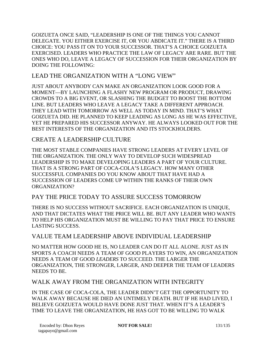GOIZUETA ONCE SAID, "LEADERSHIP IS ONE OF THE THINGS YOU CANNOT DELEGATE. YOU EITHER EXERCISE IT, OR YOU ABDICATE IT." THERE IS A THIRD CHOICE: YOU PASS IT ON TO YOUR SUCCESSOR. THAT'S A CHOICE GOIZUETA EXERCISED. LEADERS WHO PRACTICE THE LAW OF LEGACY ARE RARE. BUT THE ONES WHO DO, LEAVE A LEGACY OF SUCCESSION FOR THEIR ORGANIZATION BY DOING THE FOLLOWING:

LEAD THE ORGANIZATION WITH A "LONG VIEW"

JUST ABOUT ANYBODY CAN MAKE AN ORGANIZATION LOOK GOOD FOR A MOMENT—BY LAUNCHING A FLASHY NEW PROGRAM OR PRODUCT, DRAWING CROWDS TO A BIG EVENT, OR SLASHING THE BUDGET TO BOOST THE BOTTOM LINE. BUT LEADERS WHO LEAVE A LEGACY TAKE A DIFFERENT APPROACH. THEY LEAD WITH TOMORROW AS WELL AS TODAY IN MIND. THAT'S WHAT GOIZUETA DID. HE PLANNED TO KEEP LEADING AS LONG AS HE WAS EFFECTIVE, YET HE PREPARED HIS SUCCESSOR ANYWAY. HE ALWAYS LOOKED OUT FOR THE BEST INTERESTS OF THE ORGANIZATION AND ITS STOCKHOLDERS.

#### CREATE A LEADERSHIP CULTURE

THE MOST STABLE COMPANIES HAVE STRONG LEADERS AT EVERY LEVEL OF THE ORGANIZATION. THE ONLY WAY TO DEVELOP SUCH WIDESPREAD LEADERSHIP IS TO MAKE DEVELOPING LEADERS A PART OF YOUR CULTURE. THAT IS A STRONG PART OF COCA-COLA'S LEGACY. HOW MANY OTHER SUCCESSFUL COMPANIES DO YOU KNOW ABOUT THAT HAVE HAD A SUCCESSION OF LEADERS COME UP WITHIN THE RANKS OF THEIR OWN ORGANIZATION?

PAY THE PRICE TODAY TO ASSURE SUCCESS TOMORROW

THERE IS NO SUCCESS WITHOUT SACRIFICE. EACH ORGANIZATION IS UNIQUE, AND THAT DICTATES WHAT THE PRICE WILL BE. BUT ANY LEADER WHO WANTS TO HELP HIS ORGANIZATION MUST BE WILLING TO PAY THAT PRICE TO ENSURE LASTING SUCCESS.

#### VALUE TEAM LEADERSHIP ABOVE INDIVIDUAL LEADERSHIP

NO MATTER HOW GOOD HE IS, NO LEADER CAN DO IT ALL ALONE. JUST AS IN SPORTS A COACH NEEDS A TEAM OF GOOD PLAYERS TO WIN, AN ORGANIZATION NEEDS A TEAM OF GOOD *LEADERS* TO SUCCEED. THE LARGER THE ORGANIZATION, THE STRONGER, LARGER, AND DEEPER THE TEAM OF LEADERS NEEDS TO BE.

#### WALK AWAY FROM THE ORGANIZATION WITH INTEGRITY

IN THE CASE OF COCA-COLA, THE LEADER DIDN'T GET THE OPPORTUNITY TO WALK AWAY BECAUSE HE DIED AN UNTIMELY DEATH. BUT IF HE HAD LIVED, I BELIEVE GOIZUETA WOULD HAVE DONE JUST THAT. WHEN IT'S A LEADER'S TIME TO LEAVE THE ORGANIZATION, HE HAS GOT TO BE WILLING TO WALK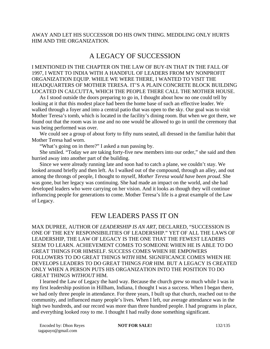AWAY AND LET HIS SUCCESSOR DO HIS OWN THING. MEDDLING ONLY HURTS HIM AND THE ORGANIZATION.

## A LEGACY OF SUCCESSION

I MENTIONED IN THE CHAPTER ON THE LAW OF BUY-IN THAT IN THE FALL OF 1997, I WENT TO INDIA WITH A HANDFUL OF LEADERS FROM MY NONPROFIT ORGANIZATION EQUIP. WHILE WE WERE THERE, I WANTED TO VISIT THE HEADQUARTERS OF MOTHER TERESA. IT'S A PLAIN CONCRETE BLOCK BUILDING LOCATED IN CALCUTTA, WHICH THE PEOPLE THERE CALL THE MOTHER HOUSE.

As I stood outside the doors preparing to go in, I thought about how no one could tell by looking at it that this modest place had been the home base of such an effective leader. We walked through a foyer and into a central patio that was open to the sky. Our goal was to visit Mother Teresa's tomb, which is located in the facility's dining room. But when we got there, we found out that the room was in use and no one would be allowed to go in until the ceremony that was being performed was over.

We could see a group of about forty to fifty nuns seated, all dressed in the familiar habit that Mother Teresa had worn.

"What's going on in there?" I asked a nun passing by.

She smiled. "Today we are taking forty-five new members into our order," she said and then hurried away into another part of the building.

Since we were already running late and soon had to catch a plane, we couldn't stay. We looked around briefly and then left. As I walked out of the compound, through an alley, and out among the throngs of people, I thought to myself, *Mother Teresa would have been proud*. She was gone, but her legacy was continuing. She had made an impact on the world, and she had developed leaders who were carrying on her vision. And it looks as though they will continue influencing people for generations to come. Mother Teresa's life is a great example of the Law of Legacy.

#### FEW LEADERS PASS IT ON

MAX DUPREE, AUTHOR OF *LEADERSHIP IS AN ART,* DECLARED, "SUCCESSION IS ONE OF THE KEY RESPONSIBILITIES OF LEADERSHIP." YET OF ALL THE LAWS OF LEADERSHIP, THE LAW OF LEGACY IS THE ONE THAT THE FEWEST LEADERS SEEM TO LEARN. ACHIEVEMENT COMES TO SOMEONE WHEN HE IS ABLE TO DO GREAT THINGS FOR HIMSELF. SUCCESS COMES WHEN HE EMPOWERS FOLLOWERS TO DO GREAT THINGS *WITH* HIM. SIGNIFICANCE COMES WHEN HE DEVELOPS LEADERS TO DO GREAT THINGS *FOR* HIM. BUT A LEGACY IS CREATED ONLY WHEN A PERSON PUTS HIS ORGANIZATION INTO THE POSITION TO DO GREAT THINGS *WITHOUT* HIM.

I learned the Law of Legacy the hard way. Because the church grew so much while I was in my first leadership position in Hillham, Indiana, I thought I was a success. When I began there, we had only three people in attendance. For three years, I built up that church, reached out to the community, and influenced many people's lives. When I left, our average attendance was in the high two hundreds, and our record was more than three hundred people. I had programs in place, and everything looked rosy to me. I thought I had really done something significant.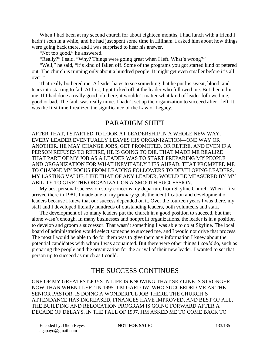When I had been at my second church for about eighteen months, I had lunch with a friend I hadn't seen in a while, and he had just spent some time in Hillham. I asked him about how things were going back there, and I was surprised to hear his answer.

"Not too good," he answered.

"Really?" I said. "Why? Things were going great when I left. What's wrong?"

"Well," he said, "it's kind of fallen off. Some of the programs you got started kind of petered out. The church is running only about a hundred people. It might get even smaller before it's all over."

That really bothered me. A leader hates to see something that he put his sweat, blood, and tears into starting to fail. At first, I got ticked off at the leader who followed me. But then it hit me. If I had done a really good job there, it wouldn't matter what kind of leader followed me, good or bad. The fault was really mine. I hadn't set up the organization to succeed after I left. It was the first time I realized the significance of the Law of Legacy.

#### PARADIGM SHIFT

AFTER THAT, I STARTED TO LOOK AT LEADERSHIP IN A WHOLE NEW WAY. EVERY LEADER EVENTUALLY LEAVES HIS ORGANIZATION—ONE WAY OR ANOTHER. HE MAY CHANGE JOBS, GET PROMOTED, OR RETIRE. AND EVEN IF A PERSON REFUSES TO RETIRE, HE IS GOING TO DIE. THAT MADE ME REALIZE THAT PART OF MY JOB AS A LEADER WAS TO START PREPARING MY PEOPLE AND ORGANIZATION FOR WHAT INEVITABLY LIES AHEAD. THAT PROMPTED ME TO CHANGE MY FOCUS FROM LEADING FOLLOWERS TO DEVELOPING LEADERS. MY LASTING VALUE, LIKE THAT OF ANY LEADER, WOULD BE MEASURED BY MY ABILITY TO GIVE THE ORGANIZATION A SMOOTH SUCCESSION.

My best personal succession story concerns my departure from Skyline Church. When I first arrived there in 1981, I made one of my primary goals the identification and development of leaders because I knew that our success depended on it. Over the fourteen years I was there, my staff and I developed literally hundreds of outstanding leaders, both volunteers and staff.

The development of so many leaders put the church in a good position to succeed, but that alone wasn't enough. In many businesses and nonprofit organizations, the leader is in a position to develop and groom a successor. That wasn't something I was able to do at Skyline. The local board of administration would select someone to succeed me, and I would not drive that process. The most I would be able to do for them was to give them any information I knew about the potential candidates with whom I was acquainted. But there were other things I *could* do, such as preparing the people and the organization for the arrival of their new leader. I wanted to set that person up to succeed as much as I could.

# THE SUCCESS CONTINUES

ONE OF MY GREATEST JOYS IN LIFE IS KNOWING THAT SKYLINE IS STRONGER NOW THAN WHEN I LEFT IN 1995. JIM GARLOW, WHO SUCCEEDED ME AS THE SENIOR PASTOR, IS DOING A WONDERFUL JOB THERE. THE CHURCH'S ATTENDANCE HAS INCREASED, FINANCES HAVE IMPROVED, AND BEST OF ALL, THE BUILDING AND RELOCATION PROGRAM IS GOING FORWARD AFTER A DECADE OF DELAYS. IN THE FALL OF 1997, JIM ASKED ME TO COME BACK TO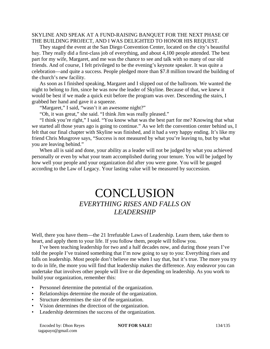#### SKYLINE AND SPEAK AT A FUND-RAISING BANQUET FOR THE NEXT PHASE OF THE BUILDING PROJECT, AND I WAS DELIGHTED TO HONOR HIS REQUEST.

They staged the event at the San Diego Convention Center, located on the city's beautiful bay. They really did a first-class job of everything, and about 4,100 people attended. The best part for my wife, Margaret, and me was the chance to see and talk with so many of our old friends. And of course, I felt privileged to be the evening's keynote speaker. It was quite a celebration—and quite a success. People pledged more than \$7.8 million toward the building of the church's new facility.

As soon as I finished speaking, Margaret and I slipped out of the ballroom. We wanted the night to belong to Jim, since he was now the leader of Skyline. Because of that, we knew it would be best if we made a quick exit before the program was over. Descending the stairs, I grabbed her hand and gave it a squeeze.

"Margaret," I said, "wasn't it an awesome night?"

"Oh, it was great," she said. "I think Jim was really pleased."

"I think you're right," I said. "You know what was the best part for me? Knowing that what we started all those years ago is going to continue." As we left the convention center behind us, I felt that our final chapter with Skyline was finished, and it had a very happy ending. It's like my friend Chris Musgrove says, "Success is not measured by what you're leaving to, but by what you are leaving behind."

When all is said and done, your ability as a leader will not be judged by what you achieved personally or even by what your team accomplished during your tenure. You will be judged by how well your people and your organization did after you were gone. You will be gauged according to the Law of Legacy. Your lasting value will be measured by succession.

# **CONCLUSION** *EVERYTHING RISES AND FALLS ON LEADERSHIP*

Well, there you have them—the 21 Irrefutable Laws of Leadership. Learn them, take them to heart, and apply them to your life. If you follow them, people will follow you.

I've been teaching leadership for two and a half decades now, and during those years I've told the people I've trained something that I'm now going to say to you: Everything rises and falls on leadership. Most people don't believe me when I say that, but it's true. The more you try to do in life, the more you will find that leadership makes the difference. Any endeavor you can undertake that involves other people will live or die depending on leadership. As you work to build your organization, remember this:

- Personnel determine the potential of the organization.
- Relationships determine the morale of the organization.
- Structure determines the size of the organization.
- Vision determines the direction of the organization.
- Leadership determines the success of the organization.